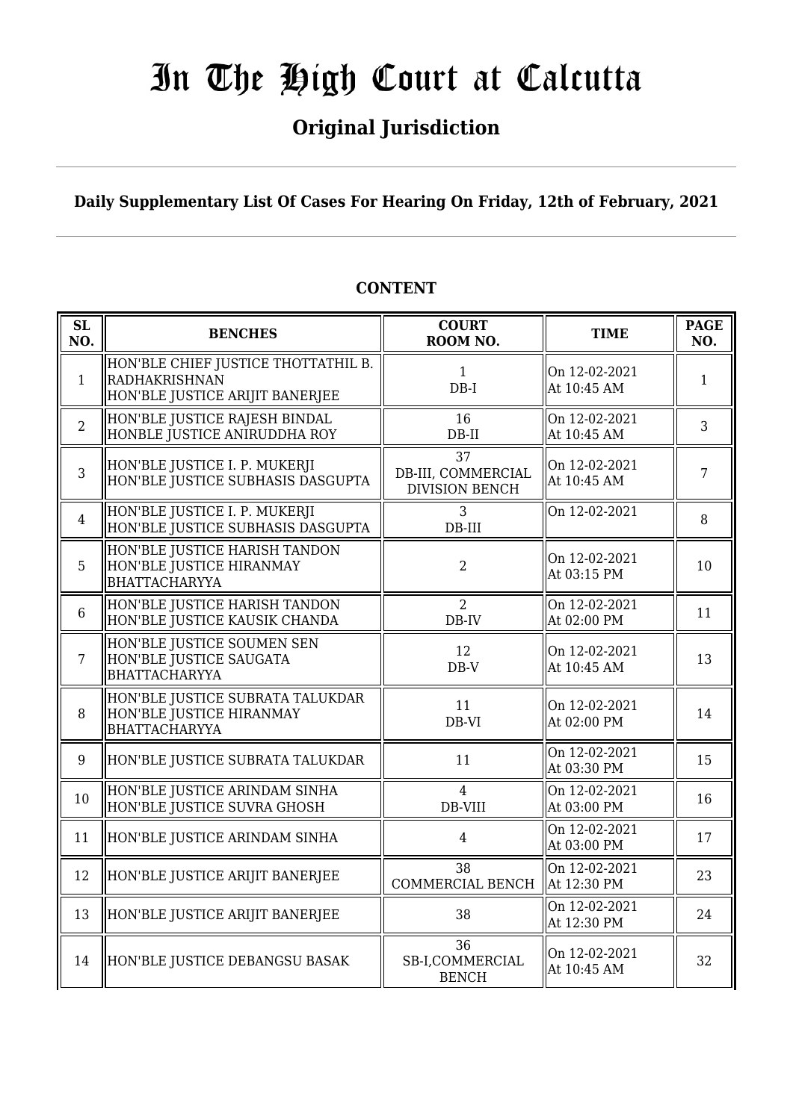## **Original Jurisdiction**

**Daily Supplementary List Of Cases For Hearing On Friday, 12th of February, 2021**

| SL<br>NO.      | <b>BENCHES</b>                                                                                 | <b>COURT</b><br>ROOM NO.                          | <b>TIME</b>                  | <b>PAGE</b><br>NO. |
|----------------|------------------------------------------------------------------------------------------------|---------------------------------------------------|------------------------------|--------------------|
| $\mathbf{1}$   | HON'BLE CHIEF JUSTICE THOTTATHIL B.<br><b>RADHAKRISHNAN</b><br>HON'BLE JUSTICE ARIJIT BANERJEE | $\mathbf{1}$<br>$DB-I$                            | On 12-02-2021<br>At 10:45 AM | $\mathbf{1}$       |
| $\overline{2}$ | HON'BLE JUSTICE RAJESH BINDAL<br>HONBLE JUSTICE ANIRUDDHA ROY                                  | 16<br>$DB-II$                                     | On 12-02-2021<br>At 10:45 AM | 3                  |
| 3              | HON'BLE JUSTICE I. P. MUKERJI<br>HON'BLE JUSTICE SUBHASIS DASGUPTA                             | 37<br>DB-III, COMMERCIAL<br><b>DIVISION BENCH</b> | On 12-02-2021<br>At 10:45 AM | 7                  |
| $\overline{4}$ | HON'BLE JUSTICE I. P. MUKERJI<br>HON'BLE JUSTICE SUBHASIS DASGUPTA                             | 3<br>$DB-III$                                     | On 12-02-2021                | 8                  |
| 5              | HON'BLE JUSTICE HARISH TANDON<br>HON'BLE JUSTICE HIRANMAY<br><b>BHATTACHARYYA</b>              | $\overline{2}$                                    | On 12-02-2021<br>At 03:15 PM | 10                 |
| 6              | HON'BLE JUSTICE HARISH TANDON<br>HON'BLE JUSTICE KAUSIK CHANDA                                 | $\overline{2}$<br>DB-IV                           | On 12-02-2021<br>At 02:00 PM | 11                 |
| $\overline{7}$ | HON'BLE JUSTICE SOUMEN SEN<br>HON'BLE JUSTICE SAUGATA<br><b>BHATTACHARYYA</b>                  | 12<br>$DB-V$                                      | On 12-02-2021<br>At 10:45 AM | 13                 |
| 8              | HON'BLE JUSTICE SUBRATA TALUKDAR<br>HON'BLE JUSTICE HIRANMAY<br><b>BHATTACHARYYA</b>           | 11<br>DB-VI                                       | On 12-02-2021<br>At 02:00 PM | 14                 |
| 9              | HON'BLE JUSTICE SUBRATA TALUKDAR                                                               | 11                                                | On 12-02-2021<br>At 03:30 PM | 15                 |
| 10             | HON'BLE JUSTICE ARINDAM SINHA<br>HON'BLE JUSTICE SUVRA GHOSH                                   | $\overline{4}$<br>DB-VIII                         | On 12-02-2021<br>At 03:00 PM | 16                 |
| 11             | HON'BLE JUSTICE ARINDAM SINHA                                                                  | $\overline{4}$                                    | On 12-02-2021<br>At 03:00 PM | 17                 |
| 12             | HON'BLE JUSTICE ARIJIT BANERJEE                                                                | 38<br>COMMERCIAL BENCH                            | On 12-02-2021<br>At 12:30 PM | 23                 |
| 13             | HON'BLE JUSTICE ARIJIT BANERJEE                                                                | 38                                                | On 12-02-2021<br>At 12:30 PM | 24                 |
| 14             | HON'BLE JUSTICE DEBANGSU BASAK                                                                 | 36<br>SB-I,COMMERCIAL<br><b>BENCH</b>             | On 12-02-2021<br>At 10:45 AM | 32                 |

### **CONTENT**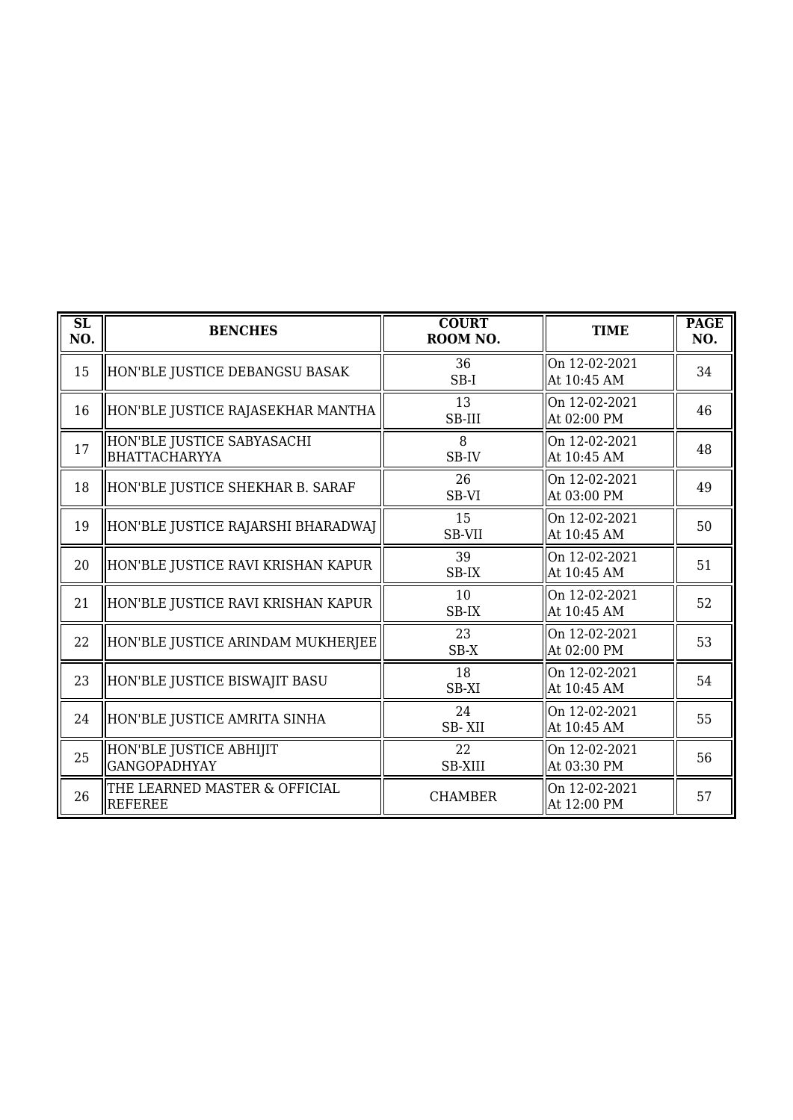| $\overline{\text{SL}}$<br>NO. | <b>BENCHES</b>                                  | <b>COURT</b><br>ROOM NO. | <b>TIME</b>                   | <b>PAGE</b><br>NO. |
|-------------------------------|-------------------------------------------------|--------------------------|-------------------------------|--------------------|
| 15                            | HON'BLE JUSTICE DEBANGSU BASAK                  | 36<br>$SB-I$             | On 12-02-2021<br>At 10:45 AM  | 34                 |
| 16                            | HON'BLE JUSTICE RAJASEKHAR MANTHA               | 13<br>SB-III             | On 12-02-2021<br>At 02:00 PM  | 46                 |
| 17                            | HON'BLE JUSTICE SABYASACHI<br>BHATTACHARYYA     | 8<br>SB-IV               | On 12-02-2021<br>At 10:45 AM  | 48                 |
| 18                            | HON'BLE JUSTICE SHEKHAR B. SARAF                | 26<br>SB-VI              | On 12-02-2021<br>At 03:00 PM  | 49                 |
| 19                            | HON'BLE JUSTICE RAJARSHI BHARADWAJ              | 15<br>SB-VII             | On 12-02-2021<br>At 10:45 AM  | 50                 |
| 20                            | HON'BLE JUSTICE RAVI KRISHAN KAPUR              | 39<br>SB-IX              | On 12-02-2021<br>At 10:45 AM  | 51                 |
| 21                            | HON'BLE JUSTICE RAVI KRISHAN KAPUR              | 10<br>SB-IX              | On 12-02-2021<br>At 10:45 AM  | 52                 |
| 22                            | HON'BLE JUSTICE ARINDAM MUKHERJEE               | 23<br>$SB-X$             | On 12-02-2021<br>lAt 02:00 PM | 53                 |
| 23                            | HON'BLE JUSTICE BISWAJIT BASU                   | 18<br>SB-XI              | On 12-02-2021<br>At 10:45 AM  | 54                 |
| 24                            | HON'BLE JUSTICE AMRITA SINHA                    | 24<br>SB-XII             | On 12-02-2021<br>At 10:45 AM  | 55                 |
| 25                            | HON'BLE JUSTICE ABHIJIT<br><b>GANGOPADHYAY</b>  | 22<br><b>SB-XIII</b>     | On 12-02-2021<br>At 03:30 PM  | 56                 |
| 26                            | THE LEARNED MASTER & OFFICIAL<br><b>REFEREE</b> | <b>CHAMBER</b>           | On 12-02-2021<br>At 12:00 PM  | 57                 |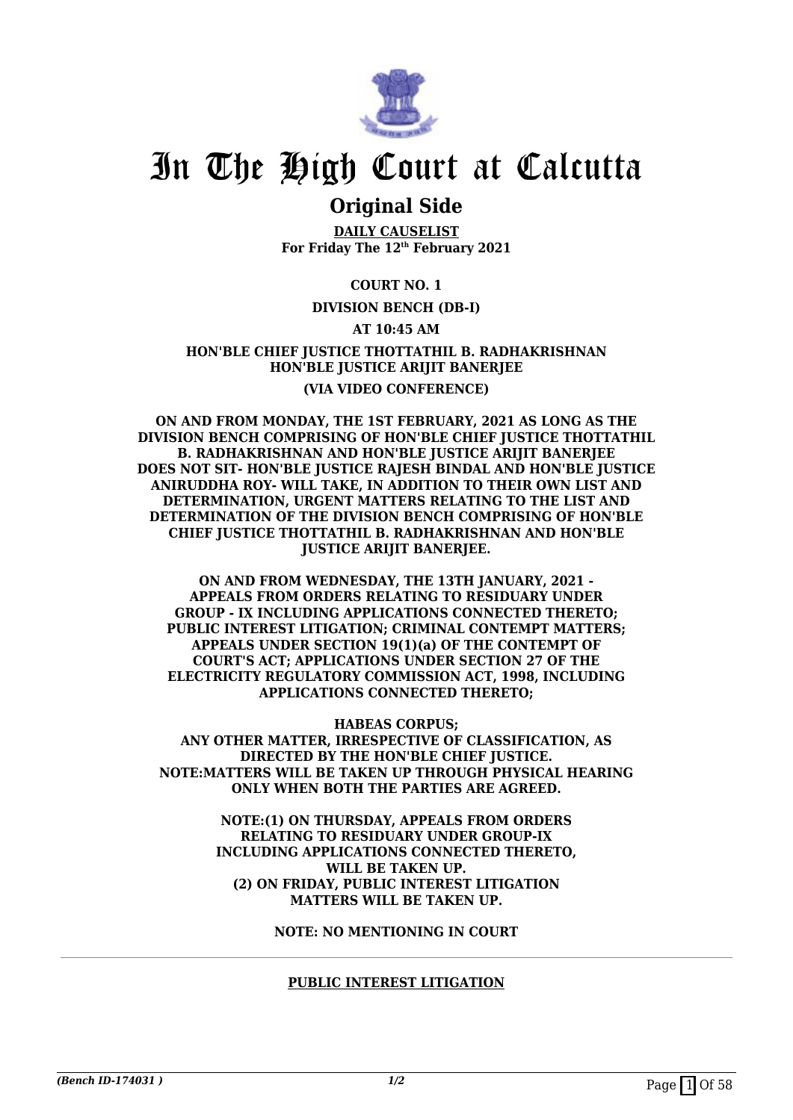

### **Original Side**

**DAILY CAUSELIST For Friday The 12th February 2021**

#### **COURT NO. 1**

#### **DIVISION BENCH (DB-I)**

#### **AT 10:45 AM**

#### **HON'BLE CHIEF JUSTICE THOTTATHIL B. RADHAKRISHNAN HON'BLE JUSTICE ARIJIT BANERJEE (VIA VIDEO CONFERENCE)**

**ON AND FROM MONDAY, THE 1ST FEBRUARY, 2021 AS LONG AS THE DIVISION BENCH COMPRISING OF HON'BLE CHIEF JUSTICE THOTTATHIL B. RADHAKRISHNAN AND HON'BLE JUSTICE ARIJIT BANERJEE DOES NOT SIT- HON'BLE JUSTICE RAJESH BINDAL AND HON'BLE JUSTICE ANIRUDDHA ROY- WILL TAKE, IN ADDITION TO THEIR OWN LIST AND DETERMINATION, URGENT MATTERS RELATING TO THE LIST AND DETERMINATION OF THE DIVISION BENCH COMPRISING OF HON'BLE CHIEF JUSTICE THOTTATHIL B. RADHAKRISHNAN AND HON'BLE JUSTICE ARIJIT BANERJEE.**

**ON AND FROM WEDNESDAY, THE 13TH JANUARY, 2021 - APPEALS FROM ORDERS RELATING TO RESIDUARY UNDER GROUP - IX INCLUDING APPLICATIONS CONNECTED THERETO; PUBLIC INTEREST LITIGATION; CRIMINAL CONTEMPT MATTERS; APPEALS UNDER SECTION 19(1)(a) OF THE CONTEMPT OF COURT'S ACT; APPLICATIONS UNDER SECTION 27 OF THE ELECTRICITY REGULATORY COMMISSION ACT, 1998, INCLUDING APPLICATIONS CONNECTED THERETO;**

**HABEAS CORPUS; ANY OTHER MATTER, IRRESPECTIVE OF CLASSIFICATION, AS DIRECTED BY THE HON'BLE CHIEF JUSTICE. NOTE:MATTERS WILL BE TAKEN UP THROUGH PHYSICAL HEARING ONLY WHEN BOTH THE PARTIES ARE AGREED.**

> **NOTE:(1) ON THURSDAY, APPEALS FROM ORDERS RELATING TO RESIDUARY UNDER GROUP-IX INCLUDING APPLICATIONS CONNECTED THERETO, WILL BE TAKEN UP. (2) ON FRIDAY, PUBLIC INTEREST LITIGATION MATTERS WILL BE TAKEN UP.**

> > **NOTE: NO MENTIONING IN COURT**

#### **PUBLIC INTEREST LITIGATION**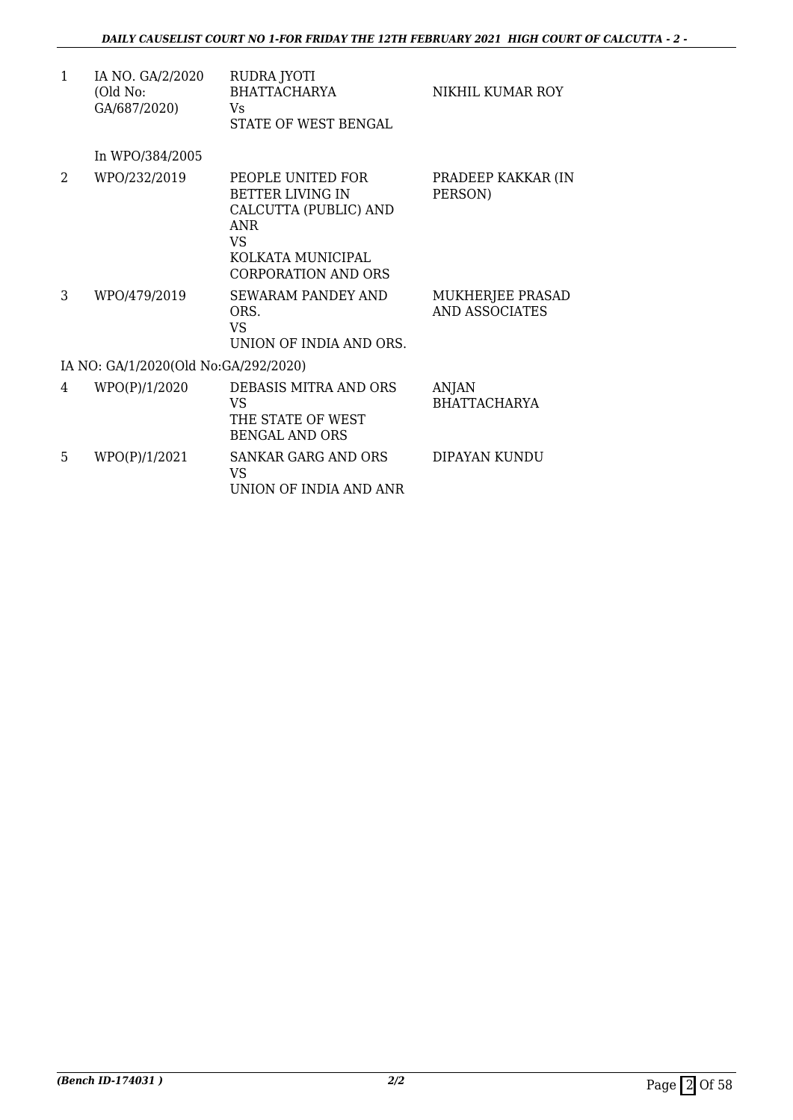| $\mathbf{1}$ | IA NO. GA/2/2020<br>(Old No:<br>GA/687/2020) | RUDRA JYOTI<br><b>BHATTACHARYA</b><br>Vs.<br>STATE OF WEST BENGAL                                                                      | NIKHIL KUMAR ROY                          |
|--------------|----------------------------------------------|----------------------------------------------------------------------------------------------------------------------------------------|-------------------------------------------|
|              | In WPO/384/2005                              |                                                                                                                                        |                                           |
| 2            | WPO/232/2019                                 | PEOPLE UNITED FOR<br><b>BETTER LIVING IN</b><br>CALCUTTA (PUBLIC) AND<br><b>ANR</b><br>VS.<br>KOLKATA MUNICIPAL<br>CORPORATION AND ORS | PRADEEP KAKKAR (IN<br>PERSON)             |
| 3            | WPO/479/2019                                 | <b>SEWARAM PANDEY AND</b><br>ORS.<br><b>VS</b><br>UNION OF INDIA AND ORS.                                                              | MUKHERJEE PRASAD<br><b>AND ASSOCIATES</b> |
|              | IA NO: GA/1/2020(Old No:GA/292/2020)         |                                                                                                                                        |                                           |
| 4            | WPO(P)/1/2020                                | DEBASIS MITRA AND ORS<br>VS.<br>THE STATE OF WEST<br><b>BENGAL AND ORS</b>                                                             | <b>ANJAN</b><br><b>BHATTACHARYA</b>       |
| 5            | WPO(P)/1/2021                                | <b>SANKAR GARG AND ORS</b><br>VS<br>UNION OF INDIA AND ANR                                                                             | DIPAYAN KUNDU                             |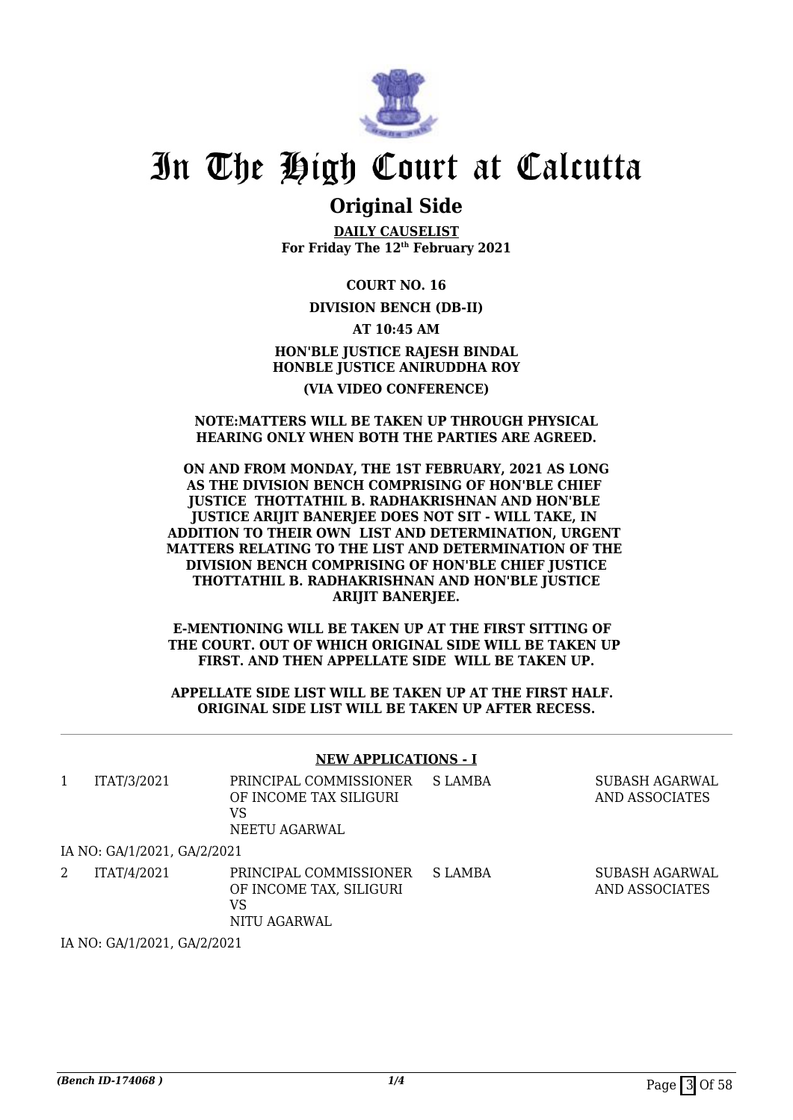

### **Original Side**

**DAILY CAUSELIST For Friday The 12th February 2021**

**COURT NO. 16**

#### **DIVISION BENCH (DB-II)**

**AT 10:45 AM HON'BLE JUSTICE RAJESH BINDAL HONBLE JUSTICE ANIRUDDHA ROY (VIA VIDEO CONFERENCE)**

#### **NOTE:MATTERS WILL BE TAKEN UP THROUGH PHYSICAL HEARING ONLY WHEN BOTH THE PARTIES ARE AGREED.**

#### **ON AND FROM MONDAY, THE 1ST FEBRUARY, 2021 AS LONG AS THE DIVISION BENCH COMPRISING OF HON'BLE CHIEF JUSTICE THOTTATHIL B. RADHAKRISHNAN AND HON'BLE JUSTICE ARIJIT BANERJEE DOES NOT SIT - WILL TAKE, IN ADDITION TO THEIR OWN LIST AND DETERMINATION, URGENT MATTERS RELATING TO THE LIST AND DETERMINATION OF THE DIVISION BENCH COMPRISING OF HON'BLE CHIEF JUSTICE THOTTATHIL B. RADHAKRISHNAN AND HON'BLE JUSTICE ARIJIT BANERJEE.**

**E-MENTIONING WILL BE TAKEN UP AT THE FIRST SITTING OF THE COURT. OUT OF WHICH ORIGINAL SIDE WILL BE TAKEN UP FIRST. AND THEN APPELLATE SIDE WILL BE TAKEN UP.**

#### **APPELLATE SIDE LIST WILL BE TAKEN UP AT THE FIRST HALF. ORIGINAL SIDE LIST WILL BE TAKEN UP AFTER RECESS.**

#### **NEW APPLICATIONS - I**

|   | ITAT/3/2021                 | PRINCIPAL COMMISSIONER<br>OF INCOME TAX SILIGURI<br>VS<br>NEETU AGARWAL | S LAMBA | SUBASH AGARWAL<br>AND ASSOCIATES |
|---|-----------------------------|-------------------------------------------------------------------------|---------|----------------------------------|
|   | IA NO: GA/1/2021, GA/2/2021 |                                                                         |         |                                  |
| 2 | ITAT/4/2021                 | PRINCIPAL COMMISSIONER<br>OF INCOME TAX, SILIGURI<br>VS<br>NITU AGARWAL | S LAMBA | SUBASH AGARWAL<br>AND ASSOCIATES |

IA NO: GA/1/2021, GA/2/2021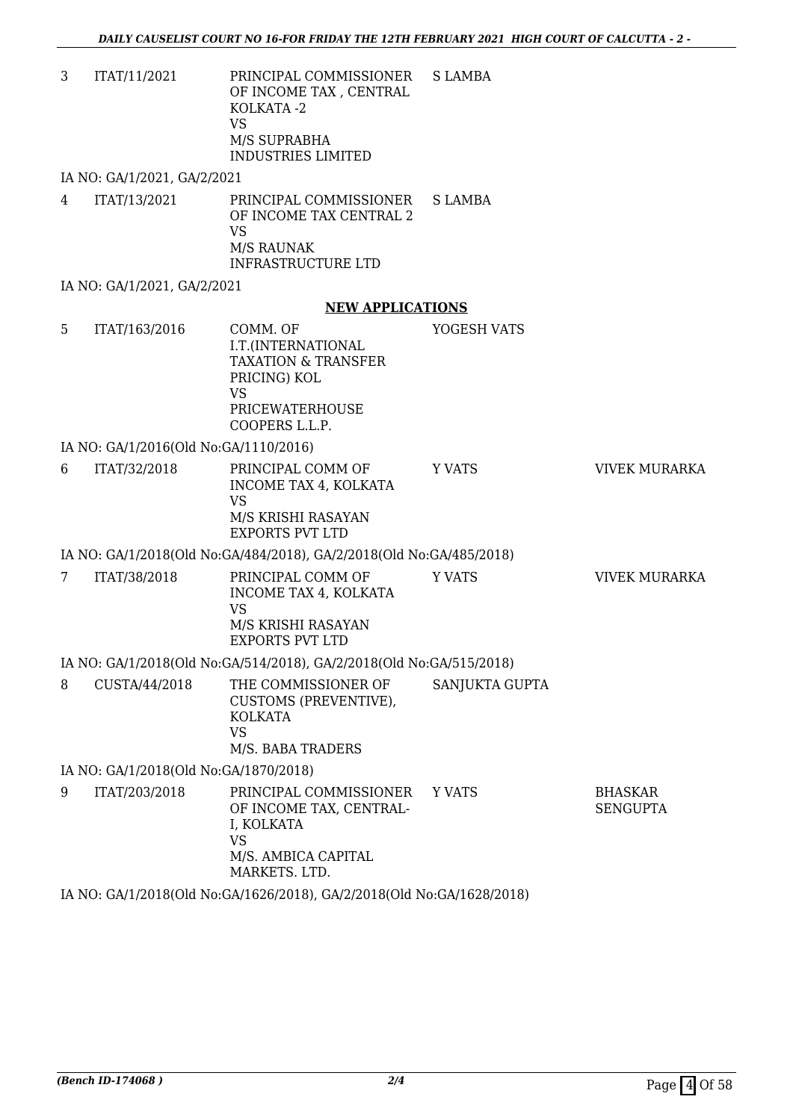3 ITAT/11/2021 PRINCIPAL COMMISSIONER OF INCOME TAX , CENTRAL KOLKATA -2 VS M/S SUPRABHA INDUSTRIES LIMITED S LAMBA

IA NO: GA/1/2021, GA/2/2021

4 ITAT/13/2021 PRINCIPAL COMMISSIONER OF INCOME TAX CENTRAL 2 VS M/S RAUNAK INFRASTRUCTURE LTD S LAMBA

IA NO: GA/1/2021, GA/2/2021

#### **NEW APPLICATIONS**

5 ITAT/163/2016 COMM. OF I.T.(INTERNATIONAL TAXATION & TRANSFER PRICING) KOL VS PRICEWATERHOUSE COOPERS L.L.P. YOGESH VATS IA NO: GA/1/2016(Old No:GA/1110/2016) 6 ITAT/32/2018 PRINCIPAL COMM OF INCOME TAX 4, KOLKATA VS M/S KRISHI RASAYAN EXPORTS PVT LTD Y VATS **VIVEK MURARKA** IA NO: GA/1/2018(Old No:GA/484/2018), GA/2/2018(Old No:GA/485/2018) 7 ITAT/38/2018 PRINCIPAL COMM OF INCOME TAX 4, KOLKATA VS M/S KRISHI RASAYAN EXPORTS PVT LTD Y VATS **VIVEK MURARKA** 

### IA NO: GA/1/2018(Old No:GA/514/2018), GA/2/2018(Old No:GA/515/2018)

8 CUSTA/44/2018 THE COMMISSIONER OF CUSTOMS (PREVENTIVE), KOLKATA VS M/S. BABA TRADERS SANJUKTA GUPTA

IA NO: GA/1/2018(Old No:GA/1870/2018)

9 ITAT/203/2018 PRINCIPAL COMMISSIONER OF INCOME TAX, CENTRAL-I, KOLKATA VS M/S. AMBICA CAPITAL MARKETS. LTD. Y VATS BHASKAR SENGUPTA

IA NO: GA/1/2018(Old No:GA/1626/2018), GA/2/2018(Old No:GA/1628/2018)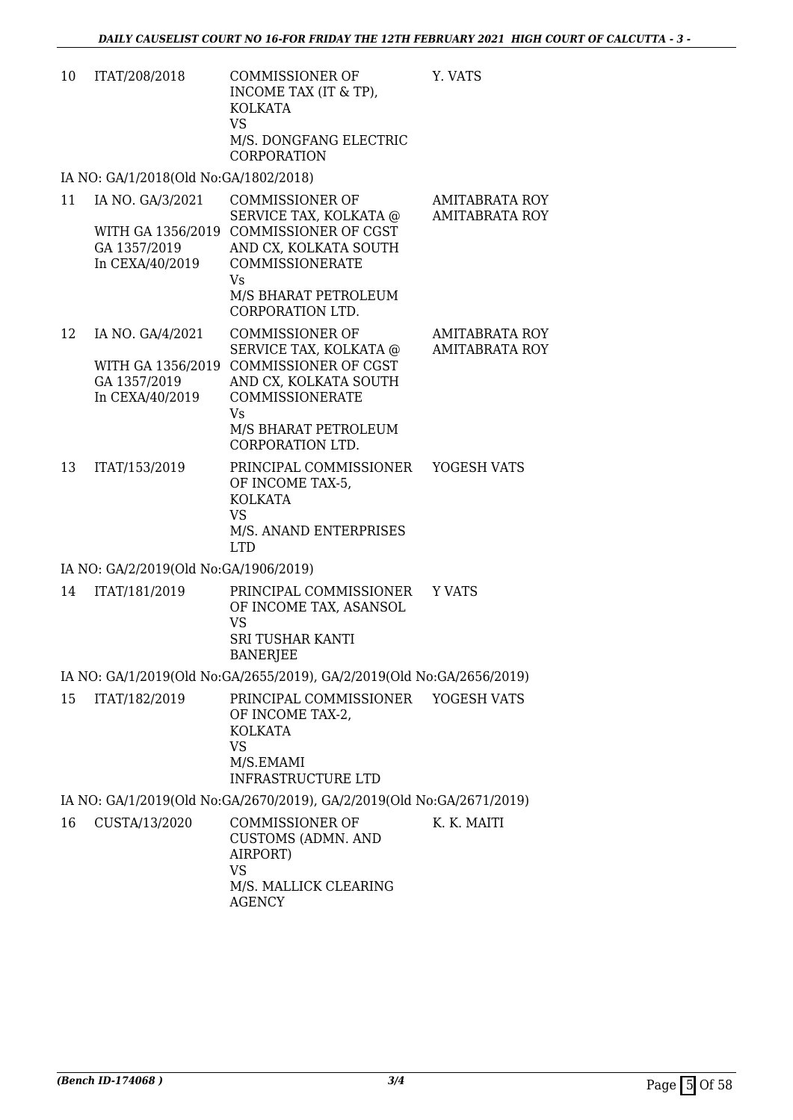| 10 | ITAT/208/2018                         | COMMISSIONER OF<br>INCOME TAX (IT & TP),<br>KOLKATA<br>VS<br>M/S. DONGFANG ELECTRIC<br><b>CORPORATION</b> | Y. VATS              |
|----|---------------------------------------|-----------------------------------------------------------------------------------------------------------|----------------------|
|    | IA NO: GA/1/2018(Old No:GA/1802/2018) |                                                                                                           |                      |
| 11 | 1 בממי <i>ו פו גרם</i> הזה גד         | CONINICCIONED OF                                                                                          | <b>A R A TTP A D</b> |

| 11 | IA NO. GA/3/2021  | <b>COMMISSIONER OF</b> | <b>AMITABRATA ROY</b> |
|----|-------------------|------------------------|-----------------------|
|    |                   | SERVICE TAX, KOLKATA @ | <b>AMITABRATA ROY</b> |
|    | WITH GA 1356/2019 | COMMISSIONER OF CGST   |                       |
|    | GA 1357/2019      | AND CX, KOLKATA SOUTH  |                       |
|    | In CEXA/40/2019   | COMMISSIONERATE        |                       |
|    |                   | Vs                     |                       |
|    |                   | M/S BHARAT PETROLEUM   |                       |
|    |                   | CORPORATION LTD.       |                       |
| 12 | IA NO. GA/4/2021  | <b>COMMISSIONER OF</b> | <b>AMITABRATA ROY</b> |
|    |                   | SERVICE TAX, KOLKATA @ | <b>AMITABRATA ROY</b> |
|    |                   |                        |                       |

|    | GA 1357/2019    | JENVIUE TAA, NULNATA (W<br>WITH GA 1356/2019 COMMISSIONER OF CGST<br>AND CX, KOLKATA SOUTH | AMIHADNATA NU. |
|----|-----------------|--------------------------------------------------------------------------------------------|----------------|
|    | In CEXA/40/2019 | COMMISSIONERATE<br>Vs<br>M/S BHARAT PETROLEUM<br>CORPORATION LTD.                          |                |
| 13 | ITAT/153/2019   | PRINCIPAL COMMISSIONER<br>OF INCOME TAX-5,<br><b>KOLKATA</b><br>VS                         | YOGESH VATS    |

M/S. ANAND ENTERPRISES

#### IA NO: GA/2/2019(Old No:GA/1906/2019)

| 14 | ITAT/181/2019 | PRINCIPAL COMMISSIONER Y VATS<br>OF INCOME TAX, ASANSOL<br>VS<br>SRI TUSHAR KANTI<br>BANERJEE |  |
|----|---------------|-----------------------------------------------------------------------------------------------|--|
|    |               |                                                                                               |  |

LTD

#### IA NO: GA/1/2019(Old No:GA/2655/2019), GA/2/2019(Old No:GA/2656/2019)

| 15 | ITAT/182/2019 | PRINCIPAL COMMISSIONER YOGESH VATS<br>OF INCOME TAX-2,<br>KOLKATA<br>VS<br>M/S.EMAMI |  |
|----|---------------|--------------------------------------------------------------------------------------|--|
|    |               | INFRASTRUCTURE LTD                                                                   |  |

IA NO: GA/1/2019(Old No:GA/2670/2019), GA/2/2019(Old No:GA/2671/2019)

16 CUSTA/13/2020 COMMISSIONER OF CUSTOMS (ADMN. AND AIRPORT) VS M/S. MALLICK CLEARING AGENCY K. K. MAITI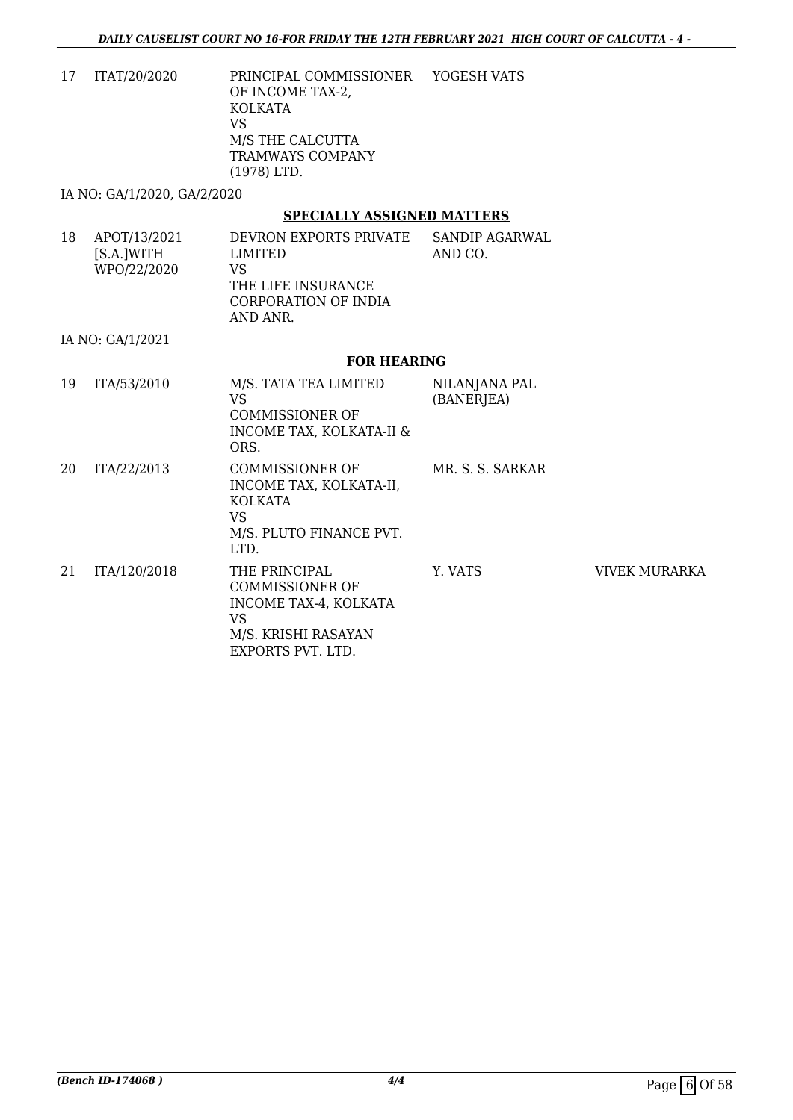17 ITAT/20/2020 PRINCIPAL COMMISSIONER OF INCOME TAX-2, KOLKATA VS M/S THE CALCUTTA TRAMWAYS COMPANY (1978) LTD. YOGESH VATS

IA NO: GA/1/2020, GA/2/2020

#### **SPECIALLY ASSIGNED MATTERS**

18 APOT/13/2021 [S.A.]WITH WPO/22/2020 DEVRON EXPORTS PRIVATE LIMITED VS THE LIFE INSURANCE CORPORATION OF INDIA AND ANR. SANDIP AGARWAL AND CO.

IA NO: GA/1/2021

#### **FOR HEARING**

| 19 | ITA/53/2010  | M/S. TATA TEA LIMITED<br>VS<br><b>COMMISSIONER OF</b><br><b>INCOME TAX, KOLKATA-II &amp;</b><br>ORS.               | NILANJANA PAL<br>(BANERJEA) |                      |
|----|--------------|--------------------------------------------------------------------------------------------------------------------|-----------------------------|----------------------|
| 20 | ITA/22/2013  | <b>COMMISSIONER OF</b><br>INCOME TAX, KOLKATA-II,<br><b>KOLKATA</b><br>VS<br>M/S. PLUTO FINANCE PVT.<br>LTD.       | MR. S. S. SARKAR            |                      |
| 21 | ITA/120/2018 | THE PRINCIPAL<br><b>COMMISSIONER OF</b><br>INCOME TAX-4, KOLKATA<br>VS<br>M/S. KRISHI RASAYAN<br>EXPORTS PVT. LTD. | Y. VATS                     | <b>VIVEK MURARKA</b> |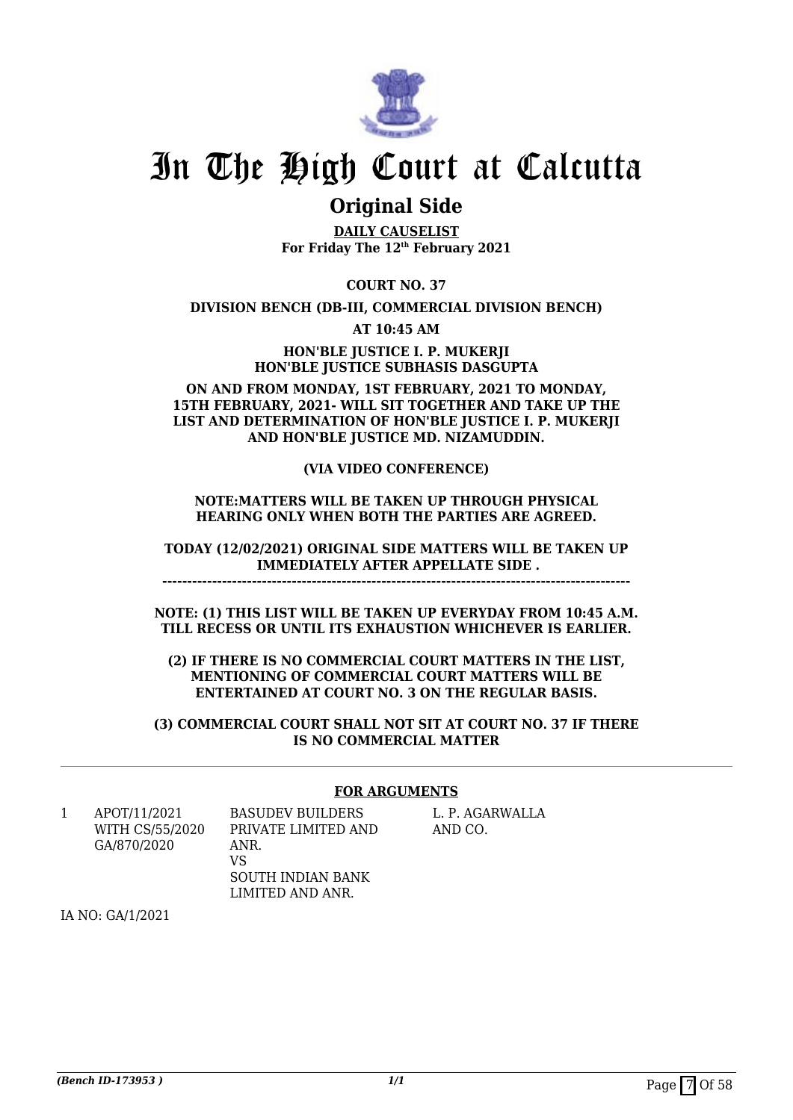

### **Original Side**

**DAILY CAUSELIST For Friday The 12th February 2021**

**COURT NO. 37**

**DIVISION BENCH (DB-III, COMMERCIAL DIVISION BENCH)**

**AT 10:45 AM**

**HON'BLE JUSTICE I. P. MUKERJI HON'BLE JUSTICE SUBHASIS DASGUPTA**

#### **ON AND FROM MONDAY, 1ST FEBRUARY, 2021 TO MONDAY, 15TH FEBRUARY, 2021- WILL SIT TOGETHER AND TAKE UP THE LIST AND DETERMINATION OF HON'BLE JUSTICE I. P. MUKERJI AND HON'BLE JUSTICE MD. NIZAMUDDIN.**

#### **(VIA VIDEO CONFERENCE)**

#### **NOTE:MATTERS WILL BE TAKEN UP THROUGH PHYSICAL HEARING ONLY WHEN BOTH THE PARTIES ARE AGREED.**

**TODAY (12/02/2021) ORIGINAL SIDE MATTERS WILL BE TAKEN UP IMMEDIATELY AFTER APPELLATE SIDE . ----------------------------------------------------------------------------------------------**

**NOTE: (1) THIS LIST WILL BE TAKEN UP EVERYDAY FROM 10:45 A.M. TILL RECESS OR UNTIL ITS EXHAUSTION WHICHEVER IS EARLIER.**

**(2) IF THERE IS NO COMMERCIAL COURT MATTERS IN THE LIST, MENTIONING OF COMMERCIAL COURT MATTERS WILL BE ENTERTAINED AT COURT NO. 3 ON THE REGULAR BASIS.**

**(3) COMMERCIAL COURT SHALL NOT SIT AT COURT NO. 37 IF THERE IS NO COMMERCIAL MATTER**

#### **FOR ARGUMENTS**

1 APOT/11/2021 WITH CS/55/2020 GA/870/2020

PRIVATE LIMITED AND ANR. VS SOUTH INDIAN BANK LIMITED AND ANR.

BASUDEV BUILDERS

L. P. AGARWALLA AND CO.

IA NO: GA/1/2021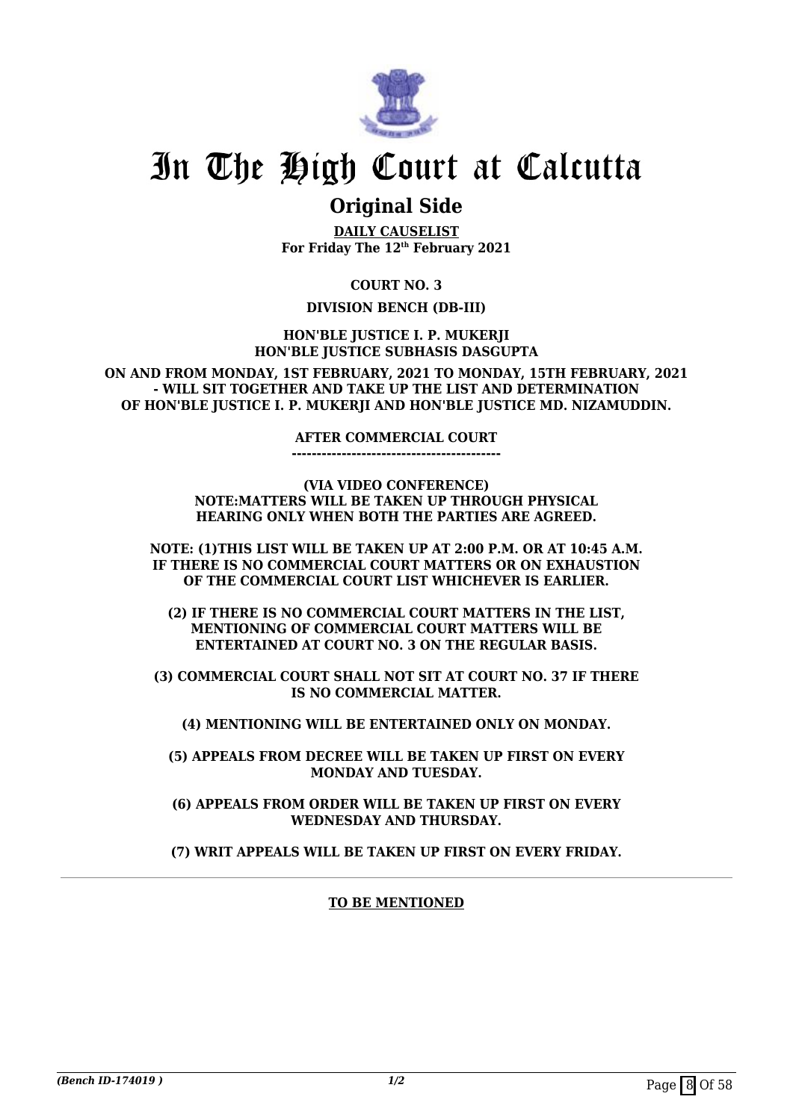

### **Original Side**

**DAILY CAUSELIST For Friday The 12th February 2021**

**COURT NO. 3**

#### **DIVISION BENCH (DB-III)**

**HON'BLE JUSTICE I. P. MUKERJI HON'BLE JUSTICE SUBHASIS DASGUPTA**

**ON AND FROM MONDAY, 1ST FEBRUARY, 2021 TO MONDAY, 15TH FEBRUARY, 2021 - WILL SIT TOGETHER AND TAKE UP THE LIST AND DETERMINATION OF HON'BLE JUSTICE I. P. MUKERJI AND HON'BLE JUSTICE MD. NIZAMUDDIN.**

#### **AFTER COMMERCIAL COURT**

**------------------------------------------**

**(VIA VIDEO CONFERENCE) NOTE:MATTERS WILL BE TAKEN UP THROUGH PHYSICAL HEARING ONLY WHEN BOTH THE PARTIES ARE AGREED.**

**NOTE: (1)THIS LIST WILL BE TAKEN UP AT 2:00 P.M. OR AT 10:45 A.M. IF THERE IS NO COMMERCIAL COURT MATTERS OR ON EXHAUSTION OF THE COMMERCIAL COURT LIST WHICHEVER IS EARLIER.**

**(2) IF THERE IS NO COMMERCIAL COURT MATTERS IN THE LIST, MENTIONING OF COMMERCIAL COURT MATTERS WILL BE ENTERTAINED AT COURT NO. 3 ON THE REGULAR BASIS.**

**(3) COMMERCIAL COURT SHALL NOT SIT AT COURT NO. 37 IF THERE IS NO COMMERCIAL MATTER.**

**(4) MENTIONING WILL BE ENTERTAINED ONLY ON MONDAY.**

**(5) APPEALS FROM DECREE WILL BE TAKEN UP FIRST ON EVERY MONDAY AND TUESDAY.**

**(6) APPEALS FROM ORDER WILL BE TAKEN UP FIRST ON EVERY WEDNESDAY AND THURSDAY.**

**(7) WRIT APPEALS WILL BE TAKEN UP FIRST ON EVERY FRIDAY.**

#### **TO BE MENTIONED**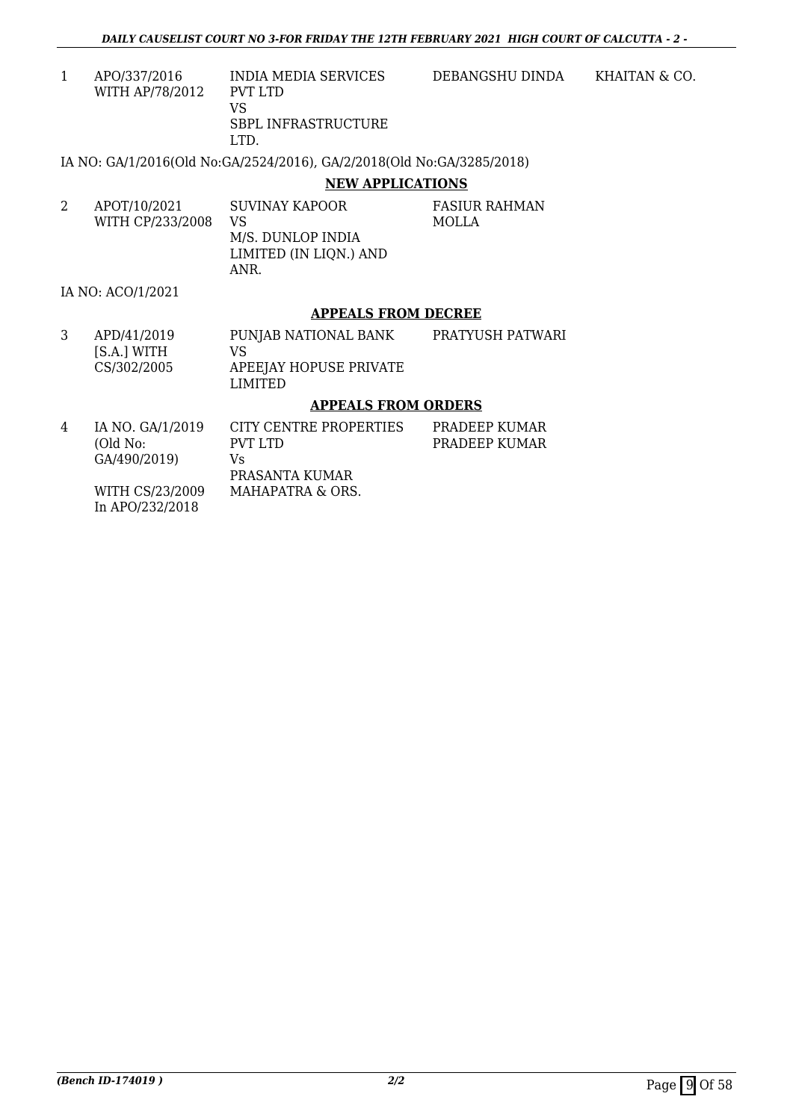1 APO/337/2016 WITH AP/78/2012 INDIA MEDIA SERVICES PVT LTD VS SBPL INFRASTRUCTURE DEBANGSHU DINDA KHAITAN & CO.

LTD.

IA NO: GA/1/2016(Old No:GA/2524/2016), GA/2/2018(Old No:GA/3285/2018)

#### **NEW APPLICATIONS**

| APOT/10/2021<br>WITH CP/233/2008 | SUVINAY KAPOOR<br>VS.<br>M/S. DUNLOP INDIA<br>LIMITED (IN LIQN.) AND<br>ANR. | FASIUR RAHMAN<br>MOLLA |
|----------------------------------|------------------------------------------------------------------------------|------------------------|
|                                  |                                                                              |                        |

IA NO: ACO/1/2021

#### **APPEALS FROM DECREE**

3 APD/41/2019 [S.A.] WITH CS/302/2005 PUNJAB NATIONAL BANK VS APEEJAY HOPUSE PRIVATE LIMITED PRATYUSH PATWARI

#### **APPEALS FROM ORDERS**

| 4 | IA NO. GA/1/2019                                 | CITY CENTRE PROPERTIES | PRADEEP KUMAR |
|---|--------------------------------------------------|------------------------|---------------|
|   | (Old No:                                         | PVT LTD                | PRADEEP KUMAR |
|   | GA/490/2019)                                     | Vs.                    |               |
|   |                                                  | PRASANTA KUMAR         |               |
|   | WITH CS/23/2009                                  | MAHAPATRA & ORS.       |               |
|   | $\sim$ $\sim$ $\sim$ $\sim$ $\sim$ $\sim$ $\sim$ |                        |               |

In APO/232/2018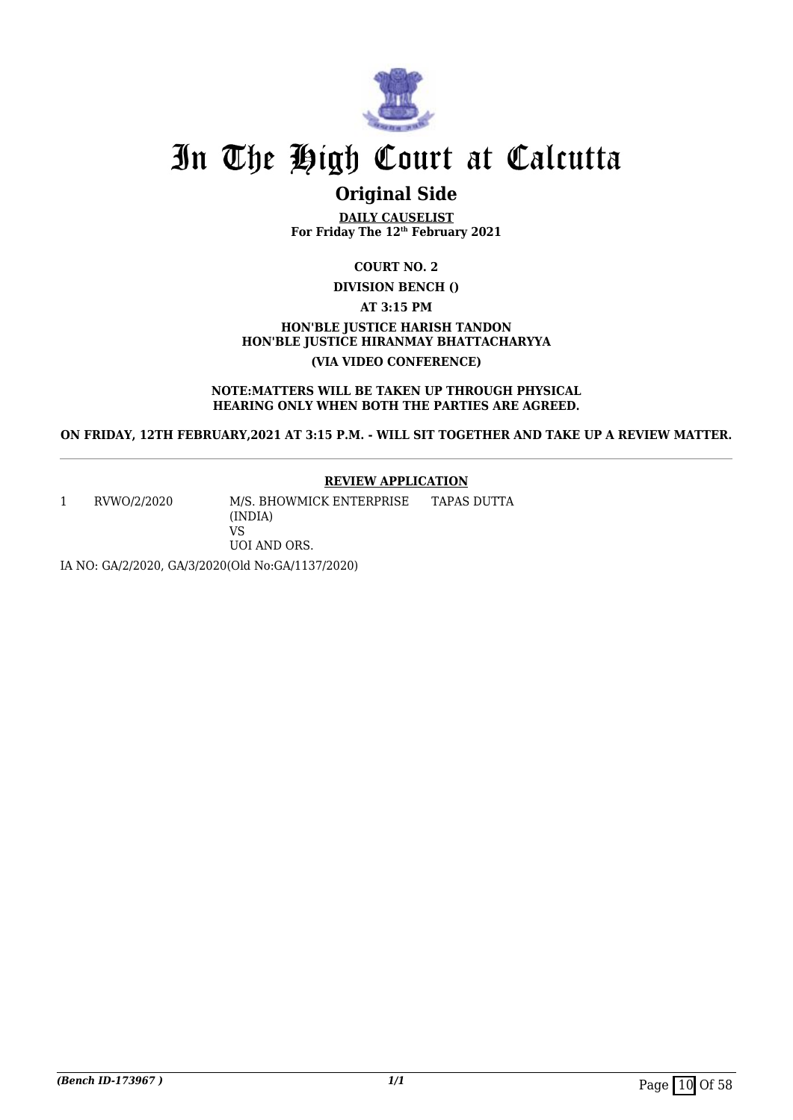

### **Original Side**

**DAILY CAUSELIST For Friday The 12th February 2021**

**COURT NO. 2**

**DIVISION BENCH ()**

**AT 3:15 PM**

#### **HON'BLE JUSTICE HARISH TANDON HON'BLE JUSTICE HIRANMAY BHATTACHARYYA (VIA VIDEO CONFERENCE)**

**NOTE:MATTERS WILL BE TAKEN UP THROUGH PHYSICAL HEARING ONLY WHEN BOTH THE PARTIES ARE AGREED.**

**ON FRIDAY, 12TH FEBRUARY,2021 AT 3:15 P.M. - WILL SIT TOGETHER AND TAKE UP A REVIEW MATTER.**

#### **REVIEW APPLICATION**

1 RVWO/2/2020 M/S. BHOWMICK ENTERPRISE (INDIA) VS UOI AND ORS. TAPAS DUTTA

IA NO: GA/2/2020, GA/3/2020(Old No:GA/1137/2020)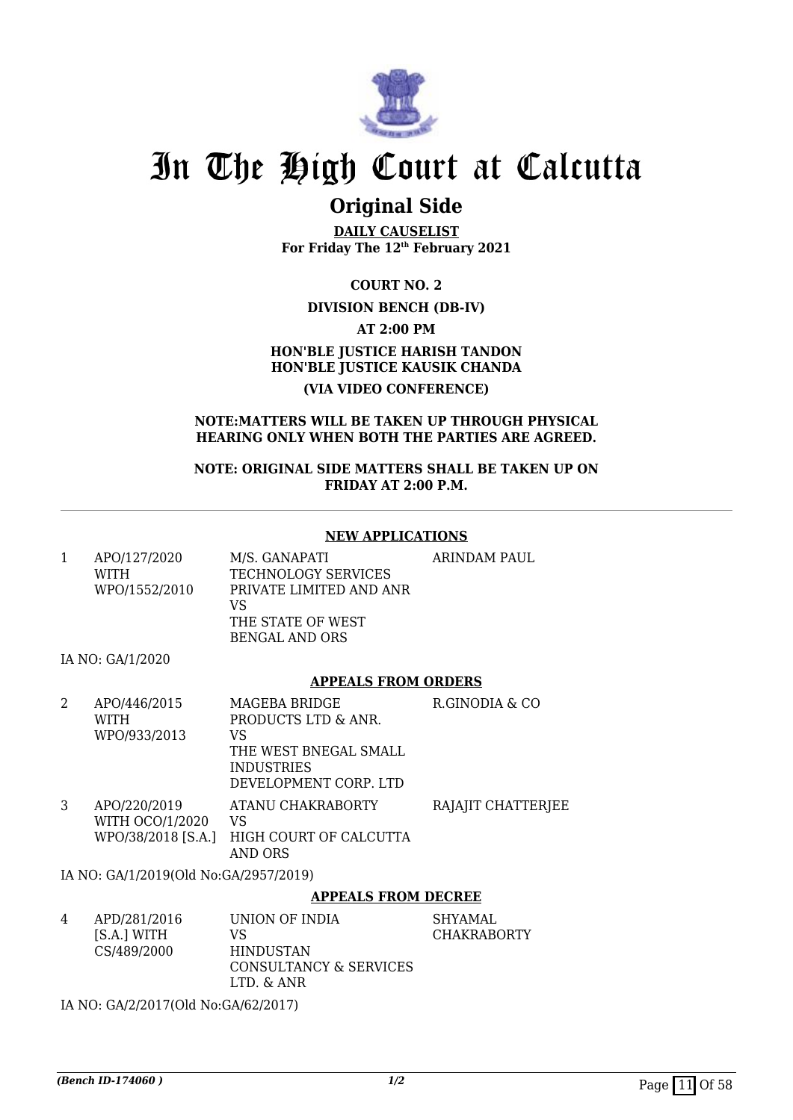

### **Original Side**

**DAILY CAUSELIST For Friday The 12th February 2021**

**COURT NO. 2**

#### **DIVISION BENCH (DB-IV)**

**AT 2:00 PM**

### **HON'BLE JUSTICE HARISH TANDON HON'BLE JUSTICE KAUSIK CHANDA (VIA VIDEO CONFERENCE)**

#### **NOTE:MATTERS WILL BE TAKEN UP THROUGH PHYSICAL HEARING ONLY WHEN BOTH THE PARTIES ARE AGREED.**

**NOTE: ORIGINAL SIDE MATTERS SHALL BE TAKEN UP ON FRIDAY AT 2:00 P.M.**

#### **NEW APPLICATIONS**

| APO/127/2020<br>WITH<br>WPO/1552/2010 | M/S. GANAPATI<br>TECHNOLOGY SERVICES<br>PRIVATE LIMITED AND ANR<br>VS<br>THE STATE OF WEST<br>BENGAL AND ORS | ARINDAM PAUL |
|---------------------------------------|--------------------------------------------------------------------------------------------------------------|--------------|
|                                       |                                                                                                              |              |

IA NO: GA/1/2020

#### **APPEALS FROM ORDERS**

| 2 | APO/446/2015<br>WITH                                  | <b>MAGEBA BRIDGE</b><br>PRODUCTS LTD & ANR.                               | R.GINODIA & CO     |
|---|-------------------------------------------------------|---------------------------------------------------------------------------|--------------------|
|   | WPO/933/2013                                          | VS<br>THE WEST BNEGAL SMALL<br><b>INDUSTRIES</b><br>DEVELOPMENT CORP. LTD |                    |
| 3 | APO/220/2019<br>WITH OCO/1/2020<br>WPO/38/2018 [S.A.] | ATANU CHAKRABORTY<br>VS<br>HIGH COURT OF CALCUTTA<br>AND ORS              | RAJAJIT CHATTERJEE |

IA NO: GA/1/2019(Old No:GA/2957/2019)

#### **APPEALS FROM DECREE**

| 4 | APD/281/2016 | UNION OF INDIA         | SHYAMAL            |
|---|--------------|------------------------|--------------------|
|   | [S.A.] WITH  | VS                     | <b>CHAKRABORTY</b> |
|   | CS/489/2000  | <b>HINDUSTAN</b>       |                    |
|   |              | CONSULTANCY & SERVICES |                    |
|   |              | LTD. & ANR             |                    |
|   |              |                        |                    |

IA NO: GA/2/2017(Old No:GA/62/2017)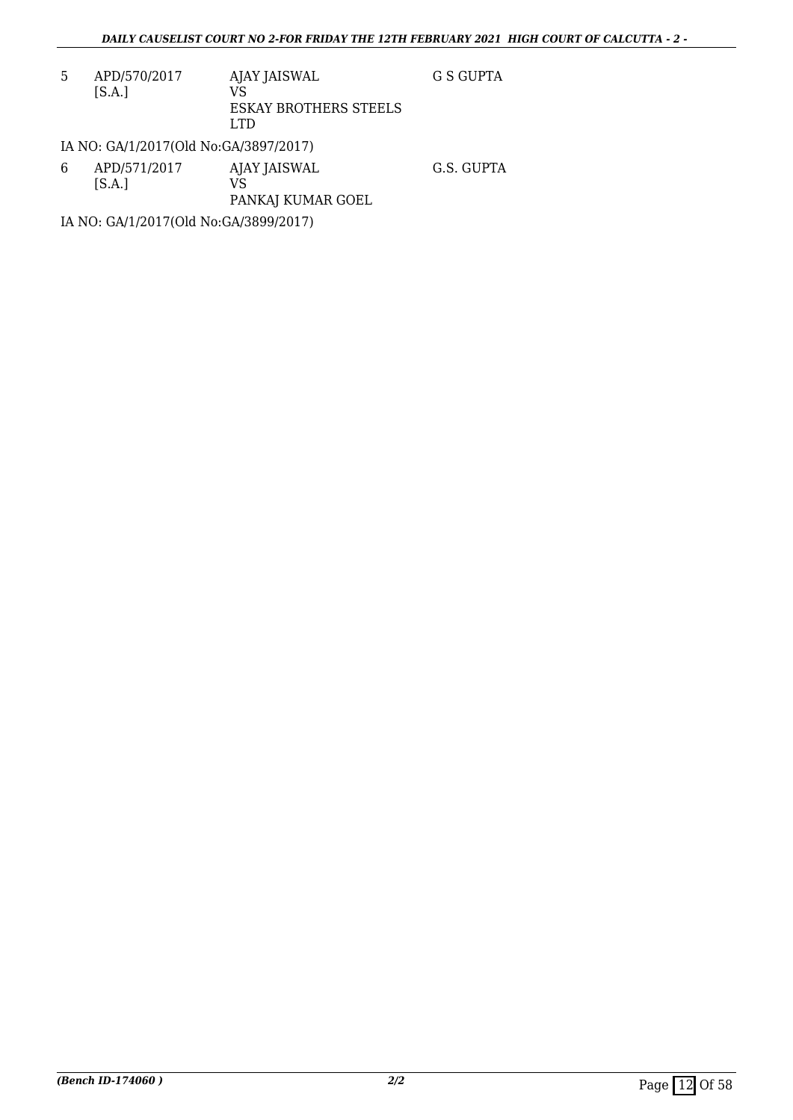5 APD/570/2017 [S.A.] AJAY JAISWAL VS ESKAY BROTHERS STEELS LTD G S GUPTA

IA NO: GA/1/2017(Old No:GA/3897/2017)

6 APD/571/2017  $[S.A.]$ AJAY JAISWAL VS PANKAJ KUMAR GOEL G.S. GUPTA

IA NO: GA/1/2017(Old No:GA/3899/2017)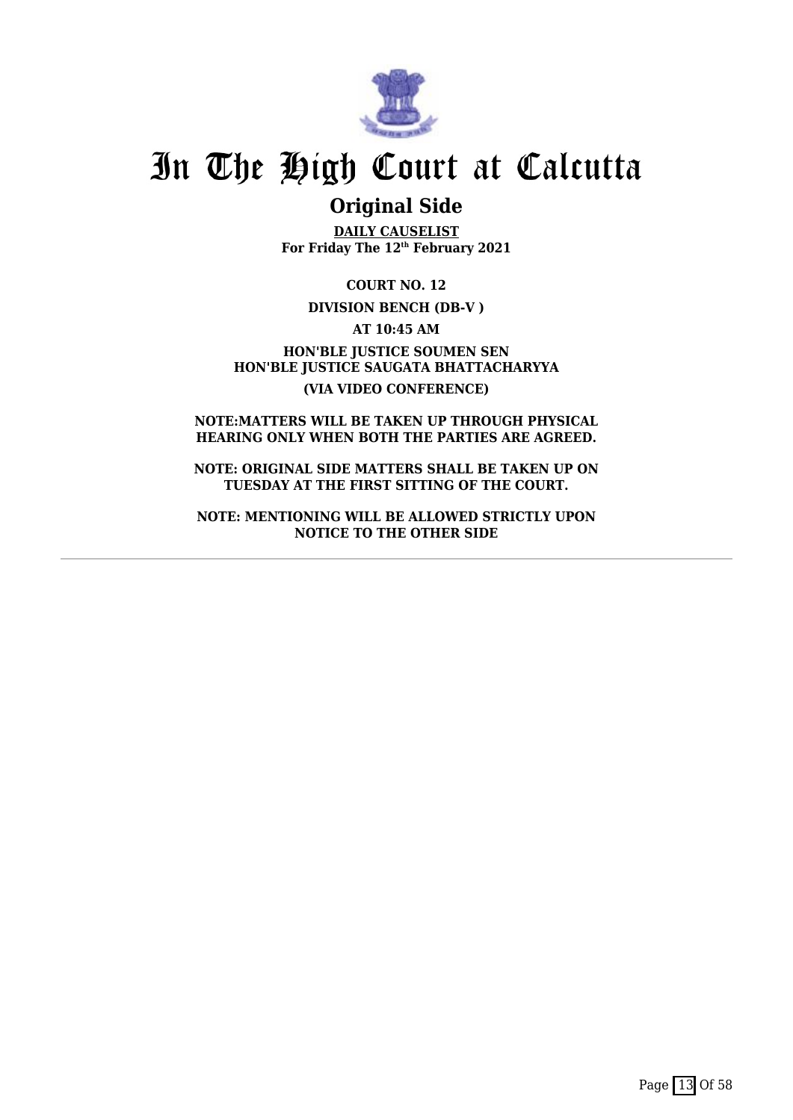

### **Original Side**

**DAILY CAUSELIST For Friday The 12th February 2021**

**COURT NO. 12**

#### **DIVISION BENCH (DB-V )**

**AT 10:45 AM**

**HON'BLE JUSTICE SOUMEN SEN HON'BLE JUSTICE SAUGATA BHATTACHARYYA (VIA VIDEO CONFERENCE)**

**NOTE:MATTERS WILL BE TAKEN UP THROUGH PHYSICAL HEARING ONLY WHEN BOTH THE PARTIES ARE AGREED.**

**NOTE: ORIGINAL SIDE MATTERS SHALL BE TAKEN UP ON TUESDAY AT THE FIRST SITTING OF THE COURT.**

**NOTE: MENTIONING WILL BE ALLOWED STRICTLY UPON NOTICE TO THE OTHER SIDE**

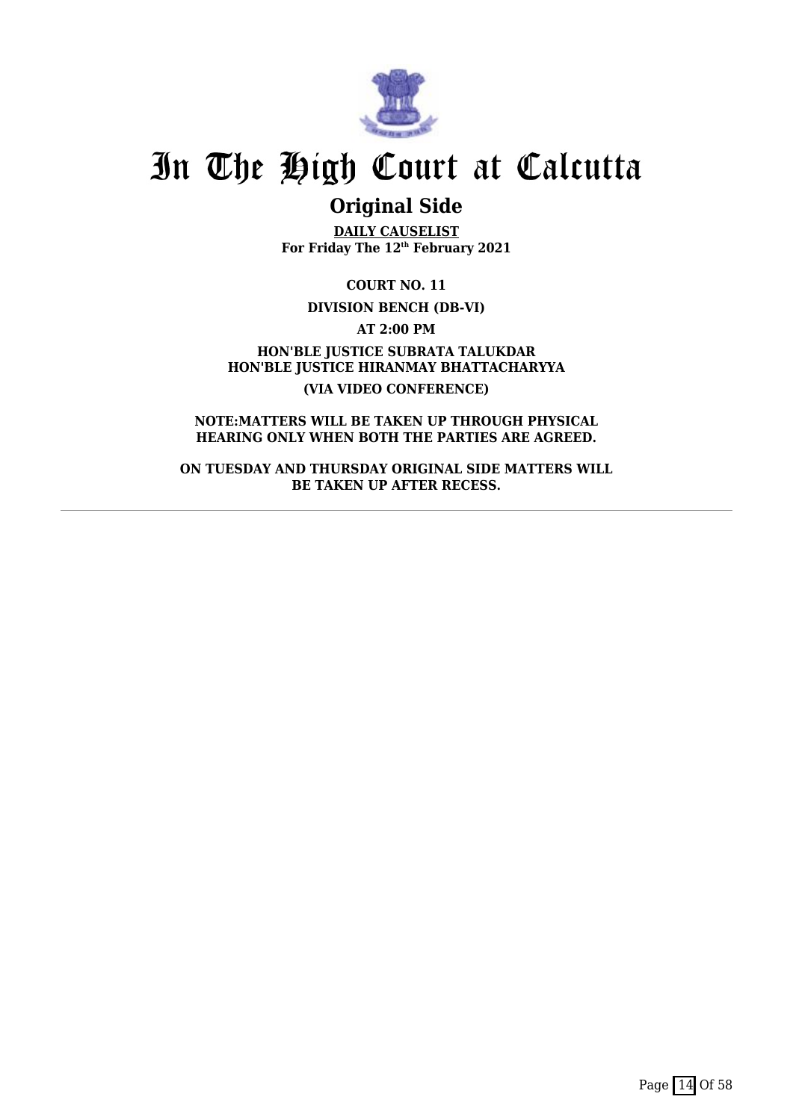

### **Original Side**

**DAILY CAUSELIST For Friday The 12th February 2021**

**COURT NO. 11**

**DIVISION BENCH (DB-VI)**

**AT 2:00 PM**

**HON'BLE JUSTICE SUBRATA TALUKDAR HON'BLE JUSTICE HIRANMAY BHATTACHARYYA (VIA VIDEO CONFERENCE)**

**NOTE:MATTERS WILL BE TAKEN UP THROUGH PHYSICAL HEARING ONLY WHEN BOTH THE PARTIES ARE AGREED.**

**ON TUESDAY AND THURSDAY ORIGINAL SIDE MATTERS WILL BE TAKEN UP AFTER RECESS.**

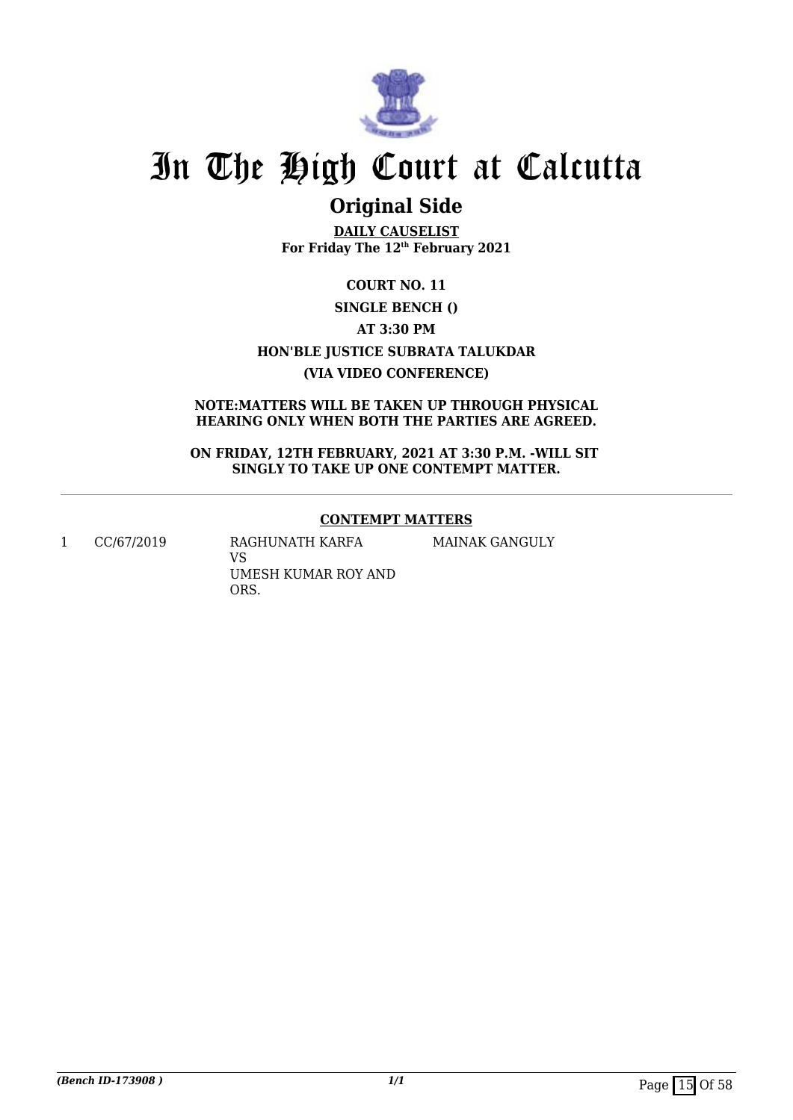

## **Original Side**

**DAILY CAUSELIST For Friday The 12th February 2021**

**COURT NO. 11 SINGLE BENCH () AT 3:30 PM HON'BLE JUSTICE SUBRATA TALUKDAR (VIA VIDEO CONFERENCE)**

#### **NOTE:MATTERS WILL BE TAKEN UP THROUGH PHYSICAL HEARING ONLY WHEN BOTH THE PARTIES ARE AGREED.**

**ON FRIDAY, 12TH FEBRUARY, 2021 AT 3:30 P.M. -WILL SIT SINGLY TO TAKE UP ONE CONTEMPT MATTER.**

#### **CONTEMPT MATTERS**

MAINAK GANGULY

1 CC/67/2019 RAGHUNATH KARFA

VS UMESH KUMAR ROY AND ORS.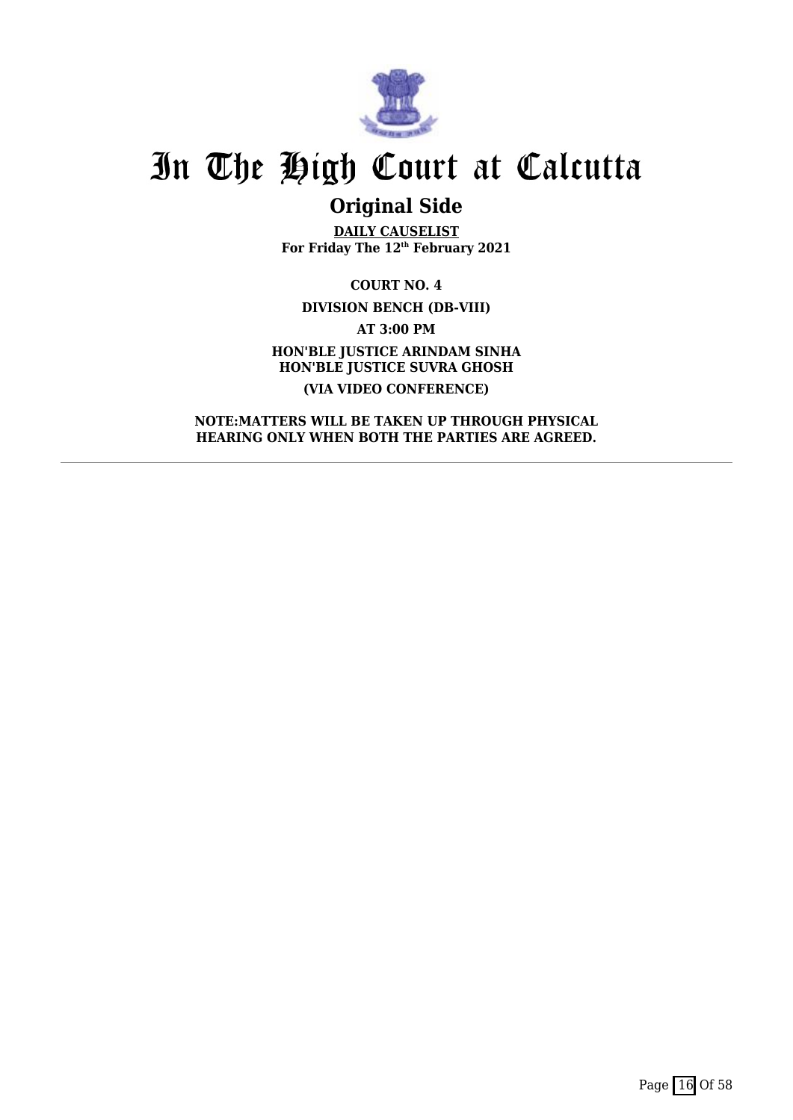

## **Original Side**

**DAILY CAUSELIST For Friday The 12th February 2021**

**COURT NO. 4 DIVISION BENCH (DB-VIII) AT 3:00 PM HON'BLE JUSTICE ARINDAM SINHA HON'BLE JUSTICE SUVRA GHOSH (VIA VIDEO CONFERENCE)**

**NOTE:MATTERS WILL BE TAKEN UP THROUGH PHYSICAL HEARING ONLY WHEN BOTH THE PARTIES ARE AGREED.**

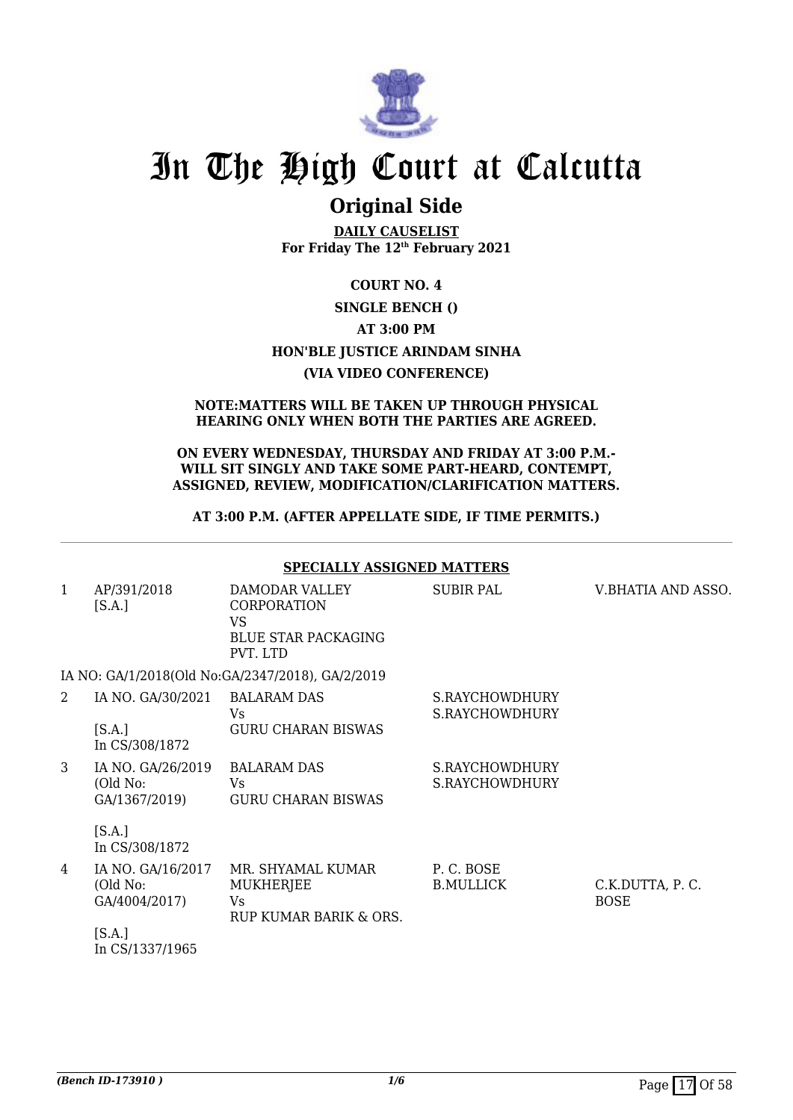

### **Original Side**

**DAILY CAUSELIST For Friday The 12th February 2021**

### **COURT NO. 4 SINGLE BENCH () AT 3:00 PM HON'BLE JUSTICE ARINDAM SINHA (VIA VIDEO CONFERENCE)**

#### **NOTE:MATTERS WILL BE TAKEN UP THROUGH PHYSICAL HEARING ONLY WHEN BOTH THE PARTIES ARE AGREED.**

#### **ON EVERY WEDNESDAY, THURSDAY AND FRIDAY AT 3:00 P.M.- WILL SIT SINGLY AND TAKE SOME PART-HEARD, CONTEMPT, ASSIGNED, REVIEW, MODIFICATION/CLARIFICATION MATTERS.**

#### **AT 3:00 P.M. (AFTER APPELLATE SIDE, IF TIME PERMITS.)**

#### **SPECIALLY ASSIGNED MATTERS** 1 AP/391/2018  $[S.A.]$ DAMODAR VALLEY CORPORATION VS BLUE STAR PACKAGING PVT. LTD SUBIR PAL V.BHATIA AND ASSO. IA NO: GA/1/2018(Old No:GA/2347/2018), GA/2/2019 2 IA NO. GA/30/2021  $[S.A.]$ In CS/308/1872 BALARAM DAS  $V<sub>c</sub>$ GURU CHARAN BISWAS S.RAYCHOWDHURY S.RAYCHOWDHURY 3 IA NO. GA/26/2019 (Old No: GA/1367/2019)  $[S.A.]$ In CS/308/1872 BALARAM DAS Vs GURU CHARAN BISWAS S.RAYCHOWDHURY S.RAYCHOWDHURY 4 IA NO. GA/16/2017 (Old No: GA/4004/2017)  $[S.A.]$ In CS/1337/1965 MR. SHYAMAL KUMAR **MUKHERIEE** Vs RUP KUMAR BARIK & ORS. P. C. BOSE B.MULLICK C.K.DUTTA, P. C. **BOSE**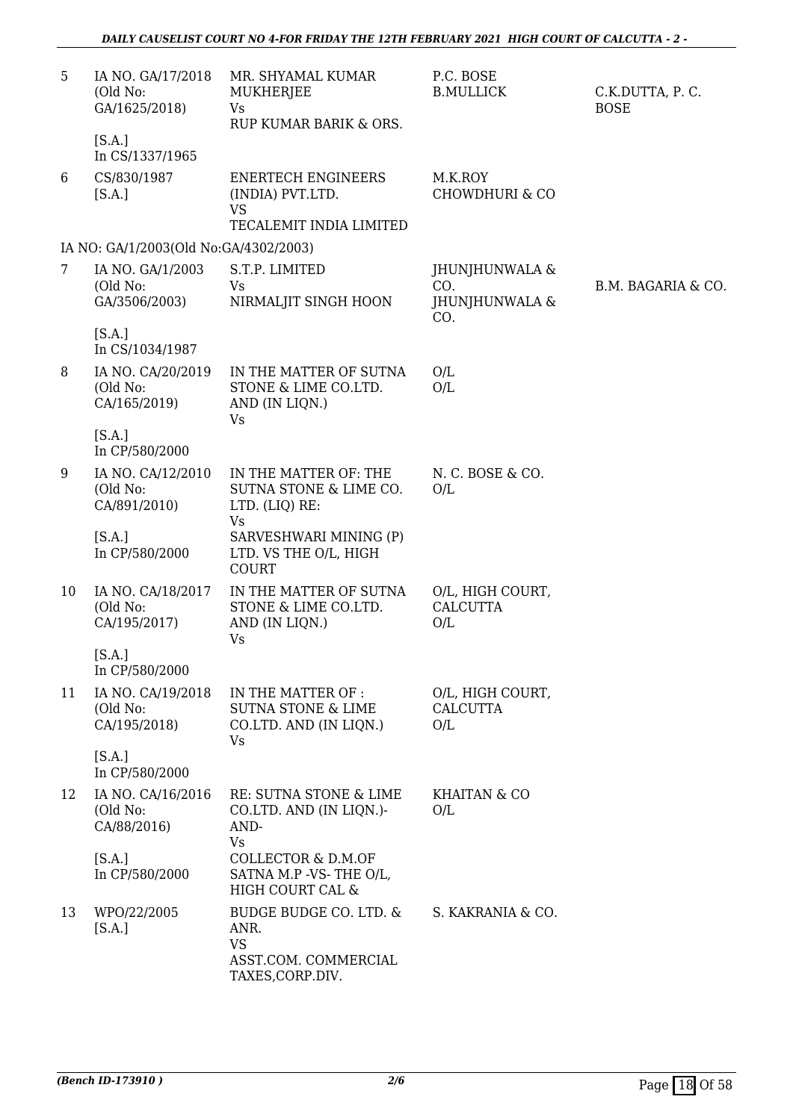| 5  | IA NO. GA/17/2018<br>(Old No:<br>GA/1625/2018)<br>[S.A.] | MR. SHYAMAL KUMAR<br>MUKHERJEE<br><b>Vs</b><br>RUP KUMAR BARIK & ORS.                   | P.C. BOSE<br><b>B.MULLICK</b>                  | C.K.DUTTA, P.C.<br><b>BOSE</b> |
|----|----------------------------------------------------------|-----------------------------------------------------------------------------------------|------------------------------------------------|--------------------------------|
| 6  | In CS/1337/1965<br>CS/830/1987<br>[S.A.]                 | <b>ENERTECH ENGINEERS</b><br>(INDIA) PVT.LTD.<br><b>VS</b><br>TECALEMIT INDIA LIMITED   | M.K.ROY<br><b>CHOWDHURI &amp; CO</b>           |                                |
|    | IA NO: GA/1/2003(Old No:GA/4302/2003)                    |                                                                                         |                                                |                                |
| 7  | IA NO. GA/1/2003<br>(Old No:<br>GA/3506/2003)            | S.T.P. LIMITED<br>Vs<br>NIRMALJIT SINGH HOON                                            | JHUNJHUNWALA &<br>CO.<br>JHUNJHUNWALA &<br>CO. | B.M. BAGARIA & CO.             |
|    | [S.A.]<br>In CS/1034/1987                                |                                                                                         |                                                |                                |
| 8  | IA NO. CA/20/2019<br>(Old No:<br>CA/165/2019)            | IN THE MATTER OF SUTNA<br>STONE & LIME CO.LTD.<br>AND (IN LIQN.)<br><b>Vs</b>           | O/L<br>O/L                                     |                                |
|    | [S.A.]<br>In CP/580/2000                                 |                                                                                         |                                                |                                |
| 9  | IA NO. CA/12/2010<br>(Old No:<br>CA/891/2010)            | IN THE MATTER OF: THE<br>SUTNA STONE & LIME CO.<br>LTD. (LIQ) RE:<br><b>Vs</b>          | N. C. BOSE & CO.<br>O/L                        |                                |
|    | [S.A.]<br>In CP/580/2000                                 | SARVESHWARI MINING (P)<br>LTD. VS THE O/L, HIGH<br><b>COURT</b>                         |                                                |                                |
| 10 | IA NO. CA/18/2017<br>(Old No:<br>CA/195/2017)            | IN THE MATTER OF SUTNA<br>STONE & LIME CO.LTD.<br>AND (IN LIQN.)<br>Vs                  | O/L, HIGH COURT,<br><b>CALCUTTA</b><br>O/L     |                                |
|    | [S.A.]<br>In CP/580/2000                                 |                                                                                         |                                                |                                |
| 11 | IA NO. CA/19/2018<br>(Old No:<br>CA/195/2018)            | IN THE MATTER OF :<br><b>SUTNA STONE &amp; LIME</b><br>CO.LTD. AND (IN LIQN.)<br>Vs     | O/L, HIGH COURT,<br><b>CALCUTTA</b><br>O/L     |                                |
|    | [S.A.]<br>In CP/580/2000                                 |                                                                                         |                                                |                                |
| 12 | IA NO. CA/16/2016<br>(Old No:<br>CA/88/2016)             | RE: SUTNA STONE & LIME<br>CO.LTD. AND (IN LIQN.)-<br>AND-<br><b>Vs</b>                  | KHAITAN & CO<br>O/L                            |                                |
|    | [S.A.]<br>In CP/580/2000                                 | COLLECTOR & D.M.OF<br>SATNA M.P -VS-THE O/L,<br>HIGH COURT CAL &                        |                                                |                                |
| 13 | WPO/22/2005<br>[S.A.]                                    | BUDGE BUDGE CO. LTD. &<br>ANR.<br><b>VS</b><br>ASST.COM. COMMERCIAL<br>TAXES, CORP.DIV. | S. KAKRANIA & CO.                              |                                |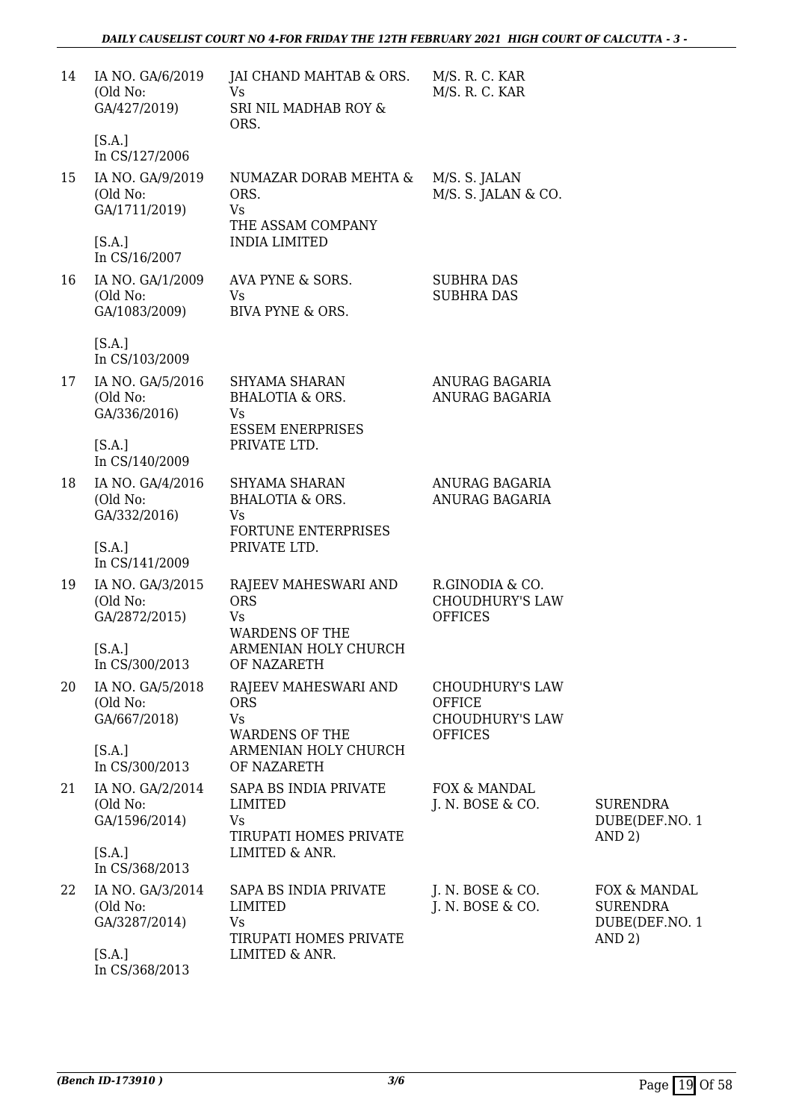| 14 | IA NO. GA/6/2019<br>(Old No:<br>GA/427/2019)  | JAI CHAND MAHTAB & ORS.<br><b>Vs</b><br>SRI NIL MADHAB ROY &<br>ORS.            | M/S. R. C. KAR<br>M/S. R. C. KAR                                             |                                                             |
|----|-----------------------------------------------|---------------------------------------------------------------------------------|------------------------------------------------------------------------------|-------------------------------------------------------------|
|    | [S.A.]<br>In CS/127/2006                      |                                                                                 |                                                                              |                                                             |
| 15 | IA NO. GA/9/2019<br>(Old No:<br>GA/1711/2019) | NUMAZAR DORAB MEHTA &<br>ORS.<br>Vs<br>THE ASSAM COMPANY                        | M/S. S. JALAN<br>M/S. S. JALAN & CO.                                         |                                                             |
|    | [S.A.]<br>In CS/16/2007                       | <b>INDIA LIMITED</b>                                                            |                                                                              |                                                             |
| 16 | IA NO. GA/1/2009<br>(Old No:<br>GA/1083/2009) | AVA PYNE & SORS.<br>Vs<br>BIVA PYNE & ORS.                                      | <b>SUBHRA DAS</b><br><b>SUBHRA DAS</b>                                       |                                                             |
|    | [S.A.]<br>In CS/103/2009                      |                                                                                 |                                                                              |                                                             |
| 17 | IA NO. GA/5/2016<br>(Old No:<br>GA/336/2016)  | SHYAMA SHARAN<br><b>BHALOTIA &amp; ORS.</b><br>Vs<br><b>ESSEM ENERPRISES</b>    | ANURAG BAGARIA<br>ANURAG BAGARIA                                             |                                                             |
|    | [S.A.]<br>In CS/140/2009                      | PRIVATE LTD.                                                                    |                                                                              |                                                             |
| 18 | IA NO. GA/4/2016<br>(Old No:<br>GA/332/2016)  | SHYAMA SHARAN<br><b>BHALOTIA &amp; ORS.</b><br>Vs<br><b>FORTUNE ENTERPRISES</b> | ANURAG BAGARIA<br>ANURAG BAGARIA                                             |                                                             |
|    | [S.A.]<br>In CS/141/2009                      | PRIVATE LTD.                                                                    |                                                                              |                                                             |
| 19 | IA NO. GA/3/2015<br>(Old No:<br>GA/2872/2015) | RAJEEV MAHESWARI AND<br><b>ORS</b><br><b>Vs</b><br><b>WARDENS OF THE</b>        | R.GINODIA & CO.<br><b>CHOUDHURY'S LAW</b><br><b>OFFICES</b>                  |                                                             |
|    | [S.A.]<br>In CS/300/2013                      | ARMENIAN HOLY CHURCH<br>OF NAZARETH                                             |                                                                              |                                                             |
| 20 | IA NO. GA/5/2018<br>(Old No:<br>GA/667/2018)  | RAJEEV MAHESWARI AND<br><b>ORS</b><br><b>Vs</b><br><b>WARDENS OF THE</b>        | <b>CHOUDHURY'S LAW</b><br>OFFICE<br><b>CHOUDHURY'S LAW</b><br><b>OFFICES</b> |                                                             |
|    | [S.A.]<br>In CS/300/2013                      | ARMENIAN HOLY CHURCH<br>OF NAZARETH                                             |                                                                              |                                                             |
| 21 | IA NO. GA/2/2014<br>(Old No:<br>GA/1596/2014) | SAPA BS INDIA PRIVATE<br>LIMITED<br>Vs<br>TIRUPATI HOMES PRIVATE                | FOX & MANDAL<br>J. N. BOSE & CO.                                             | <b>SURENDRA</b><br>DUBE(DEF.NO. 1<br>AND 2)                 |
|    | [S.A.]<br>In CS/368/2013                      | LIMITED & ANR.                                                                  |                                                                              |                                                             |
| 22 | IA NO. GA/3/2014<br>(Old No:<br>GA/3287/2014) | SAPA BS INDIA PRIVATE<br><b>LIMITED</b><br>Vs<br>TIRUPATI HOMES PRIVATE         | J. N. BOSE & CO.<br>J. N. BOSE & CO.                                         | FOX & MANDAL<br><b>SURENDRA</b><br>DUBE(DEF.NO. 1<br>AND 2) |
|    | [S.A.]<br>In CS/368/2013                      | LIMITED & ANR.                                                                  |                                                                              |                                                             |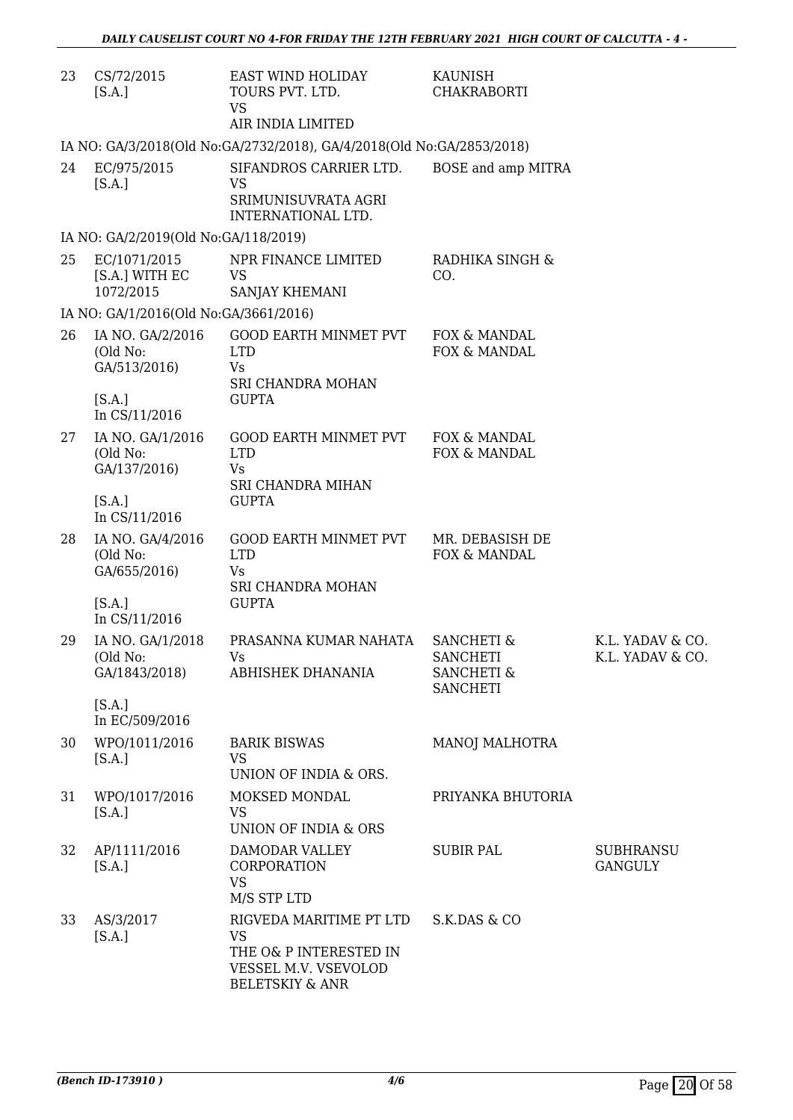| 23 | CS/72/2015<br>[S.A.]                          | EAST WIND HOLIDAY<br>TOURS PVT. LTD.<br><b>VS</b><br>AIR INDIA LIMITED                                               | KAUNISH<br><b>CHAKRABORTI</b>                                                        |                                      |
|----|-----------------------------------------------|----------------------------------------------------------------------------------------------------------------------|--------------------------------------------------------------------------------------|--------------------------------------|
|    |                                               | IA NO: GA/3/2018(Old No:GA/2732/2018), GA/4/2018(Old No:GA/2853/2018)                                                |                                                                                      |                                      |
| 24 | EC/975/2015<br>[S.A.]                         | SIFANDROS CARRIER LTD.<br><b>VS</b><br>SRIMUNISUVRATA AGRI<br>INTERNATIONAL LTD.                                     | BOSE and amp MITRA                                                                   |                                      |
|    | IA NO: GA/2/2019(Old No:GA/118/2019)          |                                                                                                                      |                                                                                      |                                      |
| 25 | EC/1071/2015<br>[S.A.] WITH EC<br>1072/2015   | NPR FINANCE LIMITED<br><b>VS</b><br>SANJAY KHEMANI                                                                   | RADHIKA SINGH &<br>CO.                                                               |                                      |
|    | IA NO: GA/1/2016(Old No:GA/3661/2016)         |                                                                                                                      |                                                                                      |                                      |
| 26 | IA NO. GA/2/2016<br>(Old No:<br>GA/513/2016)  | <b>GOOD EARTH MINMET PVT</b><br><b>LTD</b><br>Vs<br>SRI CHANDRA MOHAN                                                | FOX & MANDAL<br>FOX & MANDAL                                                         |                                      |
|    | [S.A.]<br>In CS/11/2016                       | <b>GUPTA</b>                                                                                                         |                                                                                      |                                      |
| 27 | IA NO. GA/1/2016<br>(Old No:<br>GA/137/2016)  | GOOD EARTH MINMET PVT<br><b>LTD</b><br>Vs                                                                            | FOX & MANDAL<br>FOX & MANDAL                                                         |                                      |
|    | [S.A.]<br>In CS/11/2016                       | SRI CHANDRA MIHAN<br><b>GUPTA</b>                                                                                    |                                                                                      |                                      |
| 28 | IA NO. GA/4/2016<br>(Old No:<br>GA/655/2016)  | GOOD EARTH MINMET PVT<br><b>LTD</b><br>Vs<br>SRI CHANDRA MOHAN                                                       | MR. DEBASISH DE<br>FOX & MANDAL                                                      |                                      |
|    | [S.A.]<br>In CS/11/2016                       | <b>GUPTA</b>                                                                                                         |                                                                                      |                                      |
| 29 | IA NO. GA/1/2018<br>(Old No:<br>GA/1843/2018) | PRASANNA KUMAR NAHATA<br>Vs.<br>ABHISHEK DHANANIA                                                                    | <b>SANCHETI &amp;</b><br><b>SANCHETI</b><br><b>SANCHETI &amp;</b><br><b>SANCHETI</b> | K.L. YADAV & CO.<br>K.L. YADAV & CO. |
|    | [S.A.]<br>In EC/509/2016                      |                                                                                                                      |                                                                                      |                                      |
| 30 | WPO/1011/2016<br>[S.A.]                       | <b>BARIK BISWAS</b><br><b>VS</b><br>UNION OF INDIA & ORS.                                                            | MANOJ MALHOTRA                                                                       |                                      |
| 31 | WPO/1017/2016<br>[S.A.]                       | MOKSED MONDAL<br><b>VS</b><br>UNION OF INDIA & ORS                                                                   | PRIYANKA BHUTORIA                                                                    |                                      |
| 32 | AP/1111/2016<br>[S.A.]                        | DAMODAR VALLEY<br>CORPORATION<br><b>VS</b><br>M/S STP LTD                                                            | <b>SUBIR PAL</b>                                                                     | <b>SUBHRANSU</b><br><b>GANGULY</b>   |
| 33 | AS/3/2017<br>[S.A.]                           | RIGVEDA MARITIME PT LTD<br><b>VS</b><br>THE O& P INTERESTED IN<br>VESSEL M.V. VSEVOLOD<br><b>BELETSKIY &amp; ANR</b> | S.K.DAS & CO                                                                         |                                      |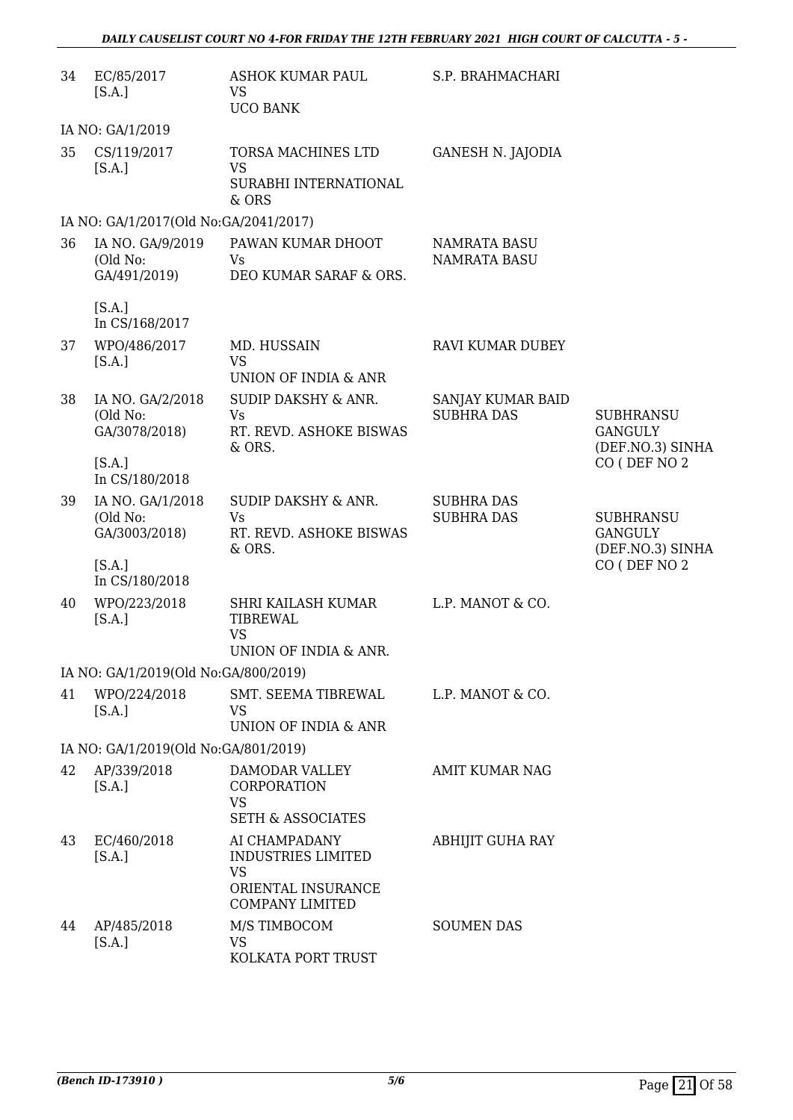| 34 | EC/85/2017<br>[S.A.]                          | ASHOK KUMAR PAUL<br><b>VS</b><br><b>UCO BANK</b>                                                        | S.P. BRAHMACHARI                           |                                                        |
|----|-----------------------------------------------|---------------------------------------------------------------------------------------------------------|--------------------------------------------|--------------------------------------------------------|
|    | IA NO: GA/1/2019                              |                                                                                                         |                                            |                                                        |
| 35 | CS/119/2017<br>[S.A.]                         | TORSA MACHINES LTD<br><b>VS</b><br>SURABHI INTERNATIONAL<br>& ORS                                       | <b>GANESH N. JAJODIA</b>                   |                                                        |
|    | IA NO: GA/1/2017(Old No:GA/2041/2017)         |                                                                                                         |                                            |                                                        |
| 36 | IA NO. GA/9/2019<br>(Old No:<br>GA/491/2019)  | PAWAN KUMAR DHOOT<br>Vs.<br>DEO KUMAR SARAF & ORS.                                                      | <b>NAMRATA BASU</b><br><b>NAMRATA BASU</b> |                                                        |
|    | [S.A.]<br>In CS/168/2017                      |                                                                                                         |                                            |                                                        |
| 37 | WPO/486/2017<br>[S.A.]                        | MD. HUSSAIN<br><b>VS</b>                                                                                | <b>RAVI KUMAR DUBEY</b>                    |                                                        |
| 38 | IA NO. GA/2/2018<br>(Old No:<br>GA/3078/2018) | UNION OF INDIA & ANR<br>SUDIP DAKSHY & ANR.<br><b>Vs</b><br>RT. REVD. ASHOKE BISWAS<br>& ORS.           | SANJAY KUMAR BAID<br><b>SUBHRA DAS</b>     | <b>SUBHRANSU</b><br><b>GANGULY</b><br>(DEF.NO.3) SINHA |
|    | [S.A.]<br>In CS/180/2018                      |                                                                                                         |                                            | CO (DEF NO 2                                           |
| 39 | IA NO. GA/1/2018<br>(Old No:<br>GA/3003/2018) | <b>SUDIP DAKSHY &amp; ANR.</b><br><b>Vs</b><br>RT. REVD. ASHOKE BISWAS<br>& ORS.                        | <b>SUBHRA DAS</b><br><b>SUBHRA DAS</b>     | <b>SUBHRANSU</b><br><b>GANGULY</b><br>(DEF.NO.3) SINHA |
|    | [S.A.]<br>In CS/180/2018                      |                                                                                                         |                                            | CO (DEF NO 2                                           |
| 40 | WPO/223/2018<br>[S.A.]                        | SHRI KAILASH KUMAR<br><b>TIBREWAL</b><br><b>VS</b><br>UNION OF INDIA & ANR.                             | L.P. MANOT & CO.                           |                                                        |
|    | IA NO: GA/1/2019(Old No:GA/800/2019)          |                                                                                                         |                                            |                                                        |
| 41 | WPO/224/2018<br>[S.A.]                        | SMT. SEEMA TIBREWAL<br><b>VS</b><br>UNION OF INDIA & ANR                                                | L.P. MANOT & CO.                           |                                                        |
|    | IA NO: GA/1/2019(Old No:GA/801/2019)          |                                                                                                         |                                            |                                                        |
| 42 | AP/339/2018<br>[S.A.]                         | DAMODAR VALLEY<br>CORPORATION<br><b>VS</b><br><b>SETH &amp; ASSOCIATES</b>                              | AMIT KUMAR NAG                             |                                                        |
| 43 | EC/460/2018<br>[S.A.]                         | AI CHAMPADANY<br><b>INDUSTRIES LIMITED</b><br><b>VS</b><br>ORIENTAL INSURANCE<br><b>COMPANY LIMITED</b> | <b>ABHIJIT GUHA RAY</b>                    |                                                        |
| 44 | AP/485/2018<br>[S.A.]                         | M/S TIMBOCOM<br><b>VS</b><br>KOLKATA PORT TRUST                                                         | <b>SOUMEN DAS</b>                          |                                                        |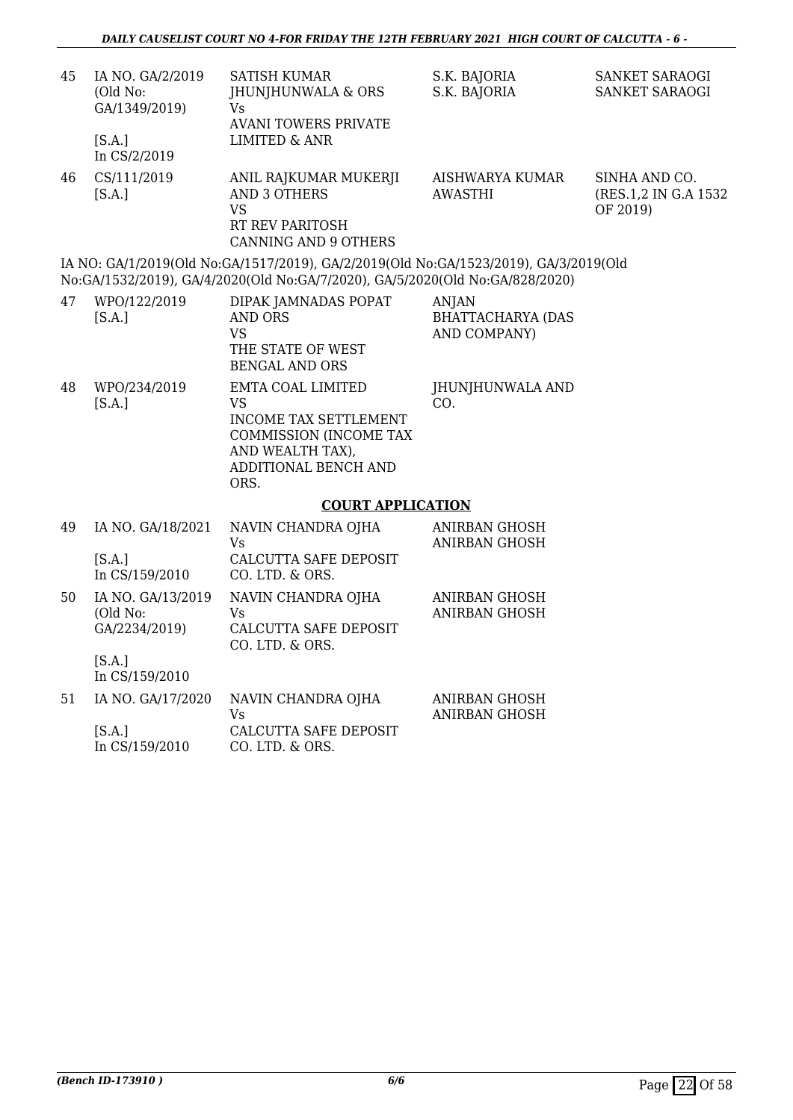| 45 | IA NO. GA/2/2019<br>(Old No:<br>GA/1349/2019)<br>[S.A.]<br>In CS/2/2019 | <b>SATISH KUMAR</b><br>JHUNJHUNWALA & ORS<br><b>Vs</b><br><b>AVANI TOWERS PRIVATE</b><br><b>LIMITED &amp; ANR</b>                                                    | S.K. BAJORIA<br>S.K. BAJORIA                             | SANKET SARAOGI<br>SANKET SARAOGI                   |
|----|-------------------------------------------------------------------------|----------------------------------------------------------------------------------------------------------------------------------------------------------------------|----------------------------------------------------------|----------------------------------------------------|
| 46 | CS/111/2019<br>[S.A.]                                                   | ANIL RAJKUMAR MUKERJI<br><b>AND 3 OTHERS</b><br><b>VS</b><br>RT REV PARITOSH<br><b>CANNING AND 9 OTHERS</b>                                                          | AISHWARYA KUMAR<br><b>AWASTHI</b>                        | SINHA AND CO.<br>(RES.1,2 IN G.A 1532)<br>OF 2019) |
|    |                                                                         | IA NO: GA/1/2019(Old No:GA/1517/2019), GA/2/2019(Old No:GA/1523/2019), GA/3/2019(Old<br>No:GA/1532/2019), GA/4/2020(Old No:GA/7/2020), GA/5/2020(Old No:GA/828/2020) |                                                          |                                                    |
| 47 | WPO/122/2019<br>[S.A.]                                                  | DIPAK JAMNADAS POPAT<br><b>AND ORS</b><br><b>VS</b><br>THE STATE OF WEST<br><b>BENGAL AND ORS</b>                                                                    | <b>ANJAN</b><br><b>BHATTACHARYA (DAS</b><br>AND COMPANY) |                                                    |
| 48 | WPO/234/2019<br>[S.A.]                                                  | EMTA COAL LIMITED<br><b>VS</b><br>INCOME TAX SETTLEMENT<br>COMMISSION (INCOME TAX<br>AND WEALTH TAX),<br>ADDITIONAL BENCH AND<br>ORS.                                | JHUNJHUNWALA AND<br>CO.                                  |                                                    |
|    |                                                                         | <b>COURT APPLICATION</b>                                                                                                                                             |                                                          |                                                    |
| 49 | IA NO. GA/18/2021<br>[S.A.]<br>In CS/159/2010                           | NAVIN CHANDRA OJHA<br>Vs<br><b>CALCUTTA SAFE DEPOSIT</b><br>CO. LTD. & ORS.                                                                                          | <b>ANIRBAN GHOSH</b><br><b>ANIRBAN GHOSH</b>             |                                                    |
| 50 | IA NO. GA/13/2019<br>(Old No:<br>GA/2234/2019)<br>[S.A.]                | NAVIN CHANDRA OJHA<br>Vs<br>CALCUTTA SAFE DEPOSIT<br>CO. LTD. & ORS.                                                                                                 | <b>ANIRBAN GHOSH</b><br><b>ANIRBAN GHOSH</b>             |                                                    |
| 51 | In CS/159/2010<br>IA NO. GA/17/2020                                     | NAVIN CHANDRA OJHA                                                                                                                                                   | ANIRBAN GHOSH                                            |                                                    |
|    |                                                                         |                                                                                                                                                                      | $\lambda$                                                |                                                    |

[S.A.] In CS/159/2010 Vs CALCUTTA SAFE DEPOSIT CO. LTD. & ORS. ANIRBAN GHOSH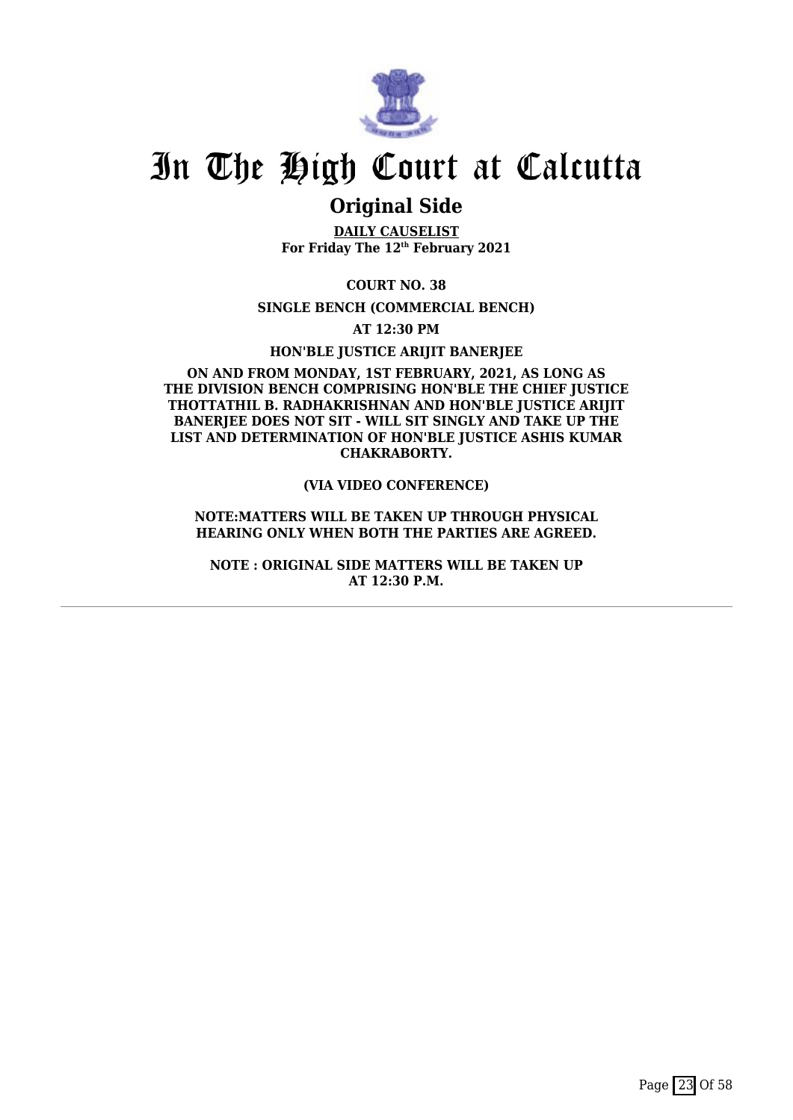

### **Original Side**

**DAILY CAUSELIST For Friday The 12th February 2021**

**COURT NO. 38**

**SINGLE BENCH (COMMERCIAL BENCH)**

**AT 12:30 PM**

**HON'BLE JUSTICE ARIJIT BANERJEE**

#### **ON AND FROM MONDAY, 1ST FEBRUARY, 2021, AS LONG AS THE DIVISION BENCH COMPRISING HON'BLE THE CHIEF JUSTICE THOTTATHIL B. RADHAKRISHNAN AND HON'BLE JUSTICE ARIJIT** BANERIEE DOES NOT SIT - WILL SIT SINGLY AND TAKE UP THE **LIST AND DETERMINATION OF HON'BLE JUSTICE ASHIS KUMAR CHAKRABORTY.**

#### **(VIA VIDEO CONFERENCE)**

#### **NOTE:MATTERS WILL BE TAKEN UP THROUGH PHYSICAL HEARING ONLY WHEN BOTH THE PARTIES ARE AGREED.**

**NOTE : ORIGINAL SIDE MATTERS WILL BE TAKEN UP AT 12:30 P.M.**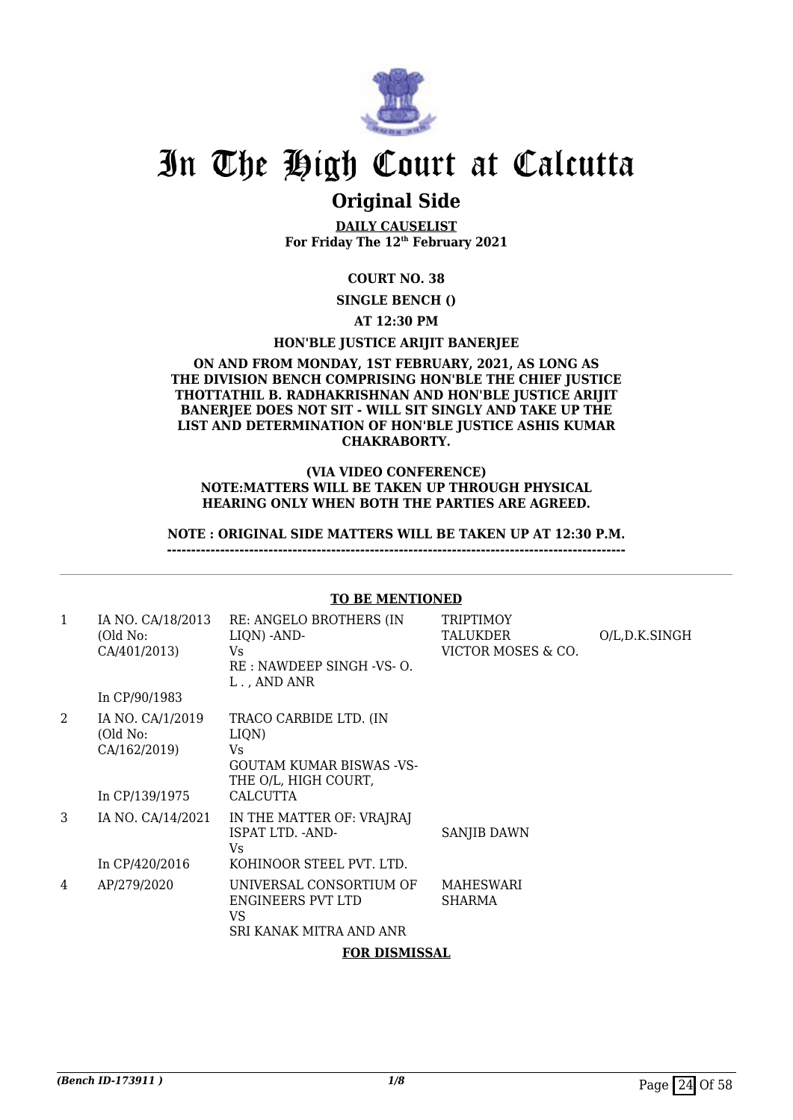

### **Original Side**

**DAILY CAUSELIST For Friday The 12th February 2021**

#### **COURT NO. 38**

**SINGLE BENCH ()**

**AT 12:30 PM**

#### **HON'BLE JUSTICE ARIJIT BANERJEE**

#### **ON AND FROM MONDAY, 1ST FEBRUARY, 2021, AS LONG AS THE DIVISION BENCH COMPRISING HON'BLE THE CHIEF JUSTICE THOTTATHIL B. RADHAKRISHNAN AND HON'BLE JUSTICE ARIJIT BANERJEE DOES NOT SIT - WILL SIT SINGLY AND TAKE UP THE LIST AND DETERMINATION OF HON'BLE JUSTICE ASHIS KUMAR CHAKRABORTY.**

#### **(VIA VIDEO CONFERENCE) NOTE:MATTERS WILL BE TAKEN UP THROUGH PHYSICAL HEARING ONLY WHEN BOTH THE PARTIES ARE AGREED.**

**NOTE : ORIGINAL SIDE MATTERS WILL BE TAKEN UP AT 12:30 P.M.**

**-----------------------------------------------------------------------------------------------**

#### 1 IA NO. CA/18/2013 (Old No: CA/401/2013) In CP/90/1983 RE: ANGELO BROTHERS (IN LIQN) -AND-Vs RE : NAWDEEP SINGH -VS- O. L . , AND ANR **TRIPTIMOY TALUKDER** VICTOR MOSES & CO. O/L,D.K.SINGH 2 IA NO. CA/1/2019 (Old No: CA/162/2019) In CP/139/1975 TRACO CARBIDE LTD. (IN LIQN) Vs GOUTAM KUMAR BISWAS -VS-THE O/L, HIGH COURT, CALCUTTA 3 IA NO. CA/14/2021 In CP/420/2016 IN THE MATTER OF: VRAJRAJ ISPAT LTD. -AND- $V<sub>c</sub>$ KOHINOOR STEEL PVT. LTD. SANJIB DAWN 4 AP/279/2020 UNIVERSAL CONSORTIUM OF ENGINEERS PVT LTD VS SRI KANAK MITRA AND ANR MAHESWARI SHARMA **FOR DISMISSAL**

**TO BE MENTIONED**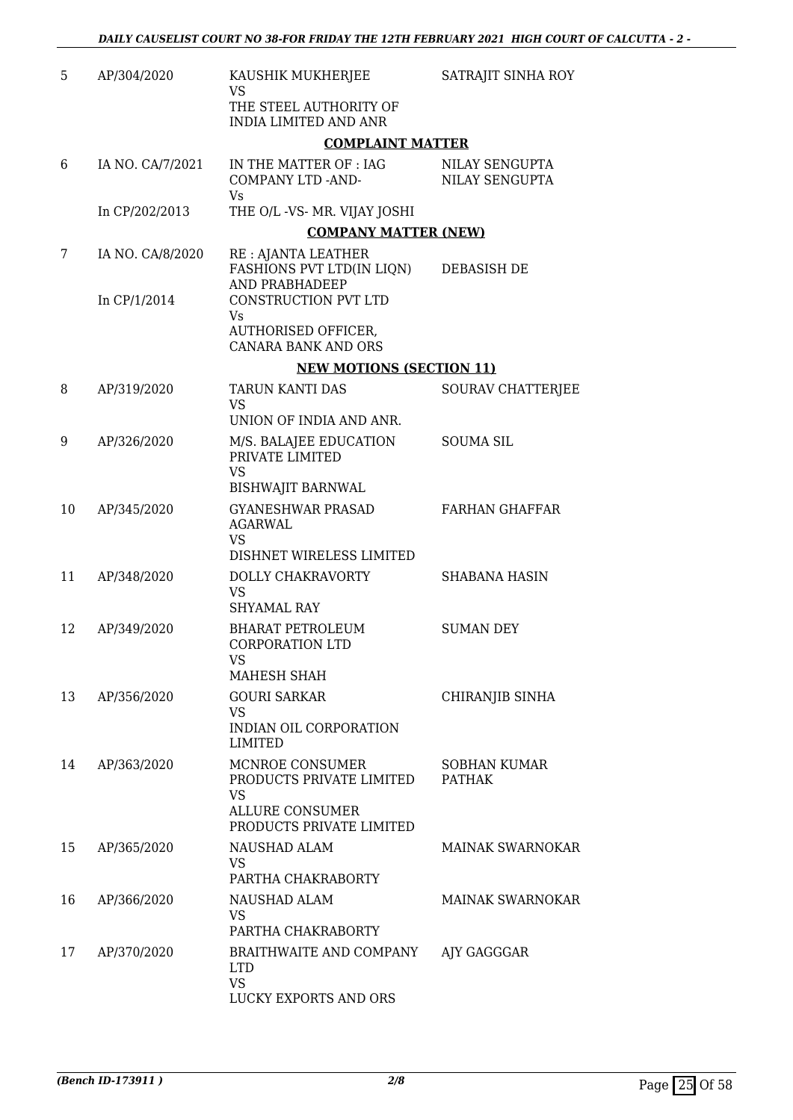| 5  | AP/304/2020      | KAUSHIK MUKHERJEE<br>VS<br>THE STEEL AUTHORITY OF<br><b>INDIA LIMITED AND ANR</b>                       | SATRAJIT SINHA ROY               |
|----|------------------|---------------------------------------------------------------------------------------------------------|----------------------------------|
|    |                  | <b>COMPLAINT MATTER</b>                                                                                 |                                  |
| 6  | IA NO. CA/7/2021 | IN THE MATTER OF : IAG<br>COMPANY LTD -AND-<br>Vs                                                       | NILAY SENGUPTA<br>NILAY SENGUPTA |
|    | In CP/202/2013   | THE O/L -VS- MR. VIJAY JOSHI                                                                            |                                  |
|    |                  | <b>COMPANY MATTER (NEW)</b>                                                                             |                                  |
| 7  | IA NO. CA/8/2020 | RE : AJANTA LEATHER<br>FASHIONS PVT LTD(IN LIQN)<br>AND PRABHADEEP                                      | DEBASISH DE                      |
|    | In CP/1/2014     | CONSTRUCTION PVT LTD<br>Vs                                                                              |                                  |
|    |                  | <b>AUTHORISED OFFICER,</b><br><b>CANARA BANK AND ORS</b>                                                |                                  |
|    |                  | <b>NEW MOTIONS (SECTION 11)</b>                                                                         |                                  |
| 8  | AP/319/2020      | <b>TARUN KANTI DAS</b><br><b>VS</b><br>UNION OF INDIA AND ANR.                                          | <b>SOURAV CHATTERJEE</b>         |
| 9  | AP/326/2020      | M/S. BALAJEE EDUCATION<br>PRIVATE LIMITED<br><b>VS</b>                                                  | <b>SOUMA SIL</b>                 |
|    |                  | <b>BISHWAJIT BARNWAL</b>                                                                                |                                  |
| 10 | AP/345/2020      | <b>GYANESHWAR PRASAD</b><br><b>AGARWAL</b><br><b>VS</b><br>DISHNET WIRELESS LIMITED                     | <b>FARHAN GHAFFAR</b>            |
| 11 | AP/348/2020      | DOLLY CHAKRAVORTY<br><b>VS</b><br><b>SHYAMAL RAY</b>                                                    | <b>SHABANA HASIN</b>             |
| 12 | AP/349/2020      | <b>BHARAT PETROLEUM</b><br><b>CORPORATION LTD</b><br>VS<br>MAHESH SHAH                                  | <b>SUMAN DEY</b>                 |
| 13 | AP/356/2020      | <b>GOURI SARKAR</b>                                                                                     | CHIRANJIB SINHA                  |
|    |                  | VS.<br>INDIAN OIL CORPORATION<br>LIMITED                                                                |                                  |
| 14 | AP/363/2020      | MCNROE CONSUMER<br>PRODUCTS PRIVATE LIMITED<br>VS<br><b>ALLURE CONSUMER</b><br>PRODUCTS PRIVATE LIMITED | SOBHAN KUMAR<br><b>PATHAK</b>    |
| 15 | AP/365/2020      | NAUSHAD ALAM<br>VS.<br>PARTHA CHAKRABORTY                                                               | <b>MAINAK SWARNOKAR</b>          |
| 16 | AP/366/2020      | NAUSHAD ALAM<br><b>VS</b><br>PARTHA CHAKRABORTY                                                         | MAINAK SWARNOKAR                 |
| 17 | AP/370/2020      | BRAITHWAITE AND COMPANY<br><b>LTD</b><br><b>VS</b><br>LUCKY EXPORTS AND ORS                             | AJY GAGGGAR                      |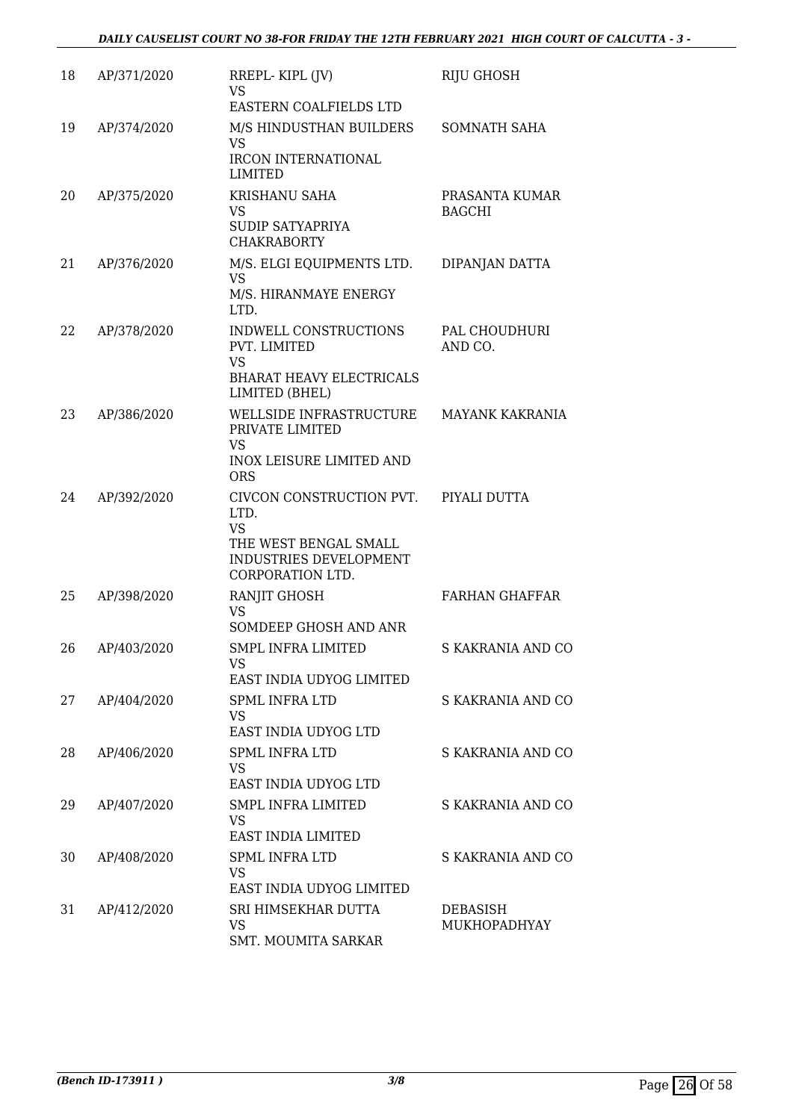| 18 | AP/371/2020 | RREPL-KIPL (JV)<br><b>VS</b>                                                                                         | RIJU GHOSH                      |
|----|-------------|----------------------------------------------------------------------------------------------------------------------|---------------------------------|
| 19 | AP/374/2020 | EASTERN COALFIELDS LTD<br>M/S HINDUSTHAN BUILDERS<br><b>VS</b>                                                       | SOMNATH SAHA                    |
|    |             | <b>IRCON INTERNATIONAL</b><br><b>LIMITED</b>                                                                         |                                 |
| 20 | AP/375/2020 | KRISHANU SAHA<br>VS<br><b>SUDIP SATYAPRIYA</b><br><b>CHAKRABORTY</b>                                                 | PRASANTA KUMAR<br><b>BAGCHI</b> |
| 21 | AP/376/2020 | M/S. ELGI EQUIPMENTS LTD.<br>VS<br>M/S. HIRANMAYE ENERGY<br>LTD.                                                     | DIPANJAN DATTA                  |
| 22 | AP/378/2020 | INDWELL CONSTRUCTIONS<br>PVT. LIMITED<br><b>VS</b><br><b>BHARAT HEAVY ELECTRICALS</b><br>LIMITED (BHEL)              | PAL CHOUDHURI<br>AND CO.        |
| 23 | AP/386/2020 | WELLSIDE INFRASTRUCTURE<br>PRIVATE LIMITED<br>VS<br>INOX LEISURE LIMITED AND<br><b>ORS</b>                           | <b>MAYANK KAKRANIA</b>          |
| 24 | AP/392/2020 | CIVCON CONSTRUCTION PVT.<br>LTD.<br><b>VS</b><br>THE WEST BENGAL SMALL<br>INDUSTRIES DEVELOPMENT<br>CORPORATION LTD. | PIYALI DUTTA                    |
| 25 | AP/398/2020 | RANJIT GHOSH<br>VS<br>SOMDEEP GHOSH AND ANR                                                                          | <b>FARHAN GHAFFAR</b>           |
| 26 | AP/403/2020 | <b>SMPL INFRA LIMITED</b><br><b>VS</b><br>EAST INDIA UDYOG LIMITED                                                   | S KAKRANIA AND CO               |
| 27 | AP/404/2020 | <b>SPML INFRA LTD</b><br>VS<br>EAST INDIA UDYOG LTD                                                                  | S KAKRANIA AND CO               |
| 28 | AP/406/2020 | <b>SPML INFRA LTD</b><br>VS<br>EAST INDIA UDYOG LTD                                                                  | S KAKRANIA AND CO               |
| 29 | AP/407/2020 | <b>SMPL INFRA LIMITED</b><br><b>VS</b><br>EAST INDIA LIMITED                                                         | S KAKRANIA AND CO               |
| 30 | AP/408/2020 | <b>SPML INFRA LTD</b><br><b>VS</b><br>EAST INDIA UDYOG LIMITED                                                       | S KAKRANIA AND CO               |
| 31 | AP/412/2020 | SRI HIMSEKHAR DUTTA<br>VS<br>SMT. MOUMITA SARKAR                                                                     | <b>DEBASISH</b><br>MUKHOPADHYAY |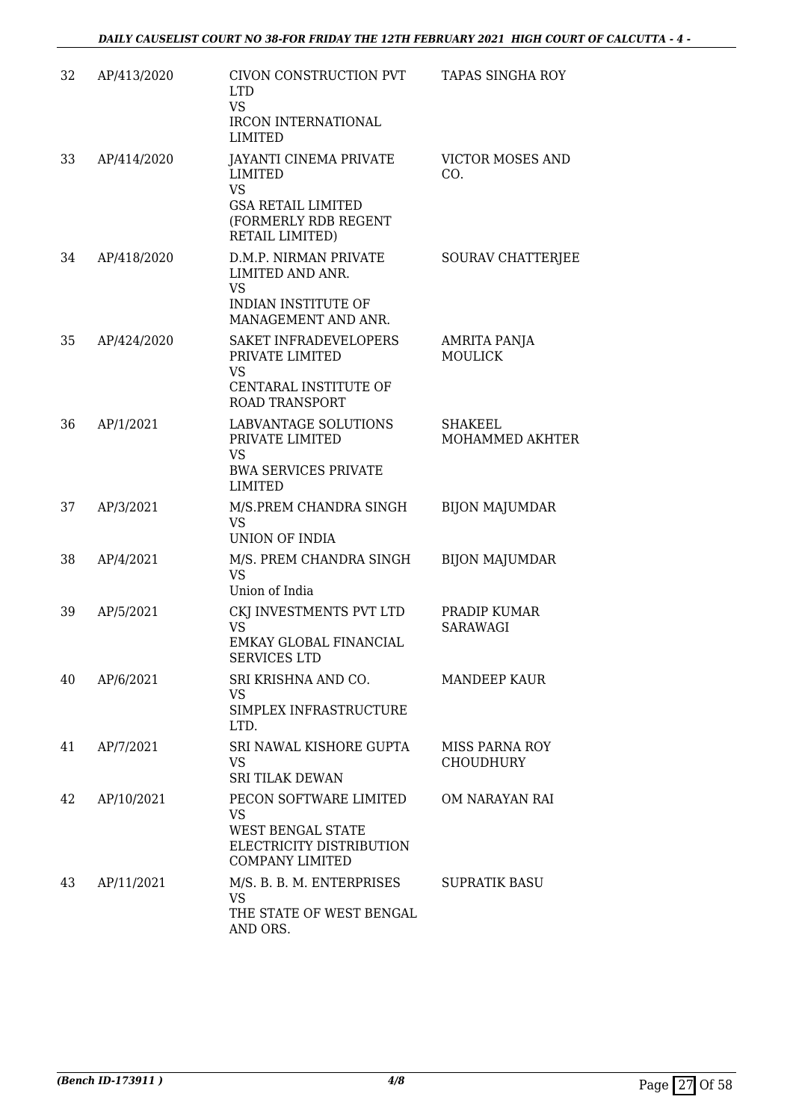| 32 | AP/413/2020 | CIVON CONSTRUCTION PVT<br><b>LTD</b><br><b>VS</b><br><b>IRCON INTERNATIONAL</b><br><b>LIMITED</b>                      | <b>TAPAS SINGHA ROY</b>                   |
|----|-------------|------------------------------------------------------------------------------------------------------------------------|-------------------------------------------|
| 33 | AP/414/2020 | JAYANTI CINEMA PRIVATE<br>LIMITED<br><b>VS</b><br><b>GSA RETAIL LIMITED</b><br>(FORMERLY RDB REGENT<br>RETAIL LIMITED) | <b>VICTOR MOSES AND</b><br>CO.            |
| 34 | AP/418/2020 | D.M.P. NIRMAN PRIVATE<br>LIMITED AND ANR.<br><b>VS</b><br>INDIAN INSTITUTE OF<br>MANAGEMENT AND ANR.                   | SOURAV CHATTERJEE                         |
| 35 | AP/424/2020 | SAKET INFRADEVELOPERS<br>PRIVATE LIMITED<br><b>VS</b><br>CENTARAL INSTITUTE OF<br><b>ROAD TRANSPORT</b>                | AMRITA PANJA<br><b>MOULICK</b>            |
| 36 | AP/1/2021   | <b>LABVANTAGE SOLUTIONS</b><br>PRIVATE LIMITED<br>VS<br><b>BWA SERVICES PRIVATE</b><br>LIMITED                         | <b>SHAKEEL</b><br>MOHAMMED AKHTER         |
| 37 | AP/3/2021   | M/S.PREM CHANDRA SINGH<br>VS<br>UNION OF INDIA                                                                         | <b>BIJON MAJUMDAR</b>                     |
| 38 | AP/4/2021   | M/S. PREM CHANDRA SINGH<br><b>VS</b><br>Union of India                                                                 | <b>BIJON MAJUMDAR</b>                     |
| 39 | AP/5/2021   | CKJ INVESTMENTS PVT LTD<br><b>VS</b><br>EMKAY GLOBAL FINANCIAL<br><b>SERVICES LTD</b>                                  | PRADIP KUMAR<br><b>SARAWAGI</b>           |
| 40 | AP/6/2021   | SRI KRISHNA AND CO.<br>VS<br>SIMPLEX INFRASTRUCTURE<br>LTD.                                                            | <b>MANDEEP KAUR</b>                       |
| 41 | AP/7/2021   | SRI NAWAL KISHORE GUPTA<br>VS.<br><b>SRI TILAK DEWAN</b>                                                               | <b>MISS PARNA ROY</b><br><b>CHOUDHURY</b> |
| 42 | AP/10/2021  | PECON SOFTWARE LIMITED<br>VS<br>WEST BENGAL STATE<br>ELECTRICITY DISTRIBUTION<br><b>COMPANY LIMITED</b>                | OM NARAYAN RAI                            |
| 43 | AP/11/2021  | M/S. B. B. M. ENTERPRISES<br>VS<br>THE STATE OF WEST BENGAL<br>AND ORS.                                                | <b>SUPRATIK BASU</b>                      |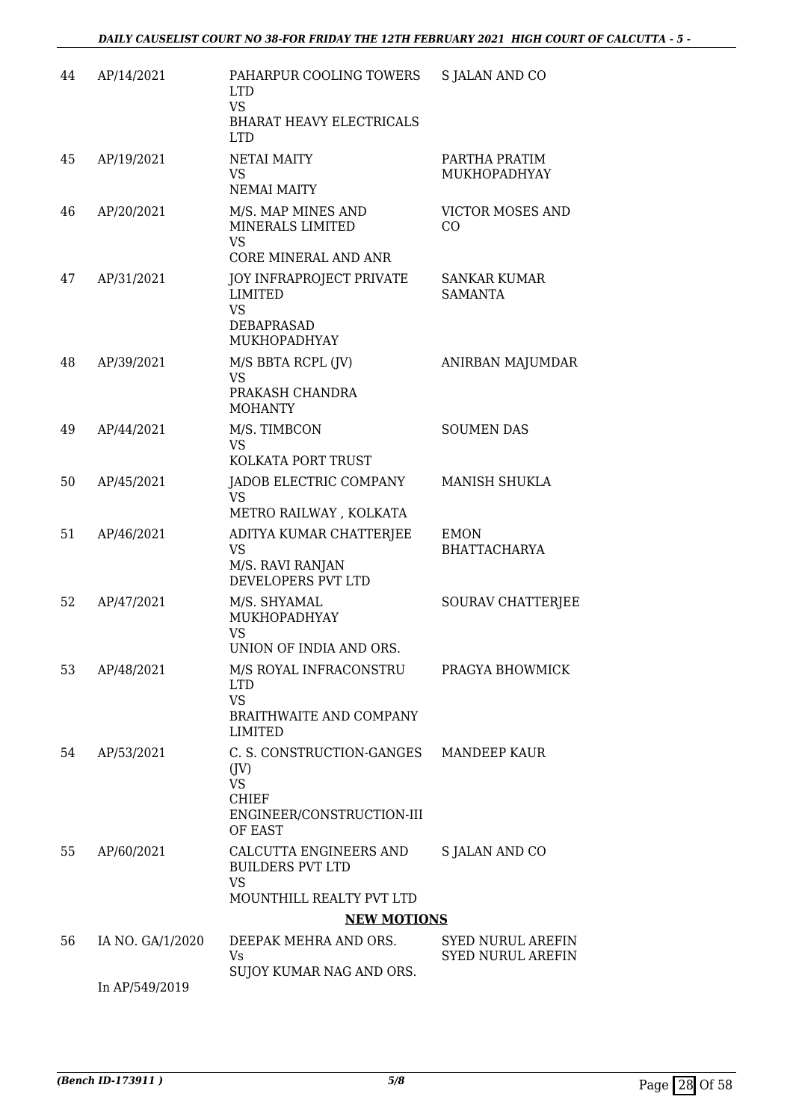| 44 | AP/14/2021       | PAHARPUR COOLING TOWERS<br><b>LTD</b><br><b>VS</b><br>BHARAT HEAVY ELECTRICALS<br><b>LTD</b>                  | S JALAN AND CO                                       |
|----|------------------|---------------------------------------------------------------------------------------------------------------|------------------------------------------------------|
| 45 | AP/19/2021       | NETAI MAITY<br><b>VS</b><br><b>NEMAI MAITY</b>                                                                | PARTHA PRATIM<br>MUKHOPADHYAY                        |
| 46 | AP/20/2021       | M/S. MAP MINES AND<br>MINERALS LIMITED<br>VS                                                                  | <b>VICTOR MOSES AND</b><br>CO                        |
| 47 | AP/31/2021       | CORE MINERAL AND ANR<br>JOY INFRAPROJECT PRIVATE<br><b>LIMITED</b><br><b>VS</b><br>DEBAPRASAD<br>MUKHOPADHYAY | SANKAR KUMAR<br><b>SAMANTA</b>                       |
| 48 | AP/39/2021       | M/S BBTA RCPL (JV)<br><b>VS</b><br>PRAKASH CHANDRA<br><b>MOHANTY</b>                                          | ANIRBAN MAJUMDAR                                     |
| 49 | AP/44/2021       | M/S. TIMBCON<br><b>VS</b><br>KOLKATA PORT TRUST                                                               | <b>SOUMEN DAS</b>                                    |
| 50 | AP/45/2021       | JADOB ELECTRIC COMPANY<br>VS<br>METRO RAILWAY, KOLKATA                                                        | MANISH SHUKLA                                        |
| 51 | AP/46/2021       | ADITYA KUMAR CHATTERJEE<br><b>VS</b><br>M/S. RAVI RANJAN<br>DEVELOPERS PVT LTD                                | <b>EMON</b><br><b>BHATTACHARYA</b>                   |
| 52 | AP/47/2021       | M/S. SHYAMAL<br>MUKHOPADHYAY<br><b>VS</b><br>UNION OF INDIA AND ORS.                                          | SOURAV CHATTERJEE                                    |
| 53 | AP/48/2021       | M/S ROYAL INFRACONSTRU<br><b>LTD</b><br><b>VS</b><br><b>BRAITHWAITE AND COMPANY</b><br>LIMITED                | PRAGYA BHOWMICK                                      |
| 54 | AP/53/2021       | C. S. CONSTRUCTION-GANGES<br>$($ [V $)$<br>VS<br><b>CHIEF</b><br>ENGINEER/CONSTRUCTION-III<br>OF EAST         | MANDEEP KAUR                                         |
| 55 | AP/60/2021       | CALCUTTA ENGINEERS AND<br><b>BUILDERS PVT LTD</b><br><b>VS</b><br><b>MOUNTHILL REALTY PVT LTD</b>             | <b>S JALAN AND CO</b>                                |
|    |                  | <b>NEW MOTIONS</b>                                                                                            |                                                      |
| 56 | IA NO. GA/1/2020 | DEEPAK MEHRA AND ORS.<br>Vs<br>SUJOY KUMAR NAG AND ORS.                                                       | <b>SYED NURUL AREFIN</b><br><b>SYED NURUL AREFIN</b> |
|    | In AP/549/2019   |                                                                                                               |                                                      |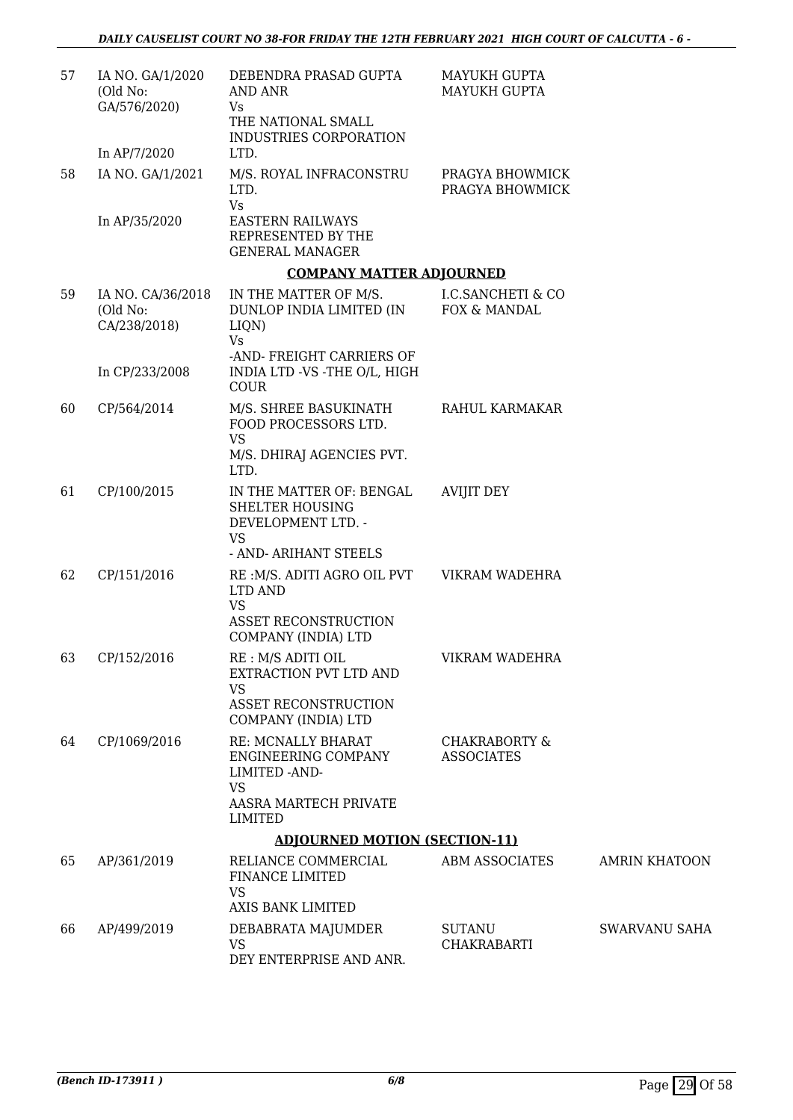| 57 | IA NO. GA/1/2020<br>(Old No:<br>GA/576/2020)  | DEBENDRA PRASAD GUPTA<br>AND ANR<br>Vs<br>THE NATIONAL SMALL<br>INDUSTRIES CORPORATION                          | MAYUKH GUPTA<br><b>MAYUKH GUPTA</b>           |                      |
|----|-----------------------------------------------|-----------------------------------------------------------------------------------------------------------------|-----------------------------------------------|----------------------|
|    | In AP/7/2020                                  | LTD.                                                                                                            |                                               |                      |
| 58 | IA NO. GA/1/2021<br>In AP/35/2020             | M/S. ROYAL INFRACONSTRU<br>LTD.<br><b>Vs</b><br><b>EASTERN RAILWAYS</b>                                         | PRAGYA BHOWMICK<br>PRAGYA BHOWMICK            |                      |
|    |                                               | REPRESENTED BY THE<br><b>GENERAL MANAGER</b>                                                                    |                                               |                      |
|    |                                               | <b>COMPANY MATTER ADJOURNED</b>                                                                                 |                                               |                      |
| 59 | IA NO. CA/36/2018<br>(Old No:<br>CA/238/2018) | IN THE MATTER OF M/S.<br>DUNLOP INDIA LIMITED (IN<br>LIQN)<br>Vs                                                | <b>I.C.SANCHETI &amp; CO</b><br>FOX & MANDAL  |                      |
|    | In CP/233/2008                                | -AND-FREIGHT CARRIERS OF<br>INDIA LTD -VS -THE O/L, HIGH<br><b>COUR</b>                                         |                                               |                      |
| 60 | CP/564/2014                                   | M/S. SHREE BASUKINATH<br>FOOD PROCESSORS LTD.<br><b>VS</b>                                                      | RAHUL KARMAKAR                                |                      |
|    |                                               | M/S. DHIRAJ AGENCIES PVT.<br>LTD.                                                                               |                                               |                      |
| 61 | CP/100/2015                                   | IN THE MATTER OF: BENGAL<br><b>SHELTER HOUSING</b><br>DEVELOPMENT LTD. -<br><b>VS</b><br>- AND- ARIHANT STEELS  | <b>AVIJIT DEY</b>                             |                      |
| 62 | CP/151/2016                                   | RE :M/S. ADITI AGRO OIL PVT<br>LTD AND<br><b>VS</b>                                                             | VIKRAM WADEHRA                                |                      |
|    |                                               | <b>ASSET RECONSTRUCTION</b><br>COMPANY (INDIA) LTD                                                              |                                               |                      |
| 63 | CP/152/2016                                   | RE : M/S ADITI OIL<br>EXTRACTION PVT LTD AND<br><b>VS</b><br><b>ASSET RECONSTRUCTION</b><br>COMPANY (INDIA) LTD | VIKRAM WADEHRA                                |                      |
| 64 | CP/1069/2016                                  | RE: MCNALLY BHARAT<br>ENGINEERING COMPANY<br>LIMITED - AND-<br><b>VS</b><br>AASRA MARTECH PRIVATE<br>LIMITED    | <b>CHAKRABORTY &amp;</b><br><b>ASSOCIATES</b> |                      |
|    |                                               | <b>ADJOURNED MOTION (SECTION-11)</b>                                                                            |                                               |                      |
| 65 | AP/361/2019                                   | RELIANCE COMMERCIAL<br>FINANCE LIMITED<br><b>VS</b>                                                             | <b>ABM ASSOCIATES</b>                         | <b>AMRIN KHATOON</b> |
|    |                                               | <b>AXIS BANK LIMITED</b>                                                                                        |                                               |                      |
| 66 | AP/499/2019                                   | DEBABRATA MAJUMDER<br><b>VS</b><br>DEY ENTERPRISE AND ANR.                                                      | <b>SUTANU</b><br><b>CHAKRABARTI</b>           | <b>SWARVANU SAHA</b> |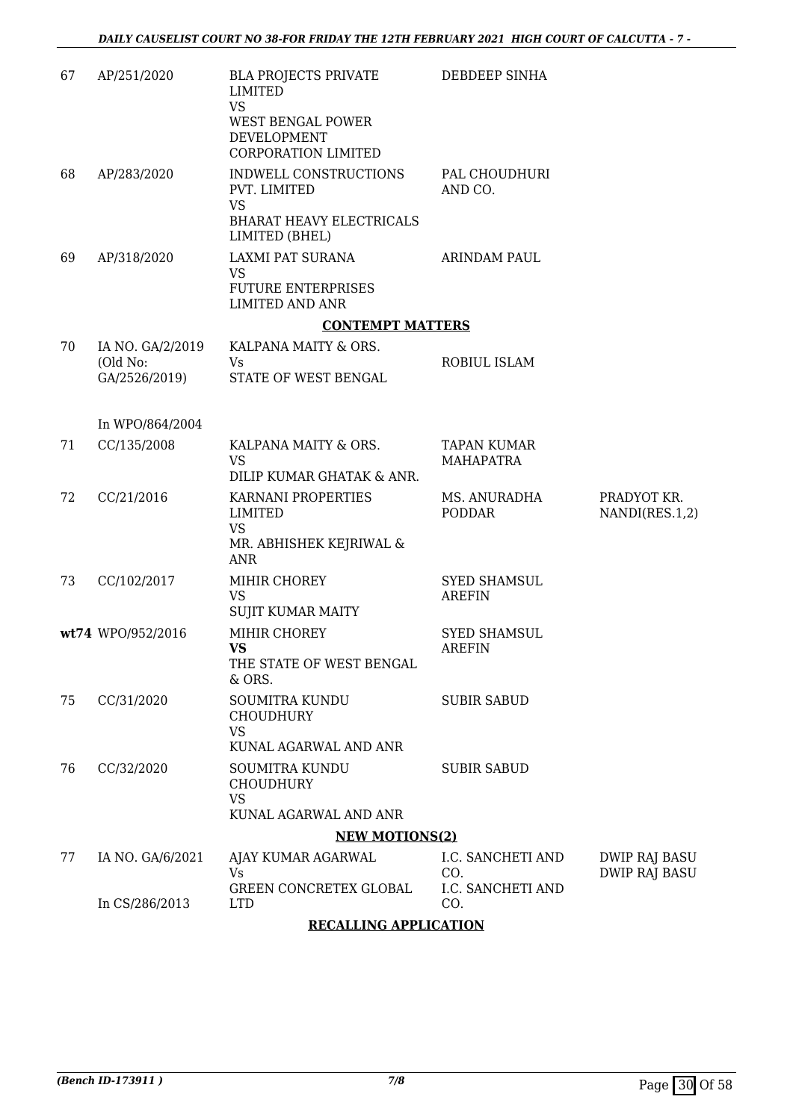| 67 | AP/251/2020                                   | <b>BLA PROJECTS PRIVATE</b><br>LIMITED<br><b>VS</b><br>WEST BENGAL POWER<br>DEVELOPMENT<br>CORPORATION LIMITED | DEBDEEP SINHA                          |                                |
|----|-----------------------------------------------|----------------------------------------------------------------------------------------------------------------|----------------------------------------|--------------------------------|
| 68 | AP/283/2020                                   | INDWELL CONSTRUCTIONS<br>PVT. LIMITED<br><b>VS</b>                                                             | PAL CHOUDHURI<br>AND CO.               |                                |
|    |                                               | <b>BHARAT HEAVY ELECTRICALS</b><br>LIMITED (BHEL)                                                              |                                        |                                |
| 69 | AP/318/2020                                   | LAXMI PAT SURANA<br><b>VS</b><br><b>FUTURE ENTERPRISES</b><br><b>LIMITED AND ANR</b>                           | ARINDAM PAUL                           |                                |
|    |                                               | <b>CONTEMPT MATTERS</b>                                                                                        |                                        |                                |
| 70 | IA NO. GA/2/2019<br>(Old No:<br>GA/2526/2019) | KALPANA MAITY & ORS.<br>Vs<br>STATE OF WEST BENGAL                                                             | ROBIUL ISLAM                           |                                |
|    | In WPO/864/2004                               |                                                                                                                |                                        |                                |
| 71 | CC/135/2008                                   | KALPANA MAITY & ORS.<br><b>VS</b>                                                                              | <b>TAPAN KUMAR</b><br><b>MAHAPATRA</b> |                                |
|    |                                               | DILIP KUMAR GHATAK & ANR.                                                                                      |                                        |                                |
| 72 | CC/21/2016                                    | KARNANI PROPERTIES<br><b>LIMITED</b><br><b>VS</b>                                                              | MS. ANURADHA<br><b>PODDAR</b>          | PRADYOT KR.<br>NANDI(RES.1,2)  |
|    |                                               | MR. ABHISHEK KEJRIWAL &<br>ANR                                                                                 |                                        |                                |
| 73 | CC/102/2017                                   | MIHIR CHOREY<br><b>VS</b><br><b>SUJIT KUMAR MAITY</b>                                                          | <b>SYED SHAMSUL</b><br><b>AREFIN</b>   |                                |
|    | wt74 WPO/952/2016                             | MIHIR CHOREY<br><b>VS</b><br>THE STATE OF WEST BENGAL<br>& ORS.                                                | <b>SYED SHAMSUL</b><br><b>AREFIN</b>   |                                |
| 75 | CC/31/2020                                    | <b>SOUMITRA KUNDU</b><br><b>CHOUDHURY</b><br>VS                                                                | <b>SUBIR SABUD</b>                     |                                |
|    |                                               | KUNAL AGARWAL AND ANR                                                                                          |                                        |                                |
| 76 | CC/32/2020                                    | SOUMITRA KUNDU<br><b>CHOUDHURY</b><br><b>VS</b>                                                                | <b>SUBIR SABUD</b>                     |                                |
|    |                                               | KUNAL AGARWAL AND ANR                                                                                          |                                        |                                |
|    |                                               | <b>NEW MOTIONS(2)</b>                                                                                          |                                        |                                |
| 77 | IA NO. GA/6/2021                              | AJAY KUMAR AGARWAL<br>Vs                                                                                       | I.C. SANCHETI AND<br>CO.               | DWIP RAJ BASU<br>DWIP RAJ BASU |
|    | In CS/286/2013                                | GREEN CONCRETEX GLOBAL<br><b>LTD</b>                                                                           | I.C. SANCHETI AND<br>CO.               |                                |

#### **RECALLING APPLICATION**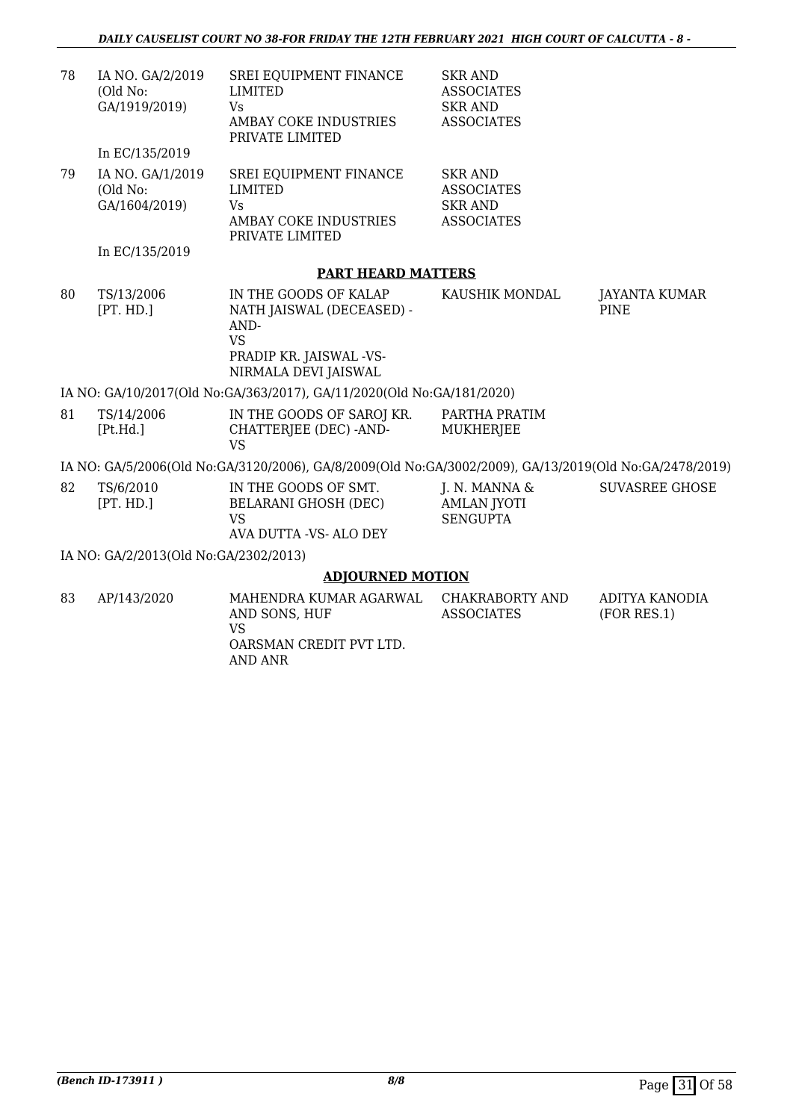| 78 | IA NO. GA/2/2019<br>(Old No:<br>GA/1919/2019)<br>In EC/135/2019 | SREI EQUIPMENT FINANCE<br>LIMITED<br><b>Vs</b><br>AMBAY COKE INDUSTRIES<br>PRIVATE LIMITED                                 | <b>SKR AND</b><br><b>ASSOCIATES</b><br><b>SKR AND</b><br><b>ASSOCIATES</b> |                                     |
|----|-----------------------------------------------------------------|----------------------------------------------------------------------------------------------------------------------------|----------------------------------------------------------------------------|-------------------------------------|
| 79 | IA NO. GA/1/2019<br>(Old No:<br>GA/1604/2019)                   | SREI EQUIPMENT FINANCE<br><b>LIMITED</b><br>Vs<br>AMBAY COKE INDUSTRIES<br>PRIVATE LIMITED                                 | <b>SKR AND</b><br><b>ASSOCIATES</b><br><b>SKR AND</b><br><b>ASSOCIATES</b> |                                     |
|    | In EC/135/2019                                                  |                                                                                                                            |                                                                            |                                     |
|    |                                                                 | <b>PART HEARD MATTERS</b>                                                                                                  |                                                                            |                                     |
| 80 | TS/13/2006<br>[PT. HD.]                                         | IN THE GOODS OF KALAP<br>NATH JAISWAL (DECEASED) -<br>AND-<br><b>VS</b><br>PRADIP KR. JAISWAL -VS-<br>NIRMALA DEVI JAISWAL | KAUSHIK MONDAL                                                             | <b>JAYANTA KUMAR</b><br><b>PINE</b> |
|    |                                                                 | IA NO: GA/10/2017(Old No:GA/363/2017), GA/11/2020(Old No:GA/181/2020)                                                      |                                                                            |                                     |
| 81 | TS/14/2006<br>[Pt.Hd.]                                          | IN THE GOODS OF SAROJ KR.<br>CHATTERJEE (DEC) -AND-<br><b>VS</b>                                                           | PARTHA PRATIM<br><b>MUKHERJEE</b>                                          |                                     |
|    |                                                                 | IA NO: GA/5/2006(Old No:GA/3120/2006), GA/8/2009(Old No:GA/3002/2009), GA/13/2019(Old No:GA/2478/2019)                     |                                                                            |                                     |
| 82 | TS/6/2010<br>[PT. HD.]                                          | IN THE GOODS OF SMT.<br><b>BELARANI GHOSH (DEC)</b><br><b>VS</b><br>AVA DUTTA - VS- ALO DEY                                | J. N. MANNA $\&$<br><b>AMLAN JYOTI</b><br><b>SENGUPTA</b>                  | <b>SUVASREE GHOSE</b>               |
|    | IA NO: GA/2/2013(Old No:GA/2302/2013)                           |                                                                                                                            |                                                                            |                                     |
|    |                                                                 | <b>ADJOURNED MOTION</b>                                                                                                    |                                                                            |                                     |
| 83 | AP/143/2020                                                     | MAHENDRA KUMAR AGARWAL<br>AND SONS, HUF<br><b>VS</b><br>OARSMAN CREDIT PVT LTD.                                            | CHAKRABORTY AND<br><b>ASSOCIATES</b>                                       | ADITYA KANODIA<br>(FOR RES.1)       |

AND ANR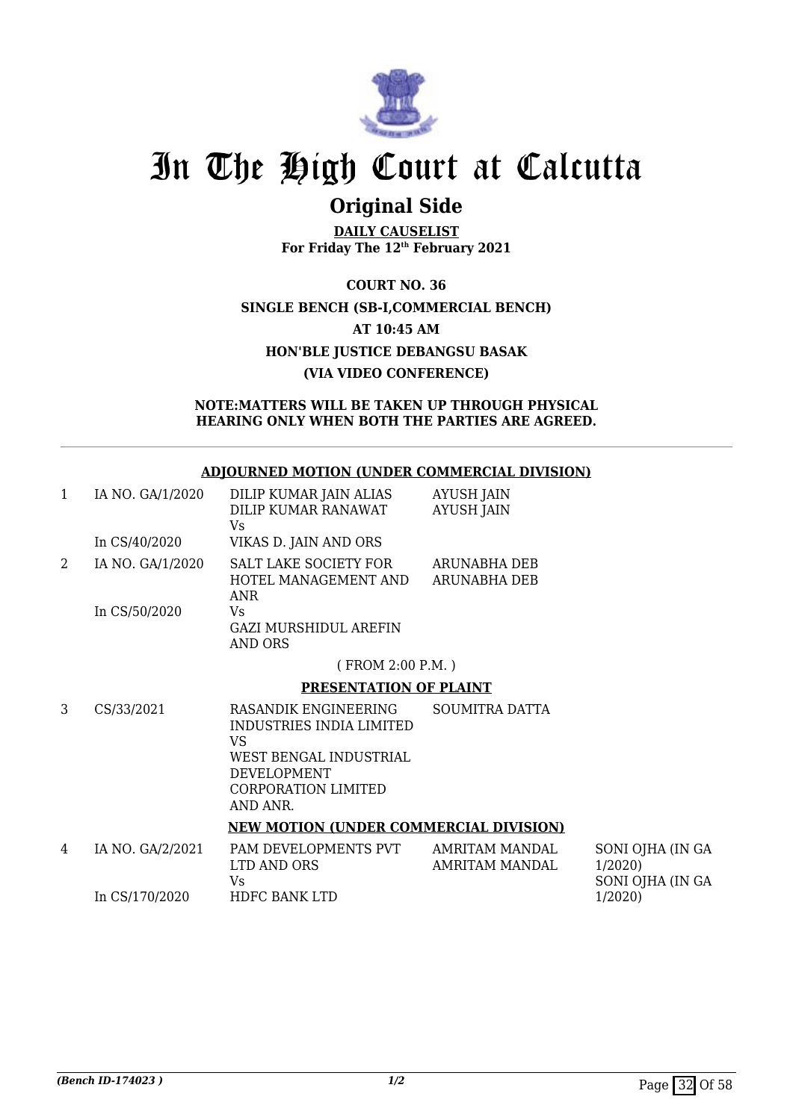

### **Original Side**

**DAILY CAUSELIST For Friday The 12th February 2021**

**COURT NO. 36 SINGLE BENCH (SB-I,COMMERCIAL BENCH) AT 10:45 AM HON'BLE JUSTICE DEBANGSU BASAK (VIA VIDEO CONFERENCE)**

**NOTE:MATTERS WILL BE TAKEN UP THROUGH PHYSICAL HEARING ONLY WHEN BOTH THE PARTIES ARE AGREED.**

#### **ADJOURNED MOTION (UNDER COMMERCIAL DIVISION)**

| $\mathbf{1}$   | IA NO. GA/1/2020 | DILIP KUMAR JAIN ALIAS<br>DILIP KUMAR RANAWAT<br>Vs                                                                                       | <b>AYUSH JAIN</b><br><b>AYUSH JAIN</b> |                                         |
|----------------|------------------|-------------------------------------------------------------------------------------------------------------------------------------------|----------------------------------------|-----------------------------------------|
|                | In CS/40/2020    | VIKAS D. JAIN AND ORS                                                                                                                     |                                        |                                         |
| $\overline{2}$ | IA NO. GA/1/2020 | <b>SALT LAKE SOCIETY FOR</b><br>HOTEL MANAGEMENT AND<br><b>ANR</b>                                                                        | ARUNABHA DEB<br><b>ARUNABHA DEB</b>    |                                         |
|                | In CS/50/2020    | Vs<br>GAZI MURSHIDUL AREFIN<br><b>AND ORS</b>                                                                                             |                                        |                                         |
|                |                  | (FROM 2:00 P.M.)                                                                                                                          |                                        |                                         |
|                |                  | PRESENTATION OF PLAINT                                                                                                                    |                                        |                                         |
| 3              | CS/33/2021       | RASANDIK ENGINEERING<br>INDUSTRIES INDIA LIMITED<br>VS<br>WEST BENGAL INDUSTRIAL<br>DEVELOPMENT<br><b>CORPORATION LIMITED</b><br>AND ANR. | <b>SOUMITRA DATTA</b>                  |                                         |
|                |                  | <b>NEW MOTION (UNDER COMMERCIAL DIVISION)</b>                                                                                             |                                        |                                         |
| 4              | IA NO. GA/2/2021 | PAM DEVELOPMENTS PVT AMRITAM MANDAL<br>LTD AND ORS<br>Vs                                                                                  | AMRITAM MANDAL                         | S <sub>C</sub><br>1/2<br>S <sub>C</sub> |
|                | In CS/170/2020   | HDFC BANK LTD                                                                                                                             |                                        | 1/2                                     |

ONI OJHA (IN GA  $(2020)$ ONI OJHA (IN GA 1/2020)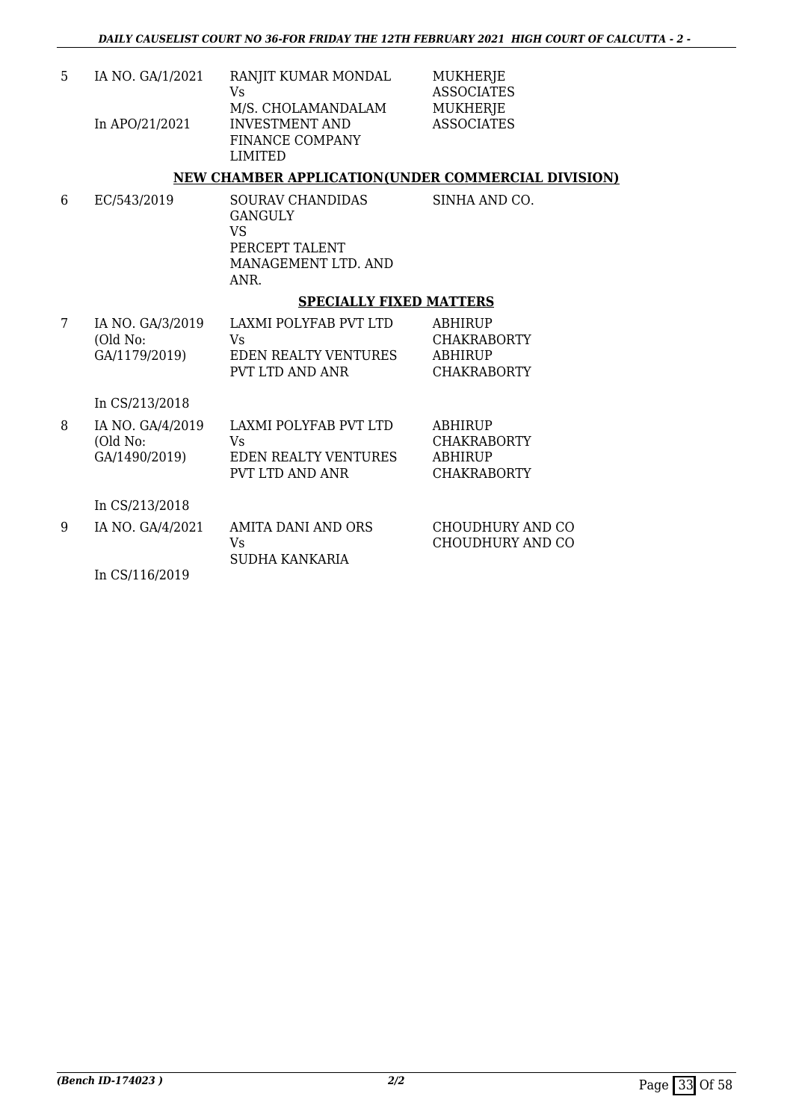| 5 | IA NO. GA/1/2021 | RANJIT KUMAR MONDAL    |
|---|------------------|------------------------|
|   |                  | Vs                     |
|   |                  | M/S. CHOLAMANDALAM     |
|   | In APO/21/2021   | <b>INVESTMENT AND</b>  |
|   |                  | <b>FINANCE COMPANY</b> |
|   |                  | LIMITED                |

MUKHERJE ASSOCIATES MUKHERJE ASSOCIATES

#### **NEW CHAMBER APPLICATION(UNDER COMMERCIAL DIVISION)**

6 EC/543/2019 SOURAV CHANDIDAS GANGULY VS PERCEPT TALENT MANAGEMENT LTD. AND ANR. SINHA AND CO.

#### **SPECIALLY FIXED MATTERS**

| IA NO. GA/3/2019          | LAXMI POLYFAB PVT LTD       | ABHIRUP                |
|---------------------------|-----------------------------|------------------------|
| (Old No:<br>GA/1179/2019) | Vs.<br>EDEN REALTY VENTURES | CHAKRABORTY<br>ABHIRUP |
|                           | PVT LTD AND ANR             | <b>CHAKRABORTY</b>     |

In CS/213/2018

| 8 | IA NO. GA/4/2019<br>(Old No:<br>GA/1490/2019) | LAXMI POLYFAB PVT LTD<br>Vs<br>EDEN REALTY VENTURES<br>PVT LTD AND ANR | ABHIRUP<br><b>CHAKRABORTY</b><br><b>ABHIRUP</b><br><b>CHAKRABORTY</b> |
|---|-----------------------------------------------|------------------------------------------------------------------------|-----------------------------------------------------------------------|
|   | In CS/213/2018                                |                                                                        |                                                                       |
| 9 | IA NO. GA/4/2021                              | AMITA DANI AND ORS<br>Vs                                               | CHOUDHURY AND CO<br>CHOUDHURY AND CO                                  |

SUDHA KANKARIA

In CS/116/2019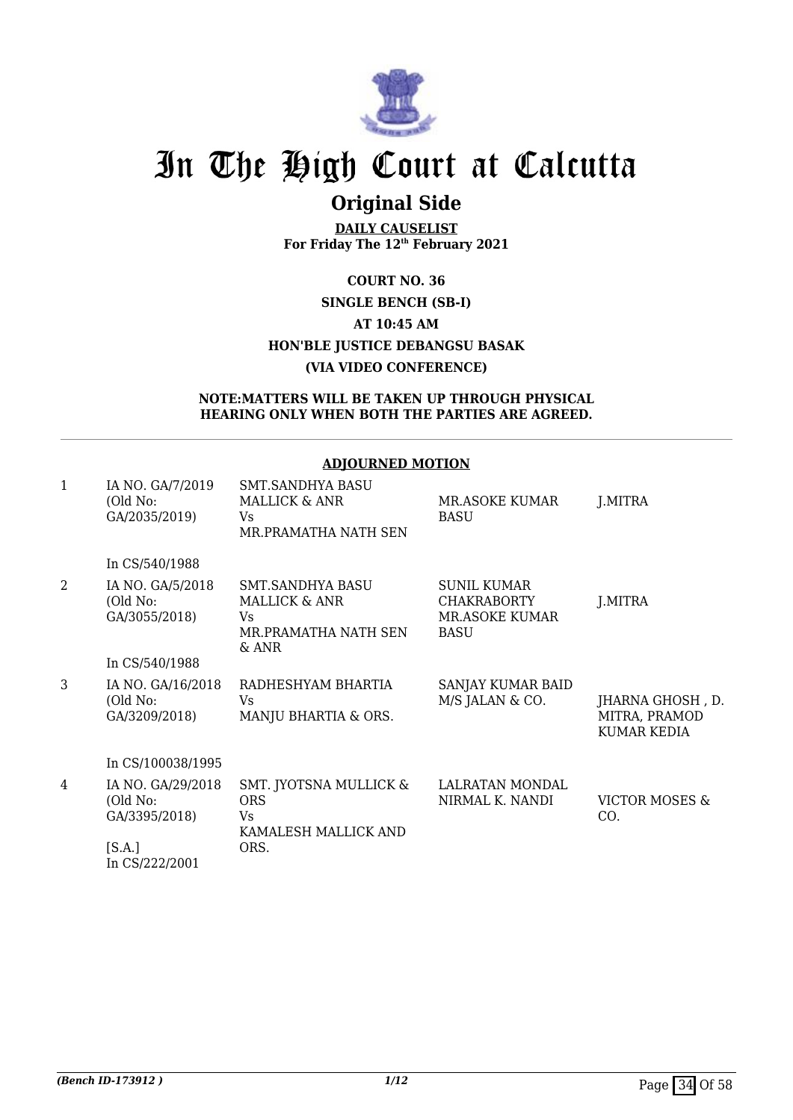

## **Original Side**

**DAILY CAUSELIST For Friday The 12th February 2021**

### **COURT NO. 36 SINGLE BENCH (SB-I) AT 10:45 AM HON'BLE JUSTICE DEBANGSU BASAK (VIA VIDEO CONFERENCE)**

#### **NOTE:MATTERS WILL BE TAKEN UP THROUGH PHYSICAL HEARING ONLY WHEN BOTH THE PARTIES ARE AGREED.**

#### **ADJOURNED MOTION**

| $\mathbf{1}$   | IA NO. GA/7/2019<br>(Old No:<br>GA/2035/2019)  | <b>SMT.SANDHYA BASU</b><br>MALLICK & ANR<br>Vs<br>MR.PRAMATHA NATH SEN              | <b>MR.ASOKE KUMAR</b><br><b>BASU</b>                                             | J.MITRA                                                 |
|----------------|------------------------------------------------|-------------------------------------------------------------------------------------|----------------------------------------------------------------------------------|---------------------------------------------------------|
|                | In CS/540/1988                                 |                                                                                     |                                                                                  |                                                         |
| $\overline{2}$ | IA NO. GA/5/2018<br>(Old No:<br>GA/3055/2018)  | SMT.SANDHYA BASU<br><b>MALLICK &amp; ANR</b><br>Vs<br>MR.PRAMATHA NATH SEN<br>& ANR | <b>SUNIL KUMAR</b><br><b>CHAKRABORTY</b><br><b>MR.ASOKE KUMAR</b><br><b>BASU</b> | J.MITRA                                                 |
|                | In CS/540/1988                                 |                                                                                     |                                                                                  |                                                         |
| 3              | IA NO. GA/16/2018<br>(Old No:<br>GA/3209/2018) | RADHESHYAM BHARTIA<br>Vs<br>MANJU BHARTIA & ORS.                                    | SANJAY KUMAR BAID<br>M/S JALAN & CO.                                             | JHARNA GHOSH, D.<br>MITRA, PRAMOD<br><b>KUMAR KEDIA</b> |
|                | In CS/100038/1995                              |                                                                                     |                                                                                  |                                                         |
| 4              | IA NO. GA/29/2018<br>(Old No:<br>GA/3395/2018) | SMT. JYOTSNA MULLICK &<br><b>ORS</b><br>Vs<br>KAMALESH MALLICK AND                  | LALRATAN MONDAL<br>NIRMAL K. NANDI                                               | VICTOR MOSES &<br>CO.                                   |
|                | [S.A.]<br>In CS/222/2001                       | ORS.                                                                                |                                                                                  |                                                         |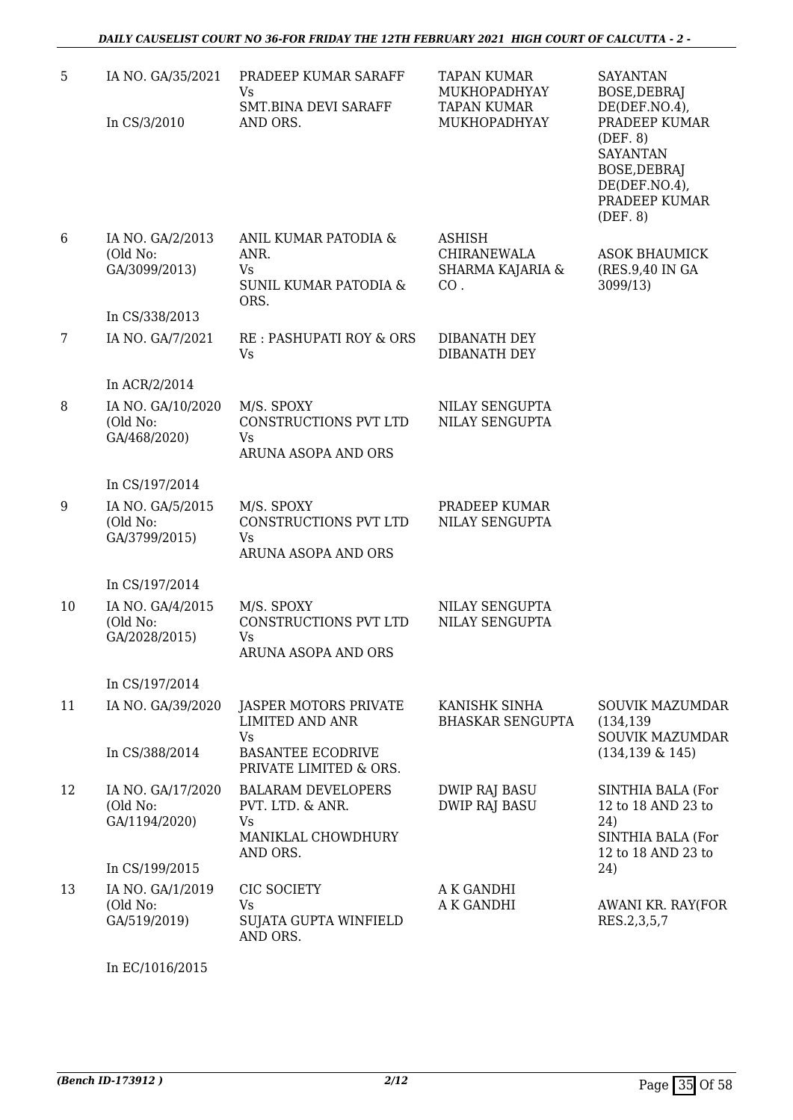| 5  | IA NO. GA/35/2021                              | PRADEEP KUMAR SARAFF<br>Vs<br>SMT.BINA DEVI SARAFF                                    | <b>TAPAN KUMAR</b><br>MUKHOPADHYAY<br><b>TAPAN KUMAR</b> | <b>SAYANTAN</b><br>BOSE, DEBRAJ<br>$DE(DEF. NO. 4)$ ,                                                      |
|----|------------------------------------------------|---------------------------------------------------------------------------------------|----------------------------------------------------------|------------------------------------------------------------------------------------------------------------|
|    | In CS/3/2010                                   | AND ORS.                                                                              | MUKHOPADHYAY                                             | PRADEEP KUMAR<br>(DEF. 8)<br><b>SAYANTAN</b><br>BOSE, DEBRAJ<br>DE(DEF.NO.4),<br>PRADEEP KUMAR<br>(DEF. 8) |
| 6  | IA NO. GA/2/2013<br>(Old No:<br>GA/3099/2013)  | ANIL KUMAR PATODIA &<br>ANR.<br>Vs<br>SUNIL KUMAR PATODIA &<br>ORS.                   | ASHISH<br>CHIRANEWALA<br>SHARMA KAJARIA &<br>CO.         | <b>ASOK BHAUMICK</b><br>(RES.9,40 IN GA)<br>3099/13)                                                       |
|    | In CS/338/2013                                 |                                                                                       |                                                          |                                                                                                            |
| 7  | IA NO. GA/7/2021                               | RE: PASHUPATI ROY & ORS<br><b>Vs</b>                                                  | DIBANATH DEY<br>DIBANATH DEY                             |                                                                                                            |
|    | In ACR/2/2014                                  |                                                                                       |                                                          |                                                                                                            |
| 8  | IA NO. GA/10/2020<br>(Old No:<br>GA/468/2020)  | M/S. SPOXY<br>CONSTRUCTIONS PVT LTD<br>Vs<br>ARUNA ASOPA AND ORS                      | NILAY SENGUPTA<br><b>NILAY SENGUPTA</b>                  |                                                                                                            |
|    | In CS/197/2014                                 |                                                                                       |                                                          |                                                                                                            |
| 9  | IA NO. GA/5/2015<br>(Old No:<br>GA/3799/2015)  | M/S. SPOXY<br>CONSTRUCTIONS PVT LTD<br>Vs<br>ARUNA ASOPA AND ORS                      | PRADEEP KUMAR<br><b>NILAY SENGUPTA</b>                   |                                                                                                            |
|    | In CS/197/2014                                 |                                                                                       |                                                          |                                                                                                            |
| 10 | IA NO. GA/4/2015<br>(Old No:<br>GA/2028/2015)  | M/S. SPOXY<br>CONSTRUCTIONS PVT LTD<br>Vs<br>ARUNA ASOPA AND ORS                      | NILAY SENGUPTA<br>NILAY SENGUPTA                         |                                                                                                            |
|    | In CS/197/2014                                 |                                                                                       |                                                          |                                                                                                            |
| 11 | IA NO. GA/39/2020                              | JASPER MOTORS PRIVATE<br><b>LIMITED AND ANR</b><br><b>Vs</b>                          | KANISHK SINHA<br><b>BHASKAR SENGUPTA</b>                 | SOUVIK MAZUMDAR<br>(134, 139)<br><b>SOUVIK MAZUMDAR</b>                                                    |
|    | In CS/388/2014                                 | <b>BASANTEE ECODRIVE</b><br>PRIVATE LIMITED & ORS.                                    |                                                          | $(134, 139 \& 145)$                                                                                        |
| 12 | IA NO. GA/17/2020<br>(Old No:<br>GA/1194/2020) | <b>BALARAM DEVELOPERS</b><br>PVT. LTD. & ANR.<br>Vs<br>MANIKLAL CHOWDHURY<br>AND ORS. | <b>DWIP RAJ BASU</b><br><b>DWIP RAJ BASU</b>             | SINTHIA BALA (For<br>12 to 18 AND 23 to<br>24)<br>SINTHIA BALA (For<br>12 to 18 AND 23 to                  |
|    | In CS/199/2015                                 |                                                                                       |                                                          | 24)                                                                                                        |
| 13 | IA NO. GA/1/2019<br>(Old No:<br>GA/519/2019)   | CIC SOCIETY<br>Vs<br>SUJATA GUPTA WINFIELD<br>AND ORS.                                | A K GANDHI<br>A K GANDHI                                 | AWANI KR. RAY(FOR<br>RES.2,3,5,7                                                                           |

In EC/1016/2015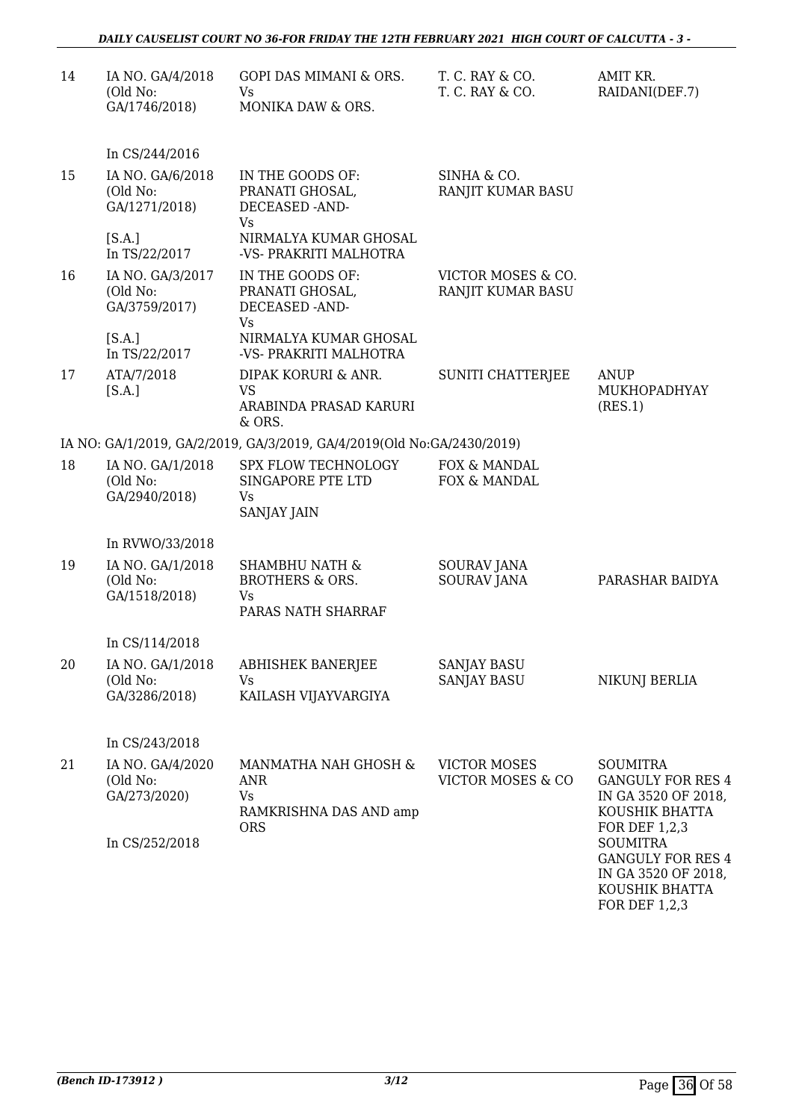| 14 | IA NO. GA/4/2018<br>(Old No:<br>GA/1746/2018) | GOPI DAS MIMANI & ORS.<br>Vs.<br>MONIKA DAW & ORS.                                  | T. C. RAY & CO.<br>T. C. RAY & CO.                  | AMIT KR.<br>RAIDANI(DEF.7)                                                                                   |
|----|-----------------------------------------------|-------------------------------------------------------------------------------------|-----------------------------------------------------|--------------------------------------------------------------------------------------------------------------|
|    | In CS/244/2016                                |                                                                                     |                                                     |                                                                                                              |
| 15 | IA NO. GA/6/2018<br>(Old No:<br>GA/1271/2018) | IN THE GOODS OF:<br>PRANATI GHOSAL,<br><b>DECEASED -AND-</b>                        | SINHA & CO.<br>RANJIT KUMAR BASU                    |                                                                                                              |
|    | [S.A.]<br>In TS/22/2017                       | Vs<br>NIRMALYA KUMAR GHOSAL<br>-VS- PRAKRITI MALHOTRA                               |                                                     |                                                                                                              |
| 16 | IA NO. GA/3/2017<br>(Old No:<br>GA/3759/2017) | IN THE GOODS OF:<br>PRANATI GHOSAL,<br>DECEASED -AND-<br>Vs.                        | VICTOR MOSES & CO.<br>RANJIT KUMAR BASU             |                                                                                                              |
|    | [S.A.]<br>In TS/22/2017                       | NIRMALYA KUMAR GHOSAL<br>-VS- PRAKRITI MALHOTRA                                     |                                                     |                                                                                                              |
| 17 | ATA/7/2018<br>[S.A.]                          | DIPAK KORURI & ANR.<br><b>VS</b><br>ARABINDA PRASAD KARURI<br>& ORS.                | SUNITI CHATTERJEE                                   | ANUP<br>MUKHOPADHYAY<br>(RES.1)                                                                              |
|    |                                               | IA NO: GA/1/2019, GA/2/2019, GA/3/2019, GA/4/2019(Old No:GA/2430/2019)              |                                                     |                                                                                                              |
| 18 | IA NO. GA/1/2018<br>(Old No:<br>GA/2940/2018) | SPX FLOW TECHNOLOGY<br>SINGAPORE PTE LTD<br>Vs<br>SANJAY JAIN                       | FOX & MANDAL<br>FOX & MANDAL                        |                                                                                                              |
|    | In RVWO/33/2018                               |                                                                                     |                                                     |                                                                                                              |
| 19 | IA NO. GA/1/2018<br>(Old No:<br>GA/1518/2018) | <b>SHAMBHU NATH &amp;</b><br><b>BROTHERS &amp; ORS.</b><br>Vs<br>PARAS NATH SHARRAF | SOURAV JANA<br><b>SOURAV JANA</b>                   | PARASHAR BAIDYA                                                                                              |
|    | In CS/114/2018                                |                                                                                     |                                                     |                                                                                                              |
| 20 | IA NO. GA/1/2018<br>(Old No:<br>GA/3286/2018) | <b>ABHISHEK BANERJEE</b><br>Vs<br>KAILASH VIJAYVARGIYA                              | <b>SANJAY BASU</b><br><b>SANJAY BASU</b>            | <b>NIKUNJ BERLIA</b>                                                                                         |
|    | In CS/243/2018                                |                                                                                     |                                                     |                                                                                                              |
| 21 | IA NO. GA/4/2020<br>(Old No:<br>GA/273/2020)  | MANMATHA NAH GHOSH &<br>ANR<br><b>Vs</b><br>RAMKRISHNA DAS AND amp<br><b>ORS</b>    | <b>VICTOR MOSES</b><br><b>VICTOR MOSES &amp; CO</b> | <b>SOUMITRA</b><br><b>GANGULY FOR RES 4</b><br>IN GA 3520 OF 2018,<br>KOUSHIK BHATTA<br><b>FOR DEF 1,2,3</b> |
|    | In CS/252/2018                                |                                                                                     |                                                     | <b>SOUMITRA</b><br><b>GANGULY FOR RES 4</b><br>IN GA 3520 OF 2018,<br>KOUSHIK BHATTA<br>FOR DEF 1,2,3        |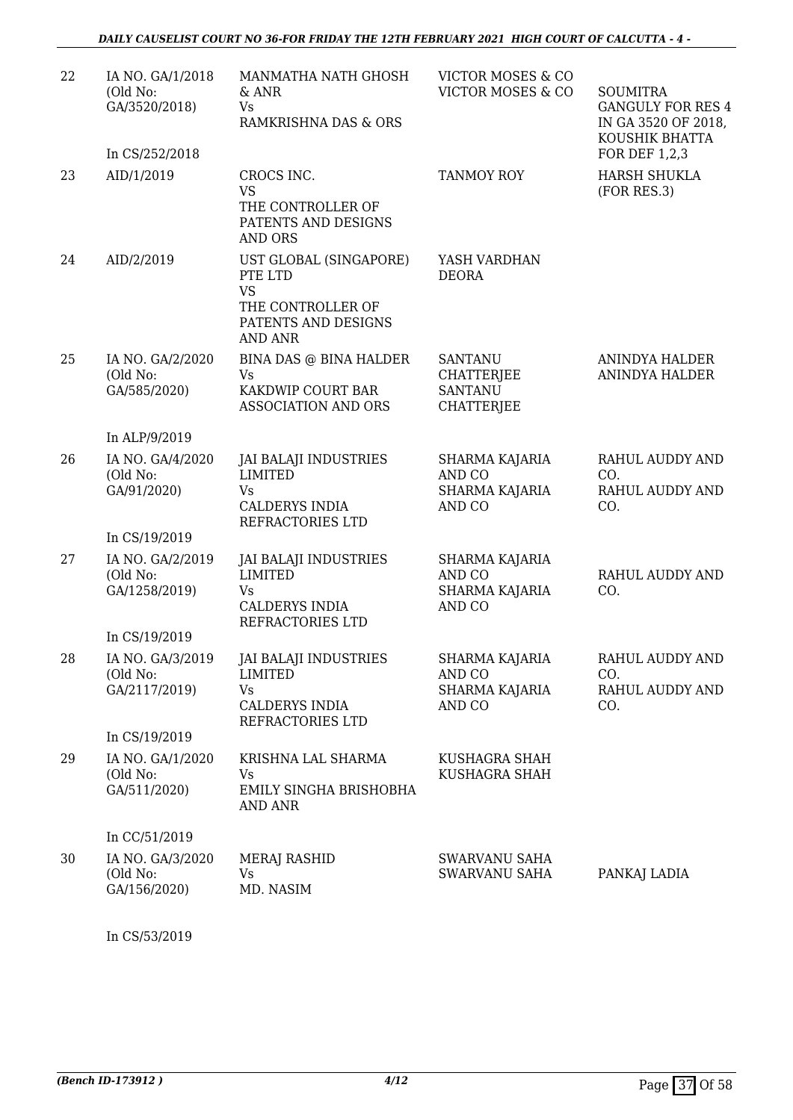| 22 | IA NO. GA/1/2018<br>(Old No:<br>GA/3520/2018)<br>In CS/252/2018 | MANMATHA NATH GHOSH<br>$&$ ANR<br>Vs.<br>RAMKRISHNA DAS & ORS                                                | VICTOR MOSES & CO<br>VICTOR MOSES & CO                                     | <b>SOUMITRA</b><br><b>GANGULY FOR RES 4</b><br>IN GA 3520 OF 2018,<br>KOUSHIK BHATTA<br><b>FOR DEF 1,2,3</b> |
|----|-----------------------------------------------------------------|--------------------------------------------------------------------------------------------------------------|----------------------------------------------------------------------------|--------------------------------------------------------------------------------------------------------------|
| 23 | AID/1/2019                                                      | CROCS INC.<br><b>VS</b><br>THE CONTROLLER OF<br>PATENTS AND DESIGNS<br><b>AND ORS</b>                        | <b>TANMOY ROY</b>                                                          | <b>HARSH SHUKLA</b><br>(FOR RES.3)                                                                           |
| 24 | AID/2/2019                                                      | UST GLOBAL (SINGAPORE)<br>PTE LTD<br><b>VS</b><br>THE CONTROLLER OF<br>PATENTS AND DESIGNS<br><b>AND ANR</b> | YASH VARDHAN<br><b>DEORA</b>                                               |                                                                                                              |
| 25 | IA NO. GA/2/2020<br>(Old No:<br>GA/585/2020)                    | BINA DAS @ BINA HALDER<br><b>Vs</b><br>KAKDWIP COURT BAR<br><b>ASSOCIATION AND ORS</b>                       | <b>SANTANU</b><br><b>CHATTERJEE</b><br><b>SANTANU</b><br><b>CHATTERJEE</b> | <b>ANINDYA HALDER</b><br>ANINDYA HALDER                                                                      |
|    | In ALP/9/2019                                                   |                                                                                                              |                                                                            |                                                                                                              |
| 26 | IA NO. GA/4/2020<br>(Old No:<br>GA/91/2020)                     | <b>JAI BALAJI INDUSTRIES</b><br><b>LIMITED</b><br><b>Vs</b><br><b>CALDERYS INDIA</b><br>REFRACTORIES LTD     | SHARMA KAJARIA<br>AND CO<br>SHARMA KAJARIA<br>AND CO                       | RAHUL AUDDY AND<br>CO.<br>RAHUL AUDDY AND<br>CO.                                                             |
|    | In CS/19/2019                                                   |                                                                                                              |                                                                            |                                                                                                              |
| 27 | IA NO. GA/2/2019<br>(Old No:<br>GA/1258/2019)                   | <b>JAI BALAJI INDUSTRIES</b><br><b>LIMITED</b><br><b>Vs</b><br><b>CALDERYS INDIA</b><br>REFRACTORIES LTD     | SHARMA KAJARIA<br>AND CO<br><b>SHARMA KAJARIA</b><br>AND CO                | <b>RAHUL AUDDY AND</b><br>CO.                                                                                |
|    | In CS/19/2019                                                   |                                                                                                              |                                                                            |                                                                                                              |
| 28 | IA NO. GA/3/2019<br>(Old No:<br>GA/2117/2019)                   | JAI BALAJI INDUSTRIES<br><b>LIMITED</b><br>Vs.<br><b>CALDERYS INDIA</b><br>REFRACTORIES LTD                  | SHARMA KAJARIA<br>AND CO<br>SHARMA KAJARIA<br>AND CO                       | RAHUL AUDDY AND<br>CO.<br>RAHUL AUDDY AND<br>CO.                                                             |
|    | In CS/19/2019                                                   |                                                                                                              |                                                                            |                                                                                                              |
| 29 | IA NO. GA/1/2020<br>(Old No:<br>GA/511/2020)                    | KRISHNA LAL SHARMA<br>Vs<br>EMILY SINGHA BRISHOBHA<br><b>AND ANR</b>                                         | KUSHAGRA SHAH<br>KUSHAGRA SHAH                                             |                                                                                                              |
|    | In CC/51/2019                                                   |                                                                                                              |                                                                            |                                                                                                              |
| 30 | IA NO. GA/3/2020<br>(Old No:<br>GA/156/2020)                    | <b>MERAJ RASHID</b><br>Vs.<br>MD. NASIM                                                                      | <b>SWARVANU SAHA</b><br>SWARVANU SAHA                                      | PANKAJ LADIA                                                                                                 |

In CS/53/2019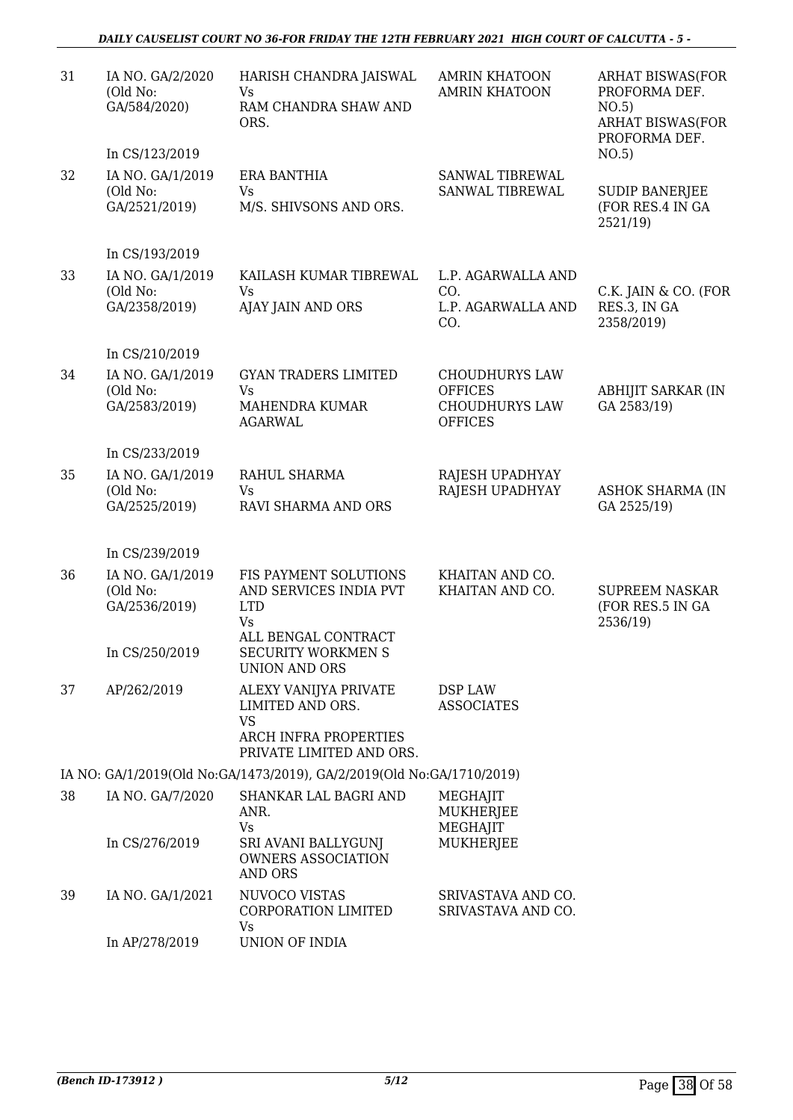#### *DAILY CAUSELIST COURT NO 36-FOR FRIDAY THE 12TH FEBRUARY 2021 HIGH COURT OF CALCUTTA - 5 -*

| 31 | IA NO. GA/2/2020<br>(Old No:<br>GA/584/2020)  | HARISH CHANDRA JAISWAL<br>Vs<br>RAM CHANDRA SHAW AND<br>ORS.                                                | <b>AMRIN KHATOON</b><br><b>AMRIN KHATOON</b>                                       | <b>ARHAT BISWAS(FOR</b><br>PROFORMA DEF.<br>NO.5)<br><b>ARHAT BISWAS(FOR</b><br>PROFORMA DEF. |
|----|-----------------------------------------------|-------------------------------------------------------------------------------------------------------------|------------------------------------------------------------------------------------|-----------------------------------------------------------------------------------------------|
|    | In CS/123/2019                                |                                                                                                             |                                                                                    | NO.5)                                                                                         |
| 32 | IA NO. GA/1/2019<br>(Old No:<br>GA/2521/2019) | <b>ERA BANTHIA</b><br>Vs<br>M/S. SHIVSONS AND ORS.                                                          | SANWAL TIBREWAL<br>SANWAL TIBREWAL                                                 | <b>SUDIP BANERJEE</b><br>(FOR RES.4 IN GA<br>2521/19                                          |
|    | In CS/193/2019                                |                                                                                                             |                                                                                    |                                                                                               |
| 33 | IA NO. GA/1/2019<br>(Old No:<br>GA/2358/2019) | KAILASH KUMAR TIBREWAL<br><b>Vs</b><br>AJAY JAIN AND ORS                                                    | L.P. AGARWALLA AND<br>CO.<br>L.P. AGARWALLA AND<br>CO.                             | C.K. JAIN & CO. (FOR<br>RES.3, IN GA<br>2358/2019)                                            |
|    | In CS/210/2019                                |                                                                                                             |                                                                                    |                                                                                               |
| 34 | IA NO. GA/1/2019<br>(Old No:<br>GA/2583/2019) | <b>GYAN TRADERS LIMITED</b><br>Vs<br>MAHENDRA KUMAR<br><b>AGARWAL</b>                                       | <b>CHOUDHURYS LAW</b><br><b>OFFICES</b><br><b>CHOUDHURYS LAW</b><br><b>OFFICES</b> | <b>ABHIJIT SARKAR (IN</b><br>GA 2583/19)                                                      |
|    | In CS/233/2019                                |                                                                                                             |                                                                                    |                                                                                               |
| 35 | IA NO. GA/1/2019<br>(Old No:<br>GA/2525/2019) | RAHUL SHARMA<br>Vs<br>RAVI SHARMA AND ORS                                                                   | RAJESH UPADHYAY<br>RAJESH UPADHYAY                                                 | <b>ASHOK SHARMA (IN</b><br>GA 2525/19)                                                        |
|    | In CS/239/2019                                |                                                                                                             |                                                                                    |                                                                                               |
| 36 | IA NO. GA/1/2019                              | FIS PAYMENT SOLUTIONS                                                                                       | KHAITAN AND CO.                                                                    |                                                                                               |
|    | (Old No:<br>GA/2536/2019)                     | AND SERVICES INDIA PVT<br><b>LTD</b><br><b>Vs</b>                                                           | KHAITAN AND CO.                                                                    | <b>SUPREEM NASKAR</b><br>(FOR RES.5 IN GA<br>2536/19)                                         |
|    | In CS/250/2019                                | ALL BENGAL CONTRACT<br><b>SECURITY WORKMEN S</b><br><b>UNION AND ORS</b>                                    |                                                                                    |                                                                                               |
| 37 | AP/262/2019                                   | ALEXY VANIJYA PRIVATE<br>LIMITED AND ORS.<br><b>VS</b><br>ARCH INFRA PROPERTIES<br>PRIVATE LIMITED AND ORS. | DSP LAW<br><b>ASSOCIATES</b>                                                       |                                                                                               |
|    |                                               | IA NO: GA/1/2019(Old No:GA/1473/2019), GA/2/2019(Old No:GA/1710/2019)                                       |                                                                                    |                                                                                               |
| 38 | IA NO. GA/7/2020                              | SHANKAR LAL BAGRI AND<br>ANR.<br><b>Vs</b>                                                                  | <b>MEGHAJIT</b><br><b>MUKHERJEE</b><br>MEGHAJIT                                    |                                                                                               |
|    | In CS/276/2019                                | SRI AVANI BALLYGUNJ<br><b>OWNERS ASSOCIATION</b><br><b>AND ORS</b>                                          | <b>MUKHERJEE</b>                                                                   |                                                                                               |
| 39 | IA NO. GA/1/2021                              | NUVOCO VISTAS<br>CORPORATION LIMITED<br>Vs                                                                  | SRIVASTAVA AND CO.<br>SRIVASTAVA AND CO.                                           |                                                                                               |
|    | In AP/278/2019                                | UNION OF INDIA                                                                                              |                                                                                    |                                                                                               |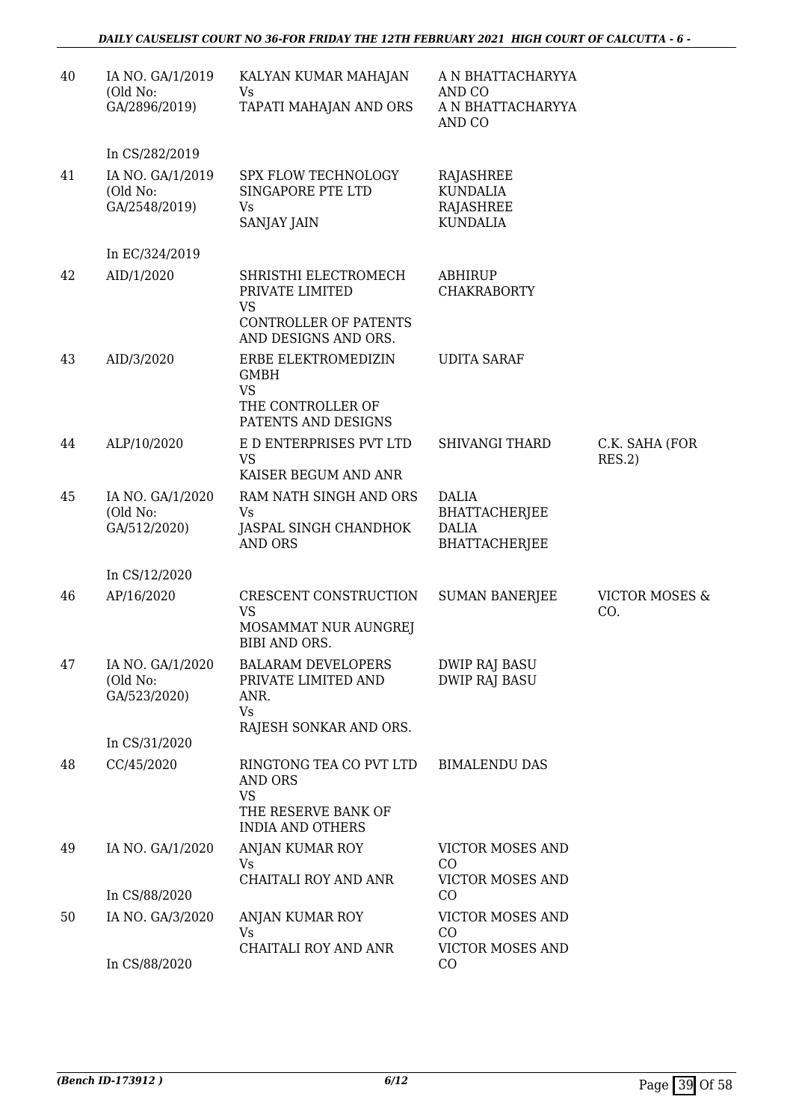| 40 | IA NO. GA/1/2019<br>(Old No:<br>GA/2896/2019) | KALYAN KUMAR MAHAJAN<br>Vs<br>TAPATI MAHAJAN AND ORS                                                     | A N BHATTACHARYYA<br>AND CO<br>A N BHATTACHARYYA<br>AND CO                   |                                  |
|----|-----------------------------------------------|----------------------------------------------------------------------------------------------------------|------------------------------------------------------------------------------|----------------------------------|
|    | In CS/282/2019                                |                                                                                                          |                                                                              |                                  |
| 41 | IA NO. GA/1/2019<br>(Old No:<br>GA/2548/2019) | SPX FLOW TECHNOLOGY<br>SINGAPORE PTE LTD<br>Vs<br>SANJAY JAIN                                            | RAJASHREE<br><b>KUNDALIA</b><br>RAJASHREE<br><b>KUNDALIA</b>                 |                                  |
|    | In EC/324/2019                                |                                                                                                          |                                                                              |                                  |
| 42 | AID/1/2020                                    | SHRISTHI ELECTROMECH<br>PRIVATE LIMITED<br><b>VS</b>                                                     | ABHIRUP<br><b>CHAKRABORTY</b>                                                |                                  |
|    |                                               | <b>CONTROLLER OF PATENTS</b><br>AND DESIGNS AND ORS.                                                     |                                                                              |                                  |
| 43 | AID/3/2020                                    | ERBE ELEKTROMEDIZIN<br><b>GMBH</b><br><b>VS</b><br>THE CONTROLLER OF<br>PATENTS AND DESIGNS              | <b>UDITA SARAF</b>                                                           |                                  |
| 44 | ALP/10/2020                                   | E D ENTERPRISES PVT LTD<br><b>VS</b><br>KAISER BEGUM AND ANR                                             | <b>SHIVANGI THARD</b>                                                        | C.K. SAHA (FOR<br>RES.2)         |
| 45 | IA NO. GA/1/2020<br>(Old No:<br>GA/512/2020)  | RAM NATH SINGH AND ORS<br>Vs<br>JASPAL SINGH CHANDHOK<br><b>AND ORS</b>                                  | <b>DALIA</b><br><b>BHATTACHERJEE</b><br><b>DALIA</b><br><b>BHATTACHERJEE</b> |                                  |
|    | In CS/12/2020                                 |                                                                                                          |                                                                              |                                  |
| 46 | AP/16/2020                                    | CRESCENT CONSTRUCTION<br><b>VS</b><br>MOSAMMAT NUR AUNGREJ<br>BIBI AND ORS.                              | <b>SUMAN BANERJEE</b>                                                        | <b>VICTOR MOSES &amp;</b><br>CO. |
| 47 | IA NO. GA/1/2020<br>(Old No:<br>GA/523/2020)  | <b>BALARAM DEVELOPERS</b><br>PRIVATE LIMITED AND<br>ANR.<br>Vs<br>RAJESH SONKAR AND ORS.                 | <b>DWIP RAJ BASU</b><br><b>DWIP RAJ BASU</b>                                 |                                  |
|    | In CS/31/2020                                 |                                                                                                          |                                                                              |                                  |
| 48 | CC/45/2020                                    | RINGTONG TEA CO PVT LTD<br><b>AND ORS</b><br><b>VS</b><br>THE RESERVE BANK OF<br><b>INDIA AND OTHERS</b> | <b>BIMALENDU DAS</b>                                                         |                                  |
| 49 | IA NO. GA/1/2020                              | ANJAN KUMAR ROY<br><b>Vs</b><br>CHAITALI ROY AND ANR                                                     | VICTOR MOSES AND<br>CO<br><b>VICTOR MOSES AND</b>                            |                                  |
|    | In CS/88/2020                                 |                                                                                                          | CO                                                                           |                                  |
| 50 | IA NO. GA/3/2020                              | ANJAN KUMAR ROY<br>Vs<br>CHAITALI ROY AND ANR                                                            | <b>VICTOR MOSES AND</b><br>CO<br><b>VICTOR MOSES AND</b>                     |                                  |
|    | In CS/88/2020                                 |                                                                                                          | CO                                                                           |                                  |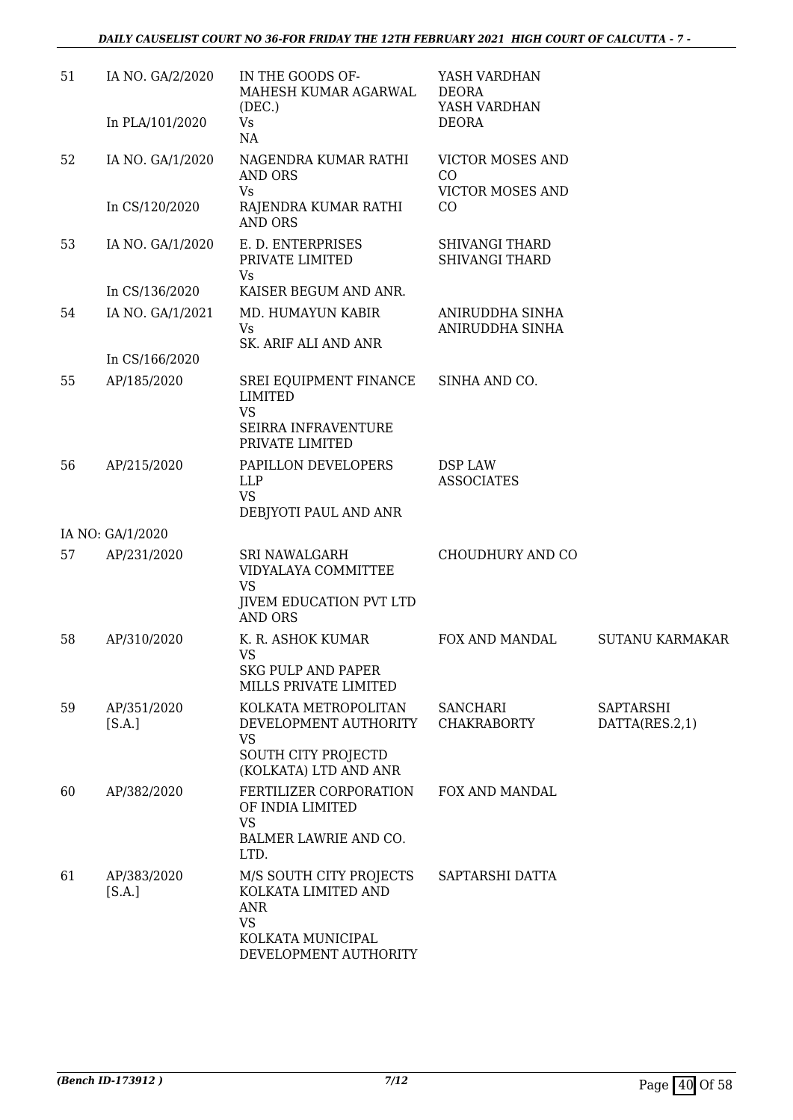| 51 | IA NO. GA/2/2020      | IN THE GOODS OF-<br>MAHESH KUMAR AGARWAL<br>(DEC.)                                       | YASH VARDHAN<br><b>DEORA</b><br>YASH VARDHAN   |                             |
|----|-----------------------|------------------------------------------------------------------------------------------|------------------------------------------------|-----------------------------|
|    | In PLA/101/2020       | Vs<br>NA                                                                                 | <b>DEORA</b>                                   |                             |
| 52 | IA NO. GA/1/2020      | NAGENDRA KUMAR RATHI<br><b>AND ORS</b>                                                   | <b>VICTOR MOSES AND</b><br>CO                  |                             |
|    | In CS/120/2020        | Vs<br>RAJENDRA KUMAR RATHI<br><b>AND ORS</b>                                             | <b>VICTOR MOSES AND</b><br>CO                  |                             |
| 53 | IA NO. GA/1/2020      | E. D. ENTERPRISES<br>PRIVATE LIMITED<br><b>Vs</b>                                        | <b>SHIVANGI THARD</b><br><b>SHIVANGI THARD</b> |                             |
|    | In CS/136/2020        | KAISER BEGUM AND ANR.                                                                    |                                                |                             |
| 54 | IA NO. GA/1/2021      | MD. HUMAYUN KABIR<br><b>Vs</b><br>SK. ARIF ALI AND ANR                                   | ANIRUDDHA SINHA<br>ANIRUDDHA SINHA             |                             |
|    | In CS/166/2020        |                                                                                          |                                                |                             |
| 55 | AP/185/2020           | SREI EQUIPMENT FINANCE<br><b>LIMITED</b><br><b>VS</b>                                    | SINHA AND CO.                                  |                             |
|    |                       | SEIRRA INFRAVENTURE<br>PRIVATE LIMITED                                                   |                                                |                             |
| 56 | AP/215/2020           | PAPILLON DEVELOPERS<br><b>LLP</b><br><b>VS</b><br>DEBJYOTI PAUL AND ANR                  | <b>DSP LAW</b><br><b>ASSOCIATES</b>            |                             |
|    | IA NO: GA/1/2020      |                                                                                          |                                                |                             |
| 57 | AP/231/2020           | SRI NAWALGARH<br>VIDYALAYA COMMITTEE                                                     | CHOUDHURY AND CO                               |                             |
|    |                       | <b>VS</b><br><b>JIVEM EDUCATION PVT LTD</b><br><b>AND ORS</b>                            |                                                |                             |
| 58 | AP/310/2020           | K. R. ASHOK KUMAR<br><b>VS</b><br><b>SKG PULP AND PAPER</b>                              | FOX AND MANDAL                                 | <b>SUTANU KARMAKAR</b>      |
|    |                       | MILLS PRIVATE LIMITED                                                                    |                                                |                             |
| 59 | AP/351/2020<br>[S.A.] | KOLKATA METROPOLITAN<br>DEVELOPMENT AUTHORITY<br><b>VS</b><br>SOUTH CITY PROJECTD        | <b>SANCHARI</b><br><b>CHAKRABORTY</b>          | SAPTARSHI<br>DATTA(RES.2,1) |
|    |                       | (KOLKATA) LTD AND ANR                                                                    |                                                |                             |
| 60 | AP/382/2020           | FERTILIZER CORPORATION<br>OF INDIA LIMITED<br><b>VS</b><br>BALMER LAWRIE AND CO.<br>LTD. | FOX AND MANDAL                                 |                             |
| 61 | AP/383/2020<br>[S.A.] | M/S SOUTH CITY PROJECTS<br>KOLKATA LIMITED AND<br><b>ANR</b><br><b>VS</b>                | SAPTARSHI DATTA                                |                             |
|    |                       | KOLKATA MUNICIPAL<br>DEVELOPMENT AUTHORITY                                               |                                                |                             |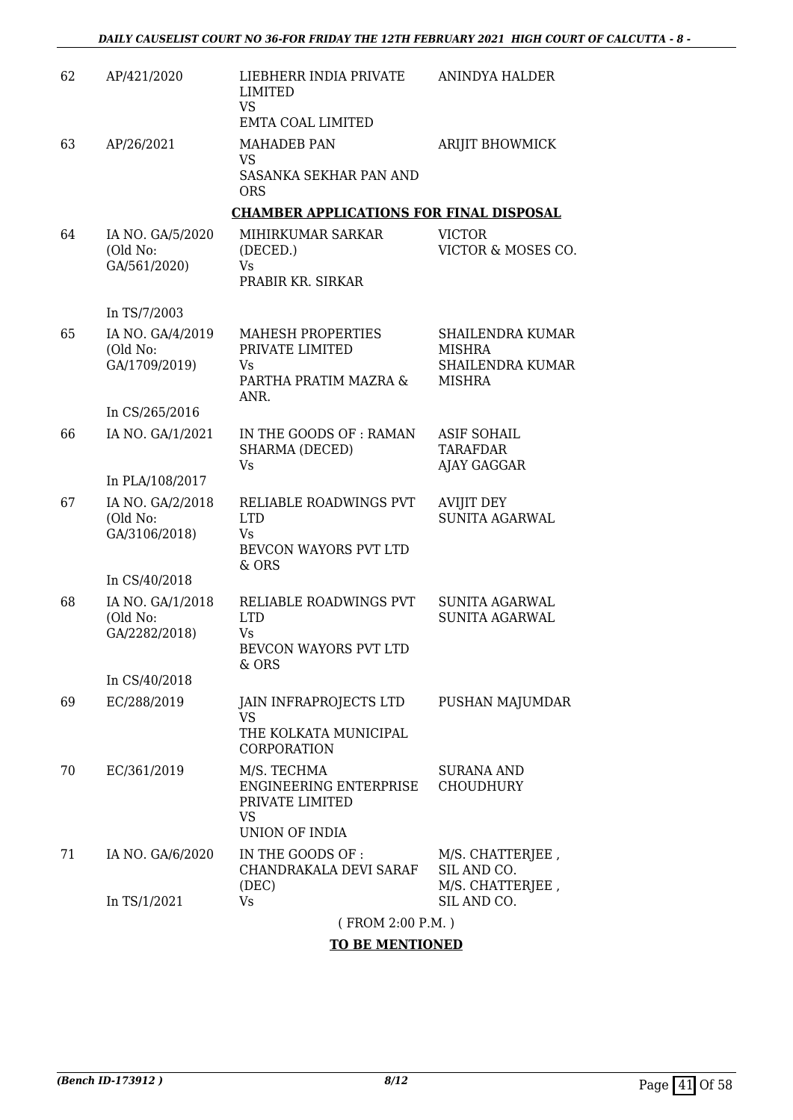| 62 | AP/421/2020                                   | LIEBHERR INDIA PRIVATE<br>LIMITED<br><b>VS</b><br><b>EMTA COAL LIMITED</b>         | <b>ANINDYA HALDER</b>                                                         |
|----|-----------------------------------------------|------------------------------------------------------------------------------------|-------------------------------------------------------------------------------|
| 63 | AP/26/2021                                    | <b>MAHADEB PAN</b><br><b>VS</b><br>SASANKA SEKHAR PAN AND<br><b>ORS</b>            | ARIJIT BHOWMICK                                                               |
|    |                                               | <b>CHAMBER APPLICATIONS FOR FINAL DISPOSAL</b>                                     |                                                                               |
| 64 | IA NO. GA/5/2020<br>(Old No:<br>GA/561/2020)  | MIHIRKUMAR SARKAR<br>(DECED.)<br>Vs<br>PRABIR KR. SIRKAR                           | <b>VICTOR</b><br>VICTOR & MOSES CO.                                           |
|    | In TS/7/2003                                  |                                                                                    |                                                                               |
| 65 | IA NO. GA/4/2019<br>(Old No:<br>GA/1709/2019) | MAHESH PROPERTIES<br>PRIVATE LIMITED<br>Vs.<br>PARTHA PRATIM MAZRA &<br>ANR.       | SHAILENDRA KUMAR<br><b>MISHRA</b><br><b>SHAILENDRA KUMAR</b><br><b>MISHRA</b> |
|    | In CS/265/2016                                |                                                                                    |                                                                               |
| 66 | IA NO. GA/1/2021                              | IN THE GOODS OF : RAMAN<br>SHARMA (DECED)<br>Vs                                    | <b>ASIF SOHAIL</b><br><b>TARAFDAR</b><br>AJAY GAGGAR                          |
|    | In PLA/108/2017                               |                                                                                    |                                                                               |
| 67 | IA NO. GA/2/2018<br>(Old No:<br>GA/3106/2018) | RELIABLE ROADWINGS PVT<br><b>LTD</b><br>Vs.<br>BEVCON WAYORS PVT LTD<br>& ORS      | <b>AVIJIT DEY</b><br><b>SUNITA AGARWAL</b>                                    |
|    | In CS/40/2018                                 |                                                                                    |                                                                               |
| 68 | IA NO. GA/1/2018<br>(Old No:<br>GA/2282/2018) | RELIABLE ROADWINGS PVT<br><b>LTD</b><br>Vs<br>BEVCON WAYORS PVT LTD<br>& ORS       | <b>SUNITA AGARWAL</b><br><b>SUNITA AGARWAL</b>                                |
|    | In CS/40/2018                                 |                                                                                    |                                                                               |
| 69 | EC/288/2019                                   | JAIN INFRAPROJECTS LTD<br><b>VS</b><br>THE KOLKATA MUNICIPAL<br><b>CORPORATION</b> | PUSHAN MAJUMDAR                                                               |
| 70 | EC/361/2019                                   | M/S. TECHMA<br>ENGINEERING ENTERPRISE<br>PRIVATE LIMITED<br>VS<br>UNION OF INDIA   | SURANA AND<br><b>CHOUDHURY</b>                                                |
| 71 | IA NO. GA/6/2020                              | IN THE GOODS OF :<br>CHANDRAKALA DEVI SARAF<br>(DEC)                               | M/S. CHATTERJEE,<br>SIL AND CO.<br>M/S. CHATTERJEE,                           |
|    | In TS/1/2021                                  | Vs                                                                                 | SIL AND CO.                                                                   |
|    |                                               | (FROM 2:00 P.M.)                                                                   |                                                                               |

#### **TO BE MENTIONED**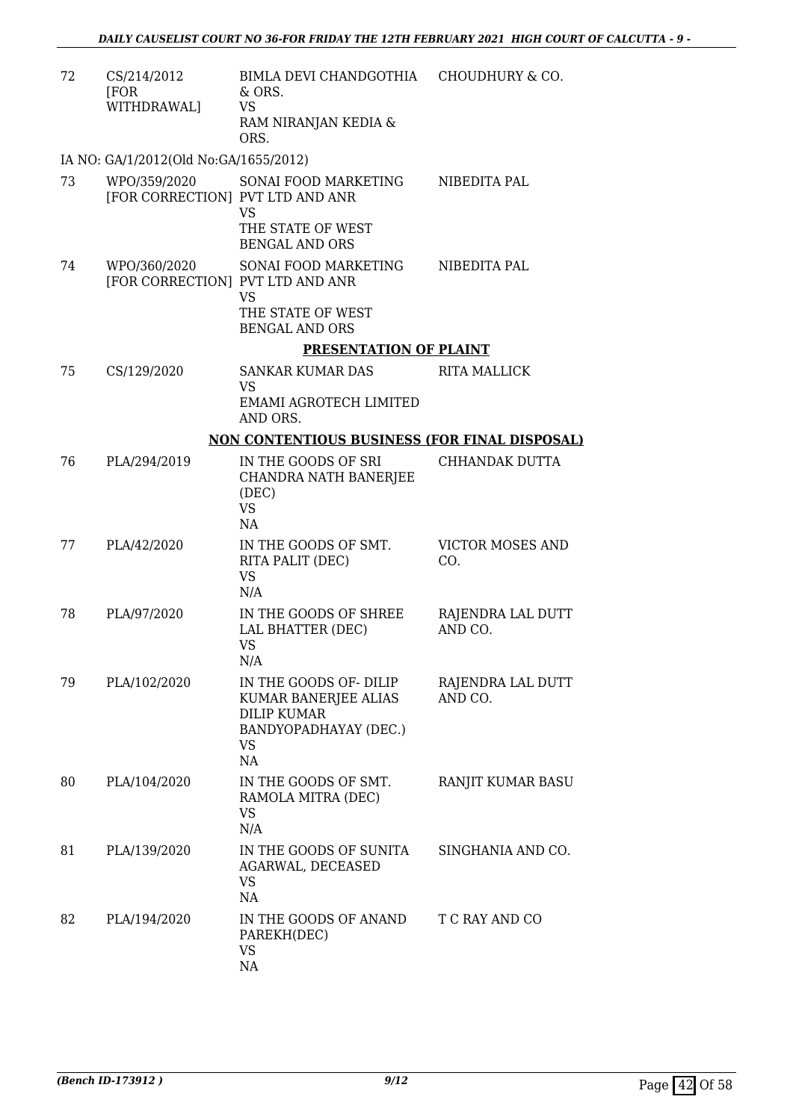| 72 | CS/214/2012<br>[FOR<br>WITHDRAWAL]               | BIMLA DEVI CHANDGOTHIA CHOUDHURY & CO.<br>& ORS.<br><b>VS</b><br>RAM NIRANJAN KEDIA &<br>ORS.                   |                                |
|----|--------------------------------------------------|-----------------------------------------------------------------------------------------------------------------|--------------------------------|
|    | IA NO: GA/1/2012(Old No:GA/1655/2012)            |                                                                                                                 |                                |
| 73 | WPO/359/2020<br>[FOR CORRECTION] PVT LTD AND ANR | SONAI FOOD MARKETING<br><b>VS</b>                                                                               | NIBEDITA PAL                   |
|    |                                                  | THE STATE OF WEST<br><b>BENGAL AND ORS</b>                                                                      |                                |
| 74 | WPO/360/2020<br>[FOR CORRECTION] PVT LTD AND ANR | SONAI FOOD MARKETING<br><b>VS</b><br>THE STATE OF WEST<br><b>BENGAL AND ORS</b>                                 | NIBEDITA PAL                   |
|    |                                                  | PRESENTATION OF PLAINT                                                                                          |                                |
| 75 | CS/129/2020                                      | <b>SANKAR KUMAR DAS</b><br><b>VS</b><br>EMAMI AGROTECH LIMITED<br>AND ORS.                                      | <b>RITA MALLICK</b>            |
|    |                                                  | NON CONTENTIOUS BUSINESS (FOR FINAL DISPOSAL)                                                                   |                                |
| 76 | PLA/294/2019                                     | IN THE GOODS OF SRI<br>CHANDRA NATH BANERJEE<br>(DEC)<br><b>VS</b><br>NA                                        | CHHANDAK DUTTA                 |
| 77 | PLA/42/2020                                      | IN THE GOODS OF SMT.<br>RITA PALIT (DEC)<br><b>VS</b><br>N/A                                                    | <b>VICTOR MOSES AND</b><br>CO. |
| 78 | PLA/97/2020                                      | IN THE GOODS OF SHREE<br>LAL BHATTER (DEC)<br><b>VS</b><br>N/A                                                  | RAJENDRA LAL DUTT<br>AND CO.   |
| 79 | PLA/102/2020                                     | IN THE GOODS OF DILIP<br>KUMAR BANERJEE ALIAS<br><b>DILIP KUMAR</b><br>BANDYOPADHAYAY (DEC.)<br><b>VS</b><br>NA | RAJENDRA LAL DUTT<br>AND CO.   |
| 80 | PLA/104/2020                                     | IN THE GOODS OF SMT.<br>RAMOLA MITRA (DEC)<br>VS<br>N/A                                                         | RANJIT KUMAR BASU              |
| 81 | PLA/139/2020                                     | IN THE GOODS OF SUNITA<br>AGARWAL, DECEASED<br><b>VS</b><br>NA                                                  | SINGHANIA AND CO.              |
| 82 | PLA/194/2020                                     | IN THE GOODS OF ANAND<br>PAREKH(DEC)<br><b>VS</b><br>NA                                                         | T C RAY AND CO                 |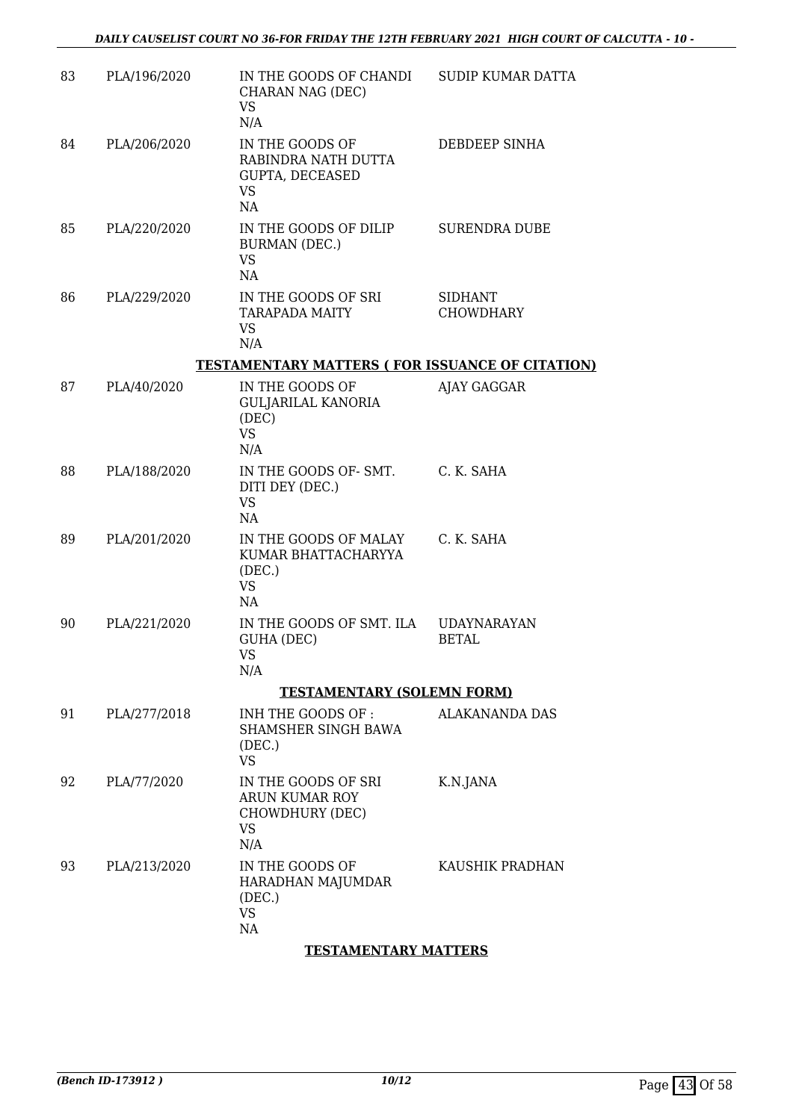| 83 | PLA/196/2020 | IN THE GOODS OF CHANDI<br>CHARAN NAG (DEC)<br><b>VS</b><br>N/A               | <b>SUDIP KUMAR DATTA</b>           |
|----|--------------|------------------------------------------------------------------------------|------------------------------------|
| 84 | PLA/206/2020 | IN THE GOODS OF<br>RABINDRA NATH DUTTA<br>GUPTA, DECEASED<br><b>VS</b><br>NA | DEBDEEP SINHA                      |
| 85 | PLA/220/2020 | IN THE GOODS OF DILIP<br>BURMAN (DEC.)<br><b>VS</b><br>NA                    | <b>SURENDRA DUBE</b>               |
| 86 | PLA/229/2020 | IN THE GOODS OF SRI<br><b>TARAPADA MAITY</b><br><b>VS</b><br>N/A             | <b>SIDHANT</b><br><b>CHOWDHARY</b> |
|    |              | <b>TESTAMENTARY MATTERS (FOR ISSUANCE OF CITATION)</b>                       |                                    |
| 87 | PLA/40/2020  | IN THE GOODS OF<br><b>GULJARILAL KANORIA</b><br>(DEC)<br><b>VS</b><br>N/A    | AJAY GAGGAR                        |
| 88 | PLA/188/2020 | IN THE GOODS OF- SMT.<br>DITI DEY (DEC.)<br><b>VS</b><br>NA                  | C. K. SAHA                         |
| 89 | PLA/201/2020 | IN THE GOODS OF MALAY<br>KUMAR BHATTACHARYYA<br>(DEC.)<br><b>VS</b><br>NA    | C. K. SAHA                         |
| 90 | PLA/221/2020 | IN THE GOODS OF SMT. ILA<br>GUHA (DEC)<br><b>VS</b><br>N/A                   | <b>UDAYNARAYAN</b><br><b>BETAL</b> |
|    |              | <b>TESTAMENTARY (SOLEMN FORM)</b>                                            |                                    |
| 91 | PLA/277/2018 | INH THE GOODS OF :<br>SHAMSHER SINGH BAWA<br>(DEC.)<br><b>VS</b>             | <b>ALAKANANDA DAS</b>              |
| 92 | PLA/77/2020  | IN THE GOODS OF SRI<br><b>ARUN KUMAR ROY</b><br>CHOWDHURY (DEC)<br>VS<br>N/A | K.N.JANA                           |
| 93 | PLA/213/2020 | IN THE GOODS OF<br>HARADHAN MAJUMDAR<br>(DEC.)<br><b>VS</b><br>NA            | KAUSHIK PRADHAN                    |
|    |              | <b>TESTAMENTARY MATTERS</b>                                                  |                                    |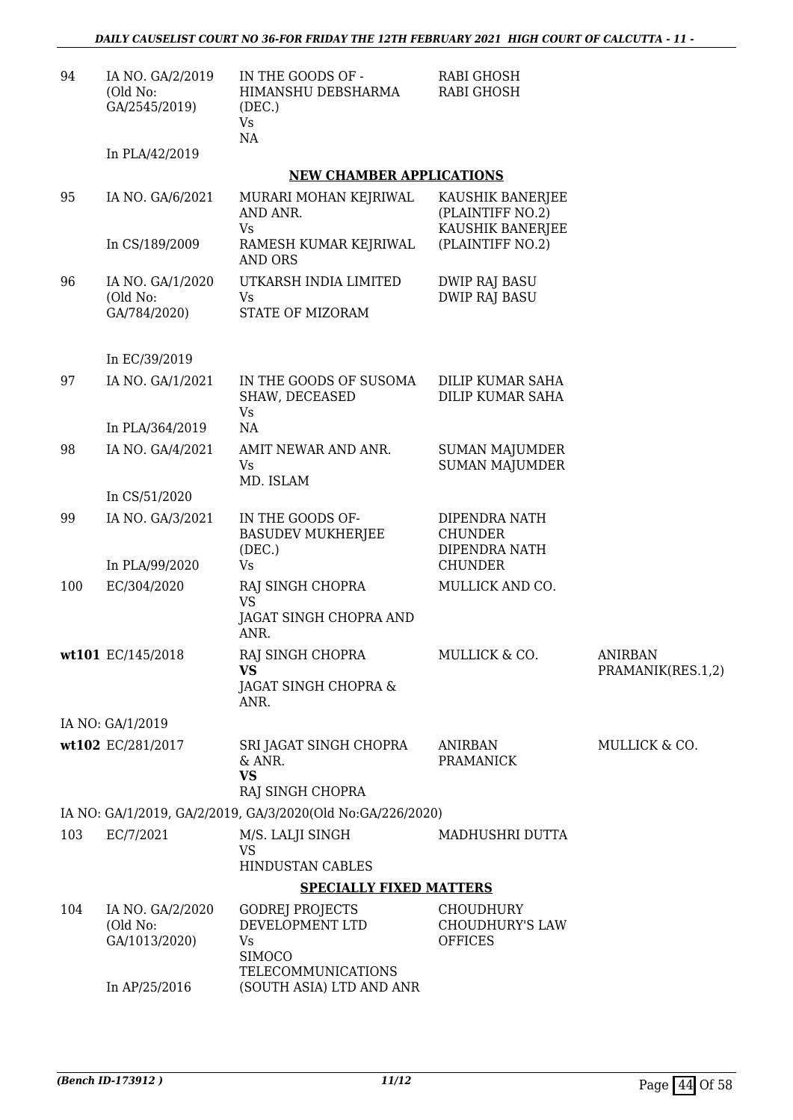| 94  | IA NO. GA/2/2019<br>(Old No:<br>GA/2545/2019) | IN THE GOODS OF -<br>HIMANSHU DEBSHARMA<br>(DEC.)<br>Vs<br>NA | RABI GHOSH<br><b>RABI GHOSH</b>                                    |                                     |
|-----|-----------------------------------------------|---------------------------------------------------------------|--------------------------------------------------------------------|-------------------------------------|
|     | In PLA/42/2019                                |                                                               |                                                                    |                                     |
|     |                                               | <b>NEW CHAMBER APPLICATIONS</b>                               |                                                                    |                                     |
| 95  | IA NO. GA/6/2021                              | MURARI MOHAN KEJRIWAL<br>AND ANR.<br>Vs                       | KAUSHIK BANERJEE<br>(PLAINTIFF NO.2)<br>KAUSHIK BANERJEE           |                                     |
|     | In CS/189/2009                                | RAMESH KUMAR KEJRIWAL<br>AND ORS                              | (PLAINTIFF NO.2)                                                   |                                     |
| 96  | IA NO. GA/1/2020<br>(Old No:<br>GA/784/2020)  | UTKARSH INDIA LIMITED<br>Vs<br>STATE OF MIZORAM               | <b>DWIP RAJ BASU</b><br><b>DWIP RAJ BASU</b>                       |                                     |
|     | In EC/39/2019                                 |                                                               |                                                                    |                                     |
| 97  | IA NO. GA/1/2021                              | IN THE GOODS OF SUSOMA<br>SHAW, DECEASED<br>Vs                | DILIP KUMAR SAHA<br>DILIP KUMAR SAHA                               |                                     |
|     | In PLA/364/2019                               | NA                                                            |                                                                    |                                     |
| 98  | IA NO. GA/4/2021                              | AMIT NEWAR AND ANR.<br>Vs<br>MD. ISLAM                        | <b>SUMAN MAJUMDER</b><br><b>SUMAN MAJUMDER</b>                     |                                     |
|     | In CS/51/2020                                 |                                                               |                                                                    |                                     |
| 99  | IA NO. GA/3/2021<br>In PLA/99/2020            | IN THE GOODS OF-<br><b>BASUDEV MUKHERJEE</b><br>(DEC.)<br>Vs  | DIPENDRA NATH<br><b>CHUNDER</b><br>DIPENDRA NATH<br><b>CHUNDER</b> |                                     |
| 100 | EC/304/2020                                   | RAJ SINGH CHOPRA                                              | MULLICK AND CO.                                                    |                                     |
|     |                                               | VS<br>JAGAT SINGH CHOPRA AND<br>ANR.                          |                                                                    |                                     |
|     | wt101 EC/145/2018                             | RAJ SINGH CHOPRA<br><b>VS</b><br>JAGAT SINGH CHOPRA &<br>ANR. | MULLICK & CO.                                                      | <b>ANIRBAN</b><br>PRAMANIK(RES.1,2) |
|     | IA NO: GA/1/2019                              |                                                               |                                                                    |                                     |
|     | wt102 EC/281/2017                             | SRI JAGAT SINGH CHOPRA<br>& ANR.<br><b>VS</b>                 | <b>ANIRBAN</b><br><b>PRAMANICK</b>                                 | MULLICK & CO.                       |
|     |                                               | RAJ SINGH CHOPRA                                              |                                                                    |                                     |
|     |                                               | IA NO: GA/1/2019, GA/2/2019, GA/3/2020(Old No:GA/226/2020)    |                                                                    |                                     |
| 103 | EC/7/2021                                     | M/S. LALJI SINGH<br><b>VS</b><br>HINDUSTAN CABLES             | MADHUSHRI DUTTA                                                    |                                     |
|     |                                               | <b>SPECIALLY FIXED MATTERS</b>                                |                                                                    |                                     |
| 104 | IA NO. GA/2/2020                              | <b>GODREJ PROJECTS</b>                                        | CHOUDHURY                                                          |                                     |
|     | (Old No:<br>GA/1013/2020)                     | DEVELOPMENT LTD<br><b>Vs</b><br><b>SIMOCO</b>                 | <b>CHOUDHURY'S LAW</b><br><b>OFFICES</b>                           |                                     |
|     | In AP/25/2016                                 | <b>TELECOMMUNICATIONS</b><br>(SOUTH ASIA) LTD AND ANR         |                                                                    |                                     |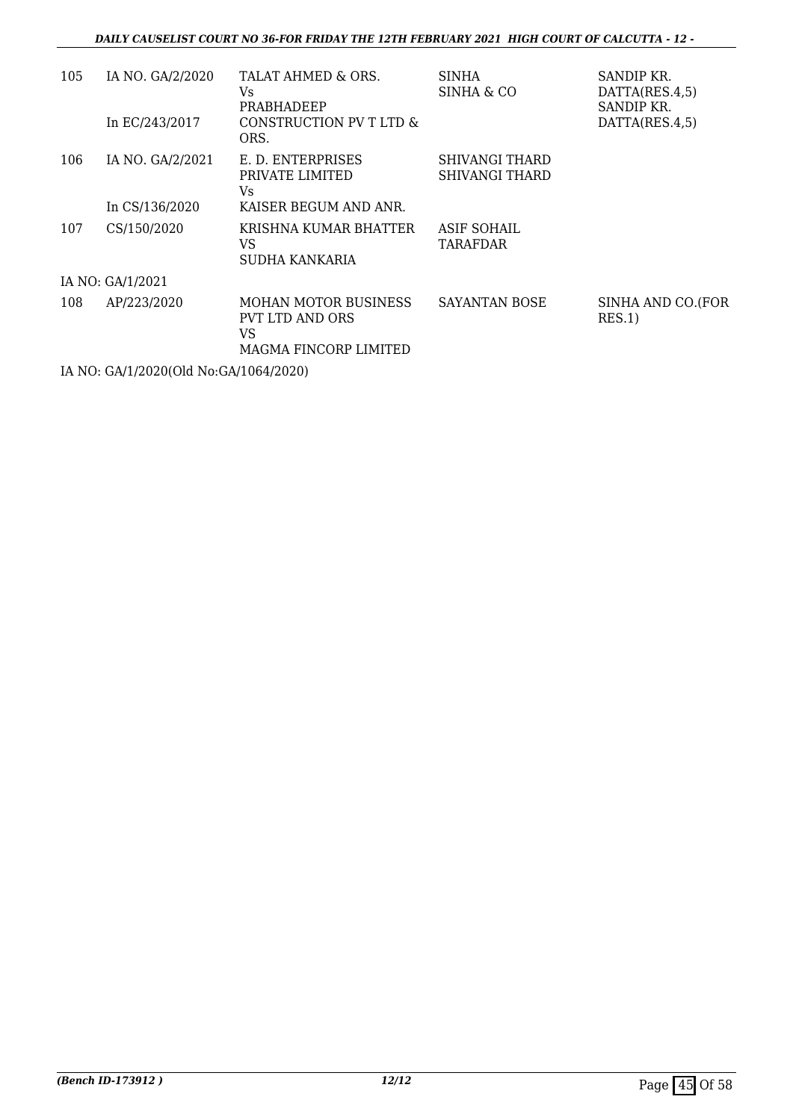#### *DAILY CAUSELIST COURT NO 36-FOR FRIDAY THE 12TH FEBRUARY 2021 HIGH COURT OF CALCUTTA - 12 -*

| 105 | IA NO. GA/2/2020 | TALAT AHMED & ORS.<br>Vs<br>PRABHADEEP                                               | <b>SINHA</b><br>SINHA & CO       | SANDIP KR.<br>DATTA(RES.4,5)<br>SANDIP KR. |
|-----|------------------|--------------------------------------------------------------------------------------|----------------------------------|--------------------------------------------|
|     | In EC/243/2017   | CONSTRUCTION PV T LTD &<br>ORS.                                                      |                                  | DATTA(RES.4,5)                             |
| 106 | IA NO. GA/2/2021 | E. D. ENTERPRISES<br>PRIVATE LIMITED<br>Vs.                                          | SHIVANGI THARD<br>SHIVANGI THARD |                                            |
|     | In CS/136/2020   | KAISER BEGUM AND ANR.                                                                |                                  |                                            |
| 107 | CS/150/2020      | KRISHNA KUMAR BHATTER<br>VS<br>SUDHA KANKARIA                                        | ASIF SOHAIL<br><b>TARAFDAR</b>   |                                            |
|     | IA NO: GA/1/2021 |                                                                                      |                                  |                                            |
| 108 | AP/223/2020      | <b>MOHAN MOTOR BUSINESS</b><br><b>PVT LTD AND ORS</b><br>VS<br>MAGMA FINCORP LIMITED | <b>SAYANTAN BOSE</b>             | SINHA AND CO.(FOR<br>RES.1)                |

IA NO: GA/1/2020(Old No:GA/1064/2020)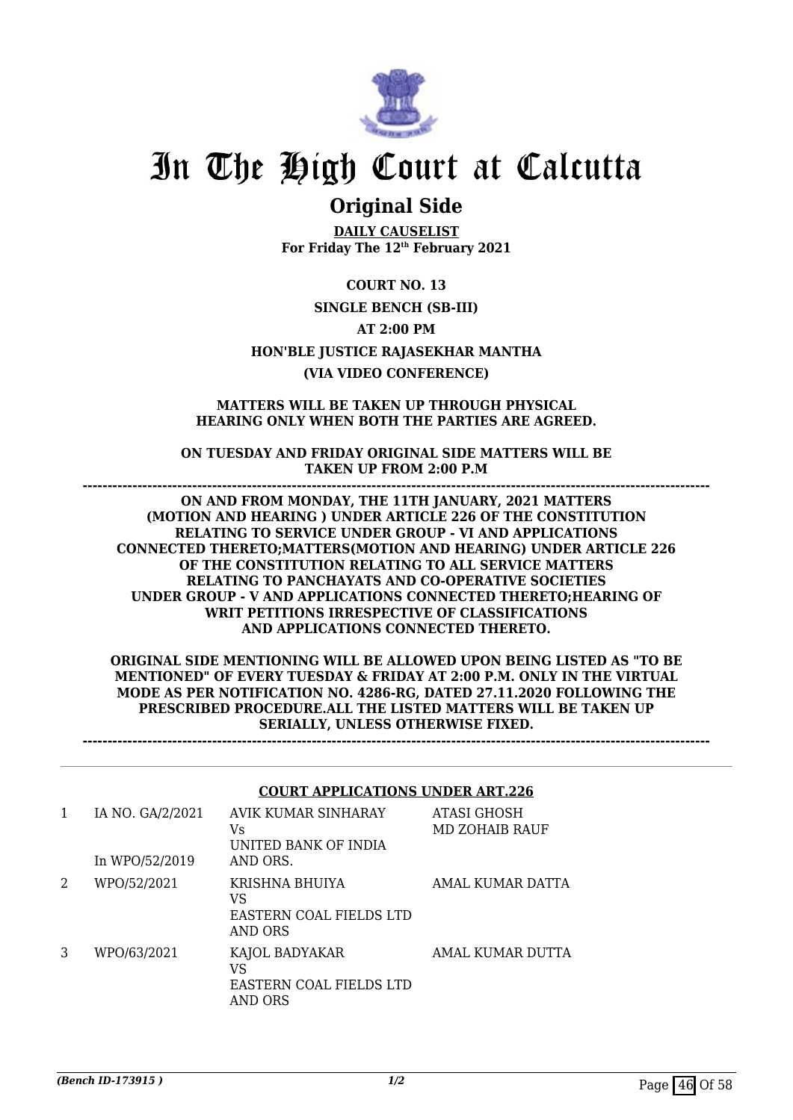

### **Original Side**

**DAILY CAUSELIST For Friday The 12th February 2021**

**COURT NO. 13 SINGLE BENCH (SB-III) AT 2:00 PM HON'BLE JUSTICE RAJASEKHAR MANTHA (VIA VIDEO CONFERENCE)**

#### **MATTERS WILL BE TAKEN UP THROUGH PHYSICAL HEARING ONLY WHEN BOTH THE PARTIES ARE AGREED.**

**ON TUESDAY AND FRIDAY ORIGINAL SIDE MATTERS WILL BE TAKEN UP FROM 2:00 P.M ------------------------------------------------------------------------------------------------------------------------------**

**ON AND FROM MONDAY, THE 11TH JANUARY, 2021 MATTERS (MOTION AND HEARING ) UNDER ARTICLE 226 OF THE CONSTITUTION RELATING TO SERVICE UNDER GROUP - VI AND APPLICATIONS CONNECTED THERETO;MATTERS(MOTION AND HEARING) UNDER ARTICLE 226 OF THE CONSTITUTION RELATING TO ALL SERVICE MATTERS RELATING TO PANCHAYATS AND CO-OPERATIVE SOCIETIES UNDER GROUP - V AND APPLICATIONS CONNECTED THERETO;HEARING OF WRIT PETITIONS IRRESPECTIVE OF CLASSIFICATIONS AND APPLICATIONS CONNECTED THERETO.**

**ORIGINAL SIDE MENTIONING WILL BE ALLOWED UPON BEING LISTED AS "TO BE MENTIONED" OF EVERY TUESDAY & FRIDAY AT 2:00 P.M. ONLY IN THE VIRTUAL MODE AS PER NOTIFICATION NO. 4286-RG, DATED 27.11.2020 FOLLOWING THE PRESCRIBED PROCEDURE.ALL THE LISTED MATTERS WILL BE TAKEN UP SERIALLY, UNLESS OTHERWISE FIXED.**

**------------------------------------------------------------------------------------------------------------------------------**

#### **COURT APPLICATIONS UNDER ART.226**

| 1 | IA NO. GA/2/2021<br>In WPO/52/2019 | AVIK KUMAR SINHARAY<br>Vs<br>UNITED BANK OF INDIA<br>AND ORS. | ATASI GHOSH<br>MD ZOHAIB RAUF |
|---|------------------------------------|---------------------------------------------------------------|-------------------------------|
| 2 | WPO/52/2021                        | KRISHNA BHUIYA<br>VS<br>EASTERN COAL FIELDS LTD<br>AND ORS    | AMAL KUMAR DATTA              |
| 3 | WPO/63/2021                        | KAJOL BADYAKAR<br>VS<br>EASTERN COAL FIELDS LTD<br>AND ORS    | AMAL KUMAR DUTTA              |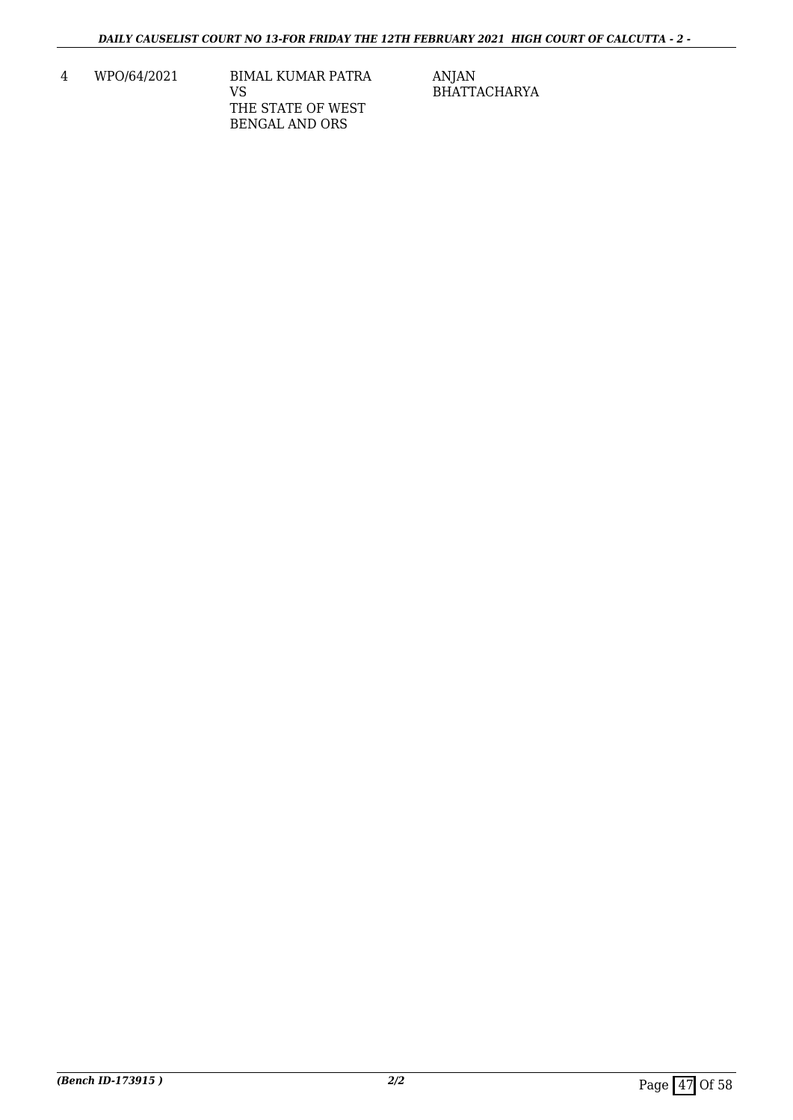4 WPO/64/2021 BIMAL KUMAR PATRA VS THE STATE OF WEST BENGAL AND ORS

ANJAN BHATTACHARYA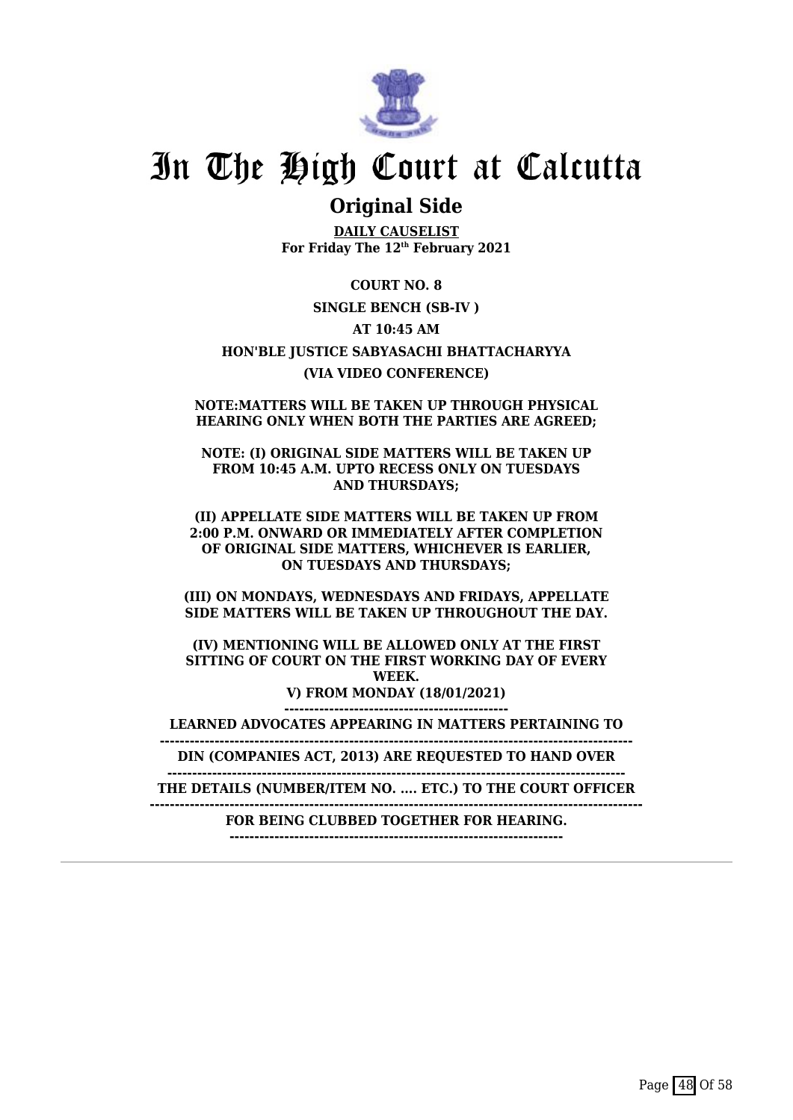

### **Original Side**

**DAILY CAUSELIST For Friday The 12th February 2021**

**COURT NO. 8 SINGLE BENCH (SB-IV ) AT 10:45 AM HON'BLE JUSTICE SABYASACHI BHATTACHARYYA (VIA VIDEO CONFERENCE)**

**NOTE:MATTERS WILL BE TAKEN UP THROUGH PHYSICAL HEARING ONLY WHEN BOTH THE PARTIES ARE AGREED;**

**NOTE: (I) ORIGINAL SIDE MATTERS WILL BE TAKEN UP FROM 10:45 A.M. UPTO RECESS ONLY ON TUESDAYS AND THURSDAYS;**

**(II) APPELLATE SIDE MATTERS WILL BE TAKEN UP FROM 2:00 P.M. ONWARD OR IMMEDIATELY AFTER COMPLETION OF ORIGINAL SIDE MATTERS, WHICHEVER IS EARLIER, ON TUESDAYS AND THURSDAYS;**

**(III) ON MONDAYS, WEDNESDAYS AND FRIDAYS, APPELLATE SIDE MATTERS WILL BE TAKEN UP THROUGHOUT THE DAY.**

**(IV) MENTIONING WILL BE ALLOWED ONLY AT THE FIRST SITTING OF COURT ON THE FIRST WORKING DAY OF EVERY WEEK. V) FROM MONDAY (18/01/2021) ---------------------------------------------**

**LEARNED ADVOCATES APPEARING IN MATTERS PERTAINING TO**

**----------------------------------------------------------------------------------------------- DIN (COMPANIES ACT, 2013) ARE REQUESTED TO HAND OVER**

**--------------------------------------------------------------------------------------------**

**THE DETAILS (NUMBER/ITEM NO. .... ETC.) TO THE COURT OFFICER**

**--------------------------------------------------------------------------------------------------- FOR BEING CLUBBED TOGETHER FOR HEARING.**

**-------------------------------------------------------------------**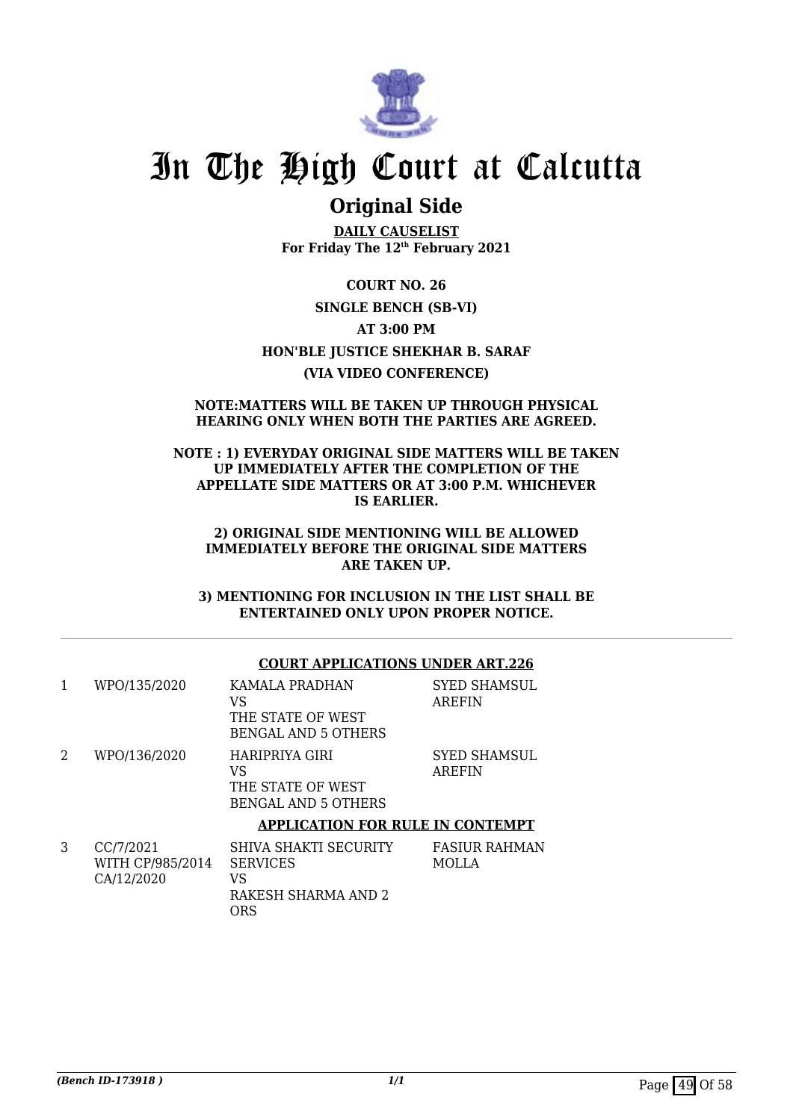

### **Original Side**

**DAILY CAUSELIST For Friday The 12th February 2021**

**COURT NO. 26 SINGLE BENCH (SB-VI) AT 3:00 PM HON'BLE JUSTICE SHEKHAR B. SARAF (VIA VIDEO CONFERENCE)**

#### **NOTE:MATTERS WILL BE TAKEN UP THROUGH PHYSICAL HEARING ONLY WHEN BOTH THE PARTIES ARE AGREED.**

#### **NOTE : 1) EVERYDAY ORIGINAL SIDE MATTERS WILL BE TAKEN UP IMMEDIATELY AFTER THE COMPLETION OF THE APPELLATE SIDE MATTERS OR AT 3:00 P.M. WHICHEVER IS EARLIER.**

#### **2) ORIGINAL SIDE MENTIONING WILL BE ALLOWED IMMEDIATELY BEFORE THE ORIGINAL SIDE MATTERS ARE TAKEN UP.**

**3) MENTIONING FOR INCLUSION IN THE LIST SHALL BE ENTERTAINED ONLY UPON PROPER NOTICE.**

#### **COURT APPLICATIONS UNDER ART.226**

| 1 | WPO/135/2020                                | KAMALA PRADHAN<br>VS<br>THE STATE OF WEST<br><b>BENGAL AND 5 OTHERS</b>             | <b>SYED SHAMSUL</b><br><b>AREFIN</b> |
|---|---------------------------------------------|-------------------------------------------------------------------------------------|--------------------------------------|
| 2 | WPO/136/2020                                | HARIPRIYA GIRI<br>VS<br>THE STATE OF WEST<br><b>BENGAL AND 5 OTHERS</b>             | <b>SYED SHAMSUL</b><br><b>AREFIN</b> |
|   |                                             | <b>APPLICATION FOR RULE IN CONTEMPT</b>                                             |                                      |
| 3 | CC/7/2021<br>WITH CP/985/2014<br>CA/12/2020 | <b>SHIVA SHAKTI SECURITY</b><br><b>SERVICES</b><br>VS<br>RAKESH SHARMA AND 2<br>ORS | <b>FASIUR RAHMAN</b><br>MOLLA        |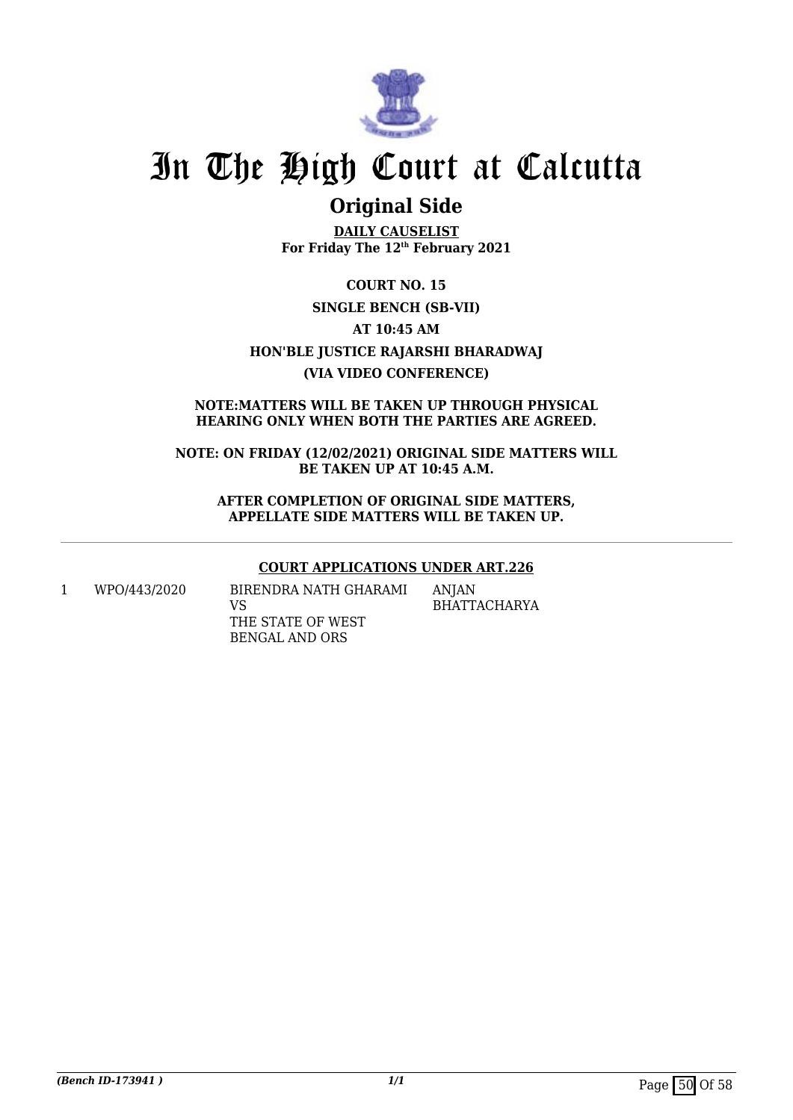

### **Original Side**

**DAILY CAUSELIST For Friday The 12th February 2021**

**COURT NO. 15 SINGLE BENCH (SB-VII) AT 10:45 AM HON'BLE JUSTICE RAJARSHI BHARADWAJ (VIA VIDEO CONFERENCE)**

#### **NOTE:MATTERS WILL BE TAKEN UP THROUGH PHYSICAL HEARING ONLY WHEN BOTH THE PARTIES ARE AGREED.**

**NOTE: ON FRIDAY (12/02/2021) ORIGINAL SIDE MATTERS WILL BE TAKEN UP AT 10:45 A.M.**

**AFTER COMPLETION OF ORIGINAL SIDE MATTERS, APPELLATE SIDE MATTERS WILL BE TAKEN UP.**

#### **COURT APPLICATIONS UNDER ART.226**

1 WPO/443/2020 BIRENDRA NATH GHARAMI VS THE STATE OF WEST BENGAL AND ORS

ANJAN BHATTACHARYA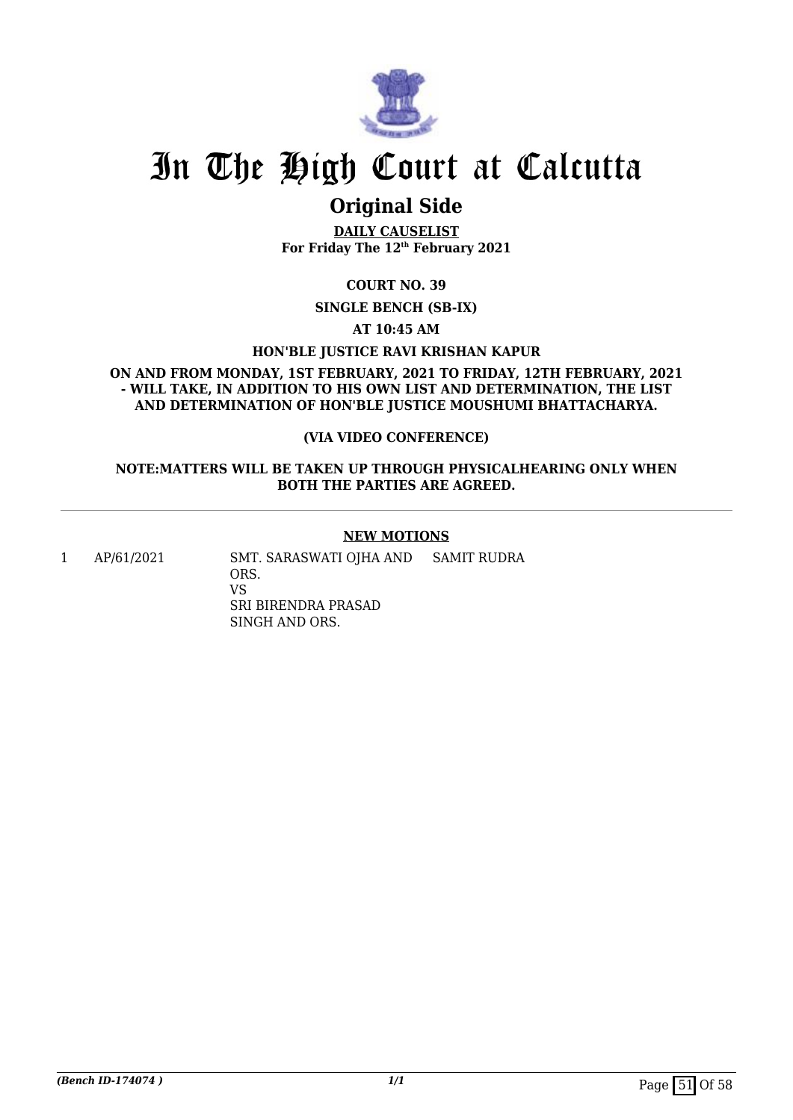

### **Original Side**

**DAILY CAUSELIST For Friday The 12th February 2021**

**COURT NO. 39**

**SINGLE BENCH (SB-IX)**

**AT 10:45 AM**

**HON'BLE JUSTICE RAVI KRISHAN KAPUR**

**ON AND FROM MONDAY, 1ST FEBRUARY, 2021 TO FRIDAY, 12TH FEBRUARY, 2021 - WILL TAKE, IN ADDITION TO HIS OWN LIST AND DETERMINATION, THE LIST AND DETERMINATION OF HON'BLE JUSTICE MOUSHUMI BHATTACHARYA.**

#### **(VIA VIDEO CONFERENCE)**

#### **NOTE:MATTERS WILL BE TAKEN UP THROUGH PHYSICALHEARING ONLY WHEN BOTH THE PARTIES ARE AGREED.**

#### **NEW MOTIONS**

1 AP/61/2021 SMT. SARASWATI OJHA AND ORS. VS SRI BIRENDRA PRASAD SINGH AND ORS. SAMIT RUDRA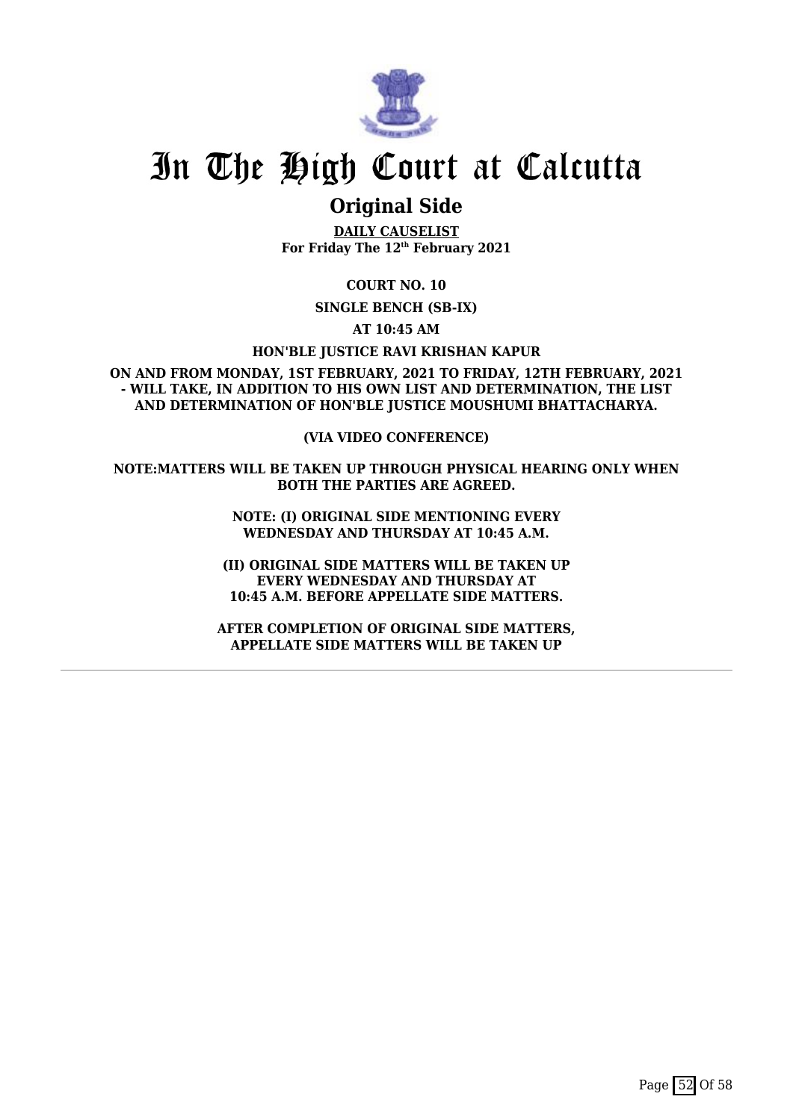

### **Original Side**

**DAILY CAUSELIST For Friday The 12th February 2021**

**COURT NO. 10**

**SINGLE BENCH (SB-IX)**

**AT 10:45 AM**

**HON'BLE JUSTICE RAVI KRISHAN KAPUR**

**ON AND FROM MONDAY, 1ST FEBRUARY, 2021 TO FRIDAY, 12TH FEBRUARY, 2021 - WILL TAKE, IN ADDITION TO HIS OWN LIST AND DETERMINATION, THE LIST AND DETERMINATION OF HON'BLE JUSTICE MOUSHUMI BHATTACHARYA.**

**(VIA VIDEO CONFERENCE)**

**NOTE:MATTERS WILL BE TAKEN UP THROUGH PHYSICAL HEARING ONLY WHEN BOTH THE PARTIES ARE AGREED.**

> **NOTE: (I) ORIGINAL SIDE MENTIONING EVERY WEDNESDAY AND THURSDAY AT 10:45 A.M.**

**(II) ORIGINAL SIDE MATTERS WILL BE TAKEN UP EVERY WEDNESDAY AND THURSDAY AT 10:45 A.M. BEFORE APPELLATE SIDE MATTERS.**

**AFTER COMPLETION OF ORIGINAL SIDE MATTERS, APPELLATE SIDE MATTERS WILL BE TAKEN UP**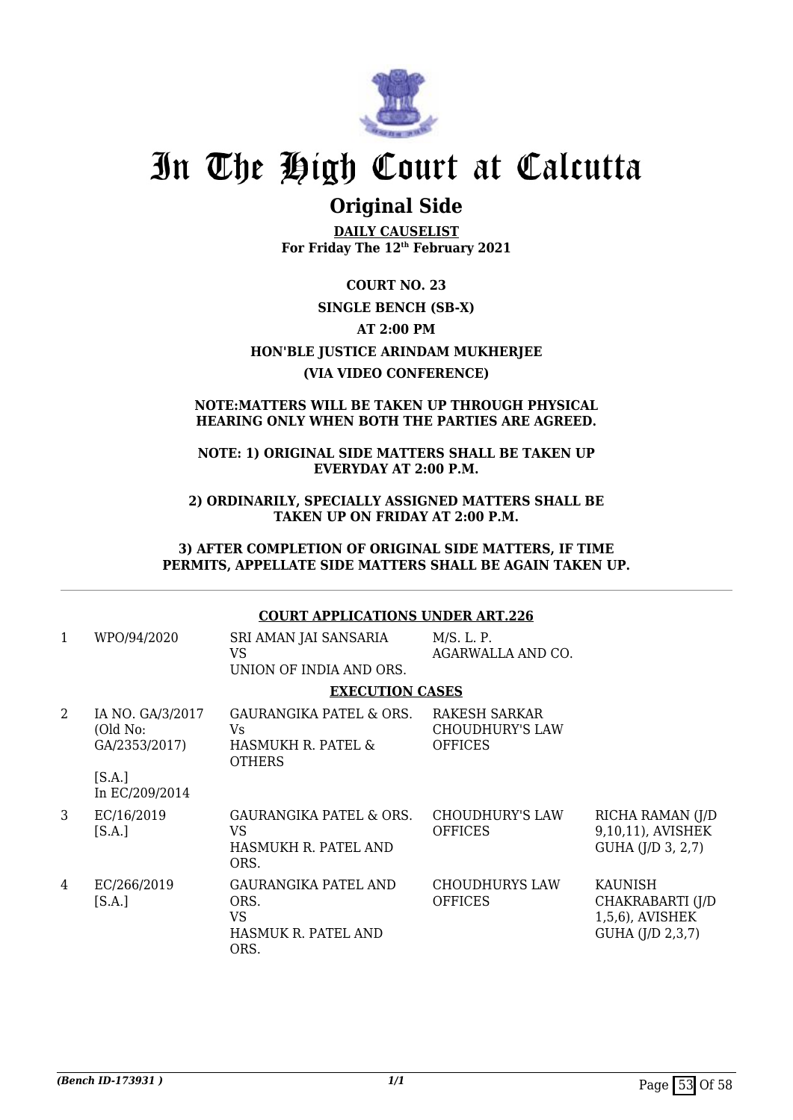

### **Original Side**

**DAILY CAUSELIST For Friday The 12th February 2021**

**COURT NO. 23 SINGLE BENCH (SB-X) AT 2:00 PM HON'BLE JUSTICE ARINDAM MUKHERJEE (VIA VIDEO CONFERENCE)**

#### **NOTE:MATTERS WILL BE TAKEN UP THROUGH PHYSICAL HEARING ONLY WHEN BOTH THE PARTIES ARE AGREED.**

#### **NOTE: 1) ORIGINAL SIDE MATTERS SHALL BE TAKEN UP EVERYDAY AT 2:00 P.M.**

**2) ORDINARILY, SPECIALLY ASSIGNED MATTERS SHALL BE TAKEN UP ON FRIDAY AT 2:00 P.M.**

**3) AFTER COMPLETION OF ORIGINAL SIDE MATTERS, IF TIME PERMITS, APPELLATE SIDE MATTERS SHALL BE AGAIN TAKEN UP.**

#### **COURT APPLICATIONS UNDER ART.226**

| 1 | WPO/94/2020                                   | SRI AMAN JAI SANSARIA<br>VS.<br>UNION OF INDIA AND ORS.                   | M/S. L. P.<br>AGARWALLA AND CO.                           |                                                                           |
|---|-----------------------------------------------|---------------------------------------------------------------------------|-----------------------------------------------------------|---------------------------------------------------------------------------|
|   |                                               | <b>EXECUTION CASES</b>                                                    |                                                           |                                                                           |
| 2 | IA NO. GA/3/2017<br>(Old No:<br>GA/2353/2017) | GAURANGIKA PATEL & ORS.<br>Vs.<br>HASMUKH R. PATEL &<br><b>OTHERS</b>     | RAKESH SARKAR<br><b>CHOUDHURY'S LAW</b><br><b>OFFICES</b> |                                                                           |
|   | [S.A.]<br>In EC/209/2014                      |                                                                           |                                                           |                                                                           |
| 3 | EC/16/2019<br>[S.A.]                          | <b>GAURANGIKA PATEL &amp; ORS.</b><br>VS.<br>HASMUKH R. PATEL AND<br>ORS. | <b>CHOUDHURY'S LAW</b><br><b>OFFICES</b>                  | RICHA RAMAN (J/D<br>9,10,11), AVISHEK<br>GUHA (J/D 3, 2,7)                |
| 4 | EC/266/2019<br>[S.A.]                         | <b>GAURANGIKA PATEL AND</b><br>ORS.<br>VS<br>HASMUK R. PATEL AND<br>ORS.  | <b>CHOUDHURYS LAW</b><br><b>OFFICES</b>                   | <b>KAUNISH</b><br>CHAKRABARTI (J/D<br>1,5,6), AVISHEK<br>GUHA (J/D 2,3,7) |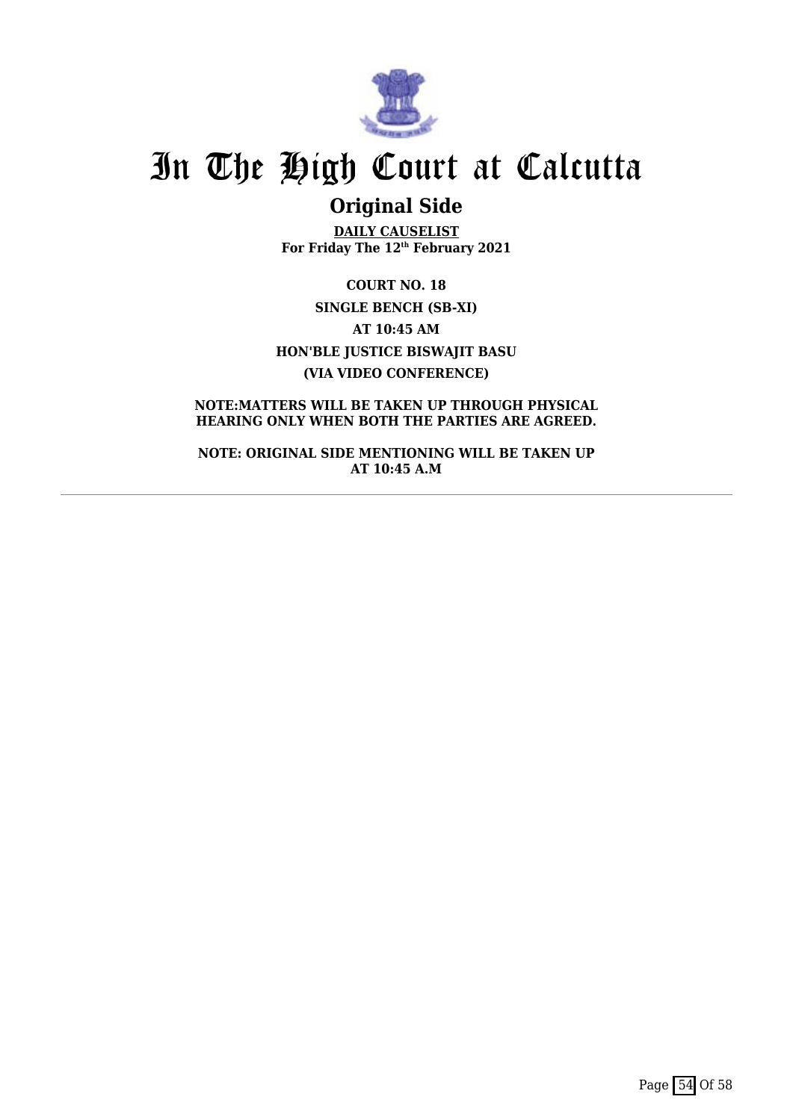

## **Original Side**

**DAILY CAUSELIST For Friday The 12th February 2021**

**COURT NO. 18 SINGLE BENCH (SB-XI) AT 10:45 AM HON'BLE JUSTICE BISWAJIT BASU (VIA VIDEO CONFERENCE)**

**NOTE:MATTERS WILL BE TAKEN UP THROUGH PHYSICAL HEARING ONLY WHEN BOTH THE PARTIES ARE AGREED.**

**NOTE: ORIGINAL SIDE MENTIONING WILL BE TAKEN UP AT 10:45 A.M**

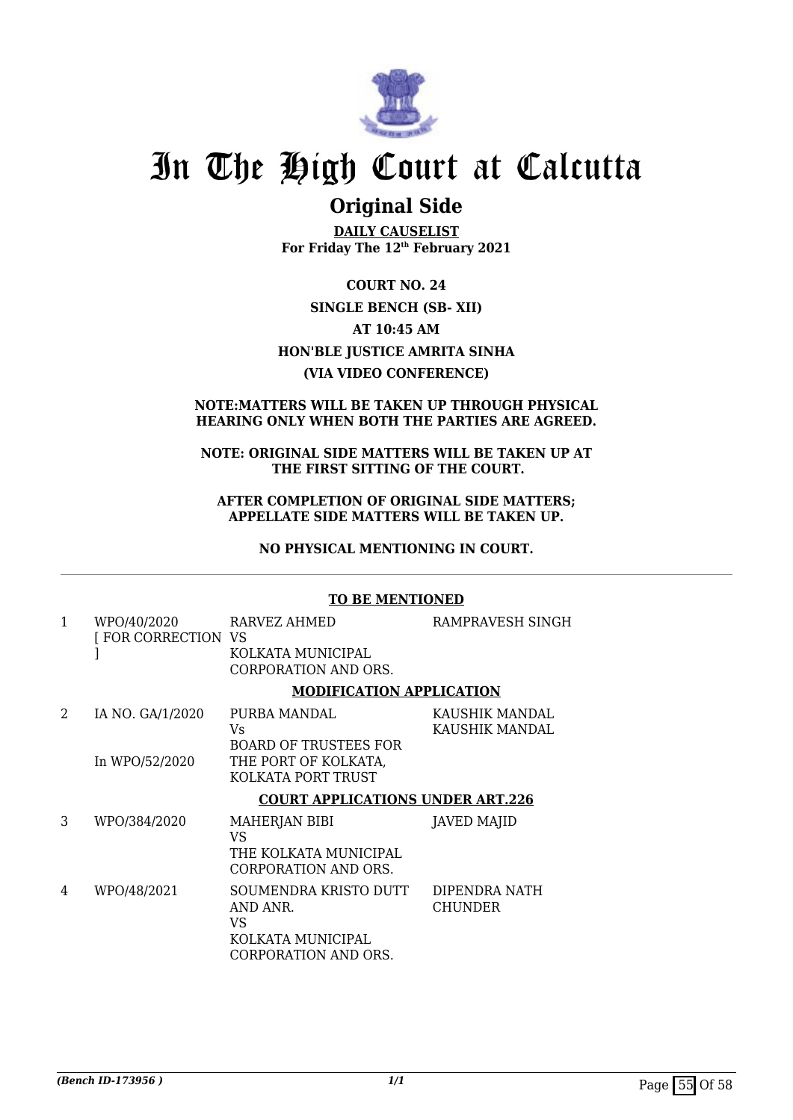

### **Original Side**

**DAILY CAUSELIST For Friday The 12th February 2021**

**COURT NO. 24 SINGLE BENCH (SB- XII) AT 10:45 AM HON'BLE JUSTICE AMRITA SINHA (VIA VIDEO CONFERENCE)**

#### **NOTE:MATTERS WILL BE TAKEN UP THROUGH PHYSICAL HEARING ONLY WHEN BOTH THE PARTIES ARE AGREED.**

#### **NOTE: ORIGINAL SIDE MATTERS WILL BE TAKEN UP AT THE FIRST SITTING OF THE COURT.**

#### **AFTER COMPLETION OF ORIGINAL SIDE MATTERS; APPELLATE SIDE MATTERS WILL BE TAKEN UP.**

**NO PHYSICAL MENTIONING IN COURT.**

#### **TO BE MENTIONED**

| 1                           | WPO/40/2020<br>[FOR CORRECTION VS  | RARVEZ AHMED<br>KOLKATA MUNICIPAL<br><b>CORPORATION AND ORS.</b>                                 | RAMPRAVESH SINGH                 |
|-----------------------------|------------------------------------|--------------------------------------------------------------------------------------------------|----------------------------------|
|                             |                                    | <b>MODIFICATION APPLICATION</b>                                                                  |                                  |
| $\mathcal{D}_{\mathcal{L}}$ | IA NO. GA/1/2020<br>In WPO/52/2020 | PURBA MANDAL<br>Vs<br><b>BOARD OF TRUSTEES FOR</b><br>THE PORT OF KOLKATA,<br>KOLKATA PORT TRUST | KAUSHIK MANDAL<br>KAUSHIK MANDAL |
|                             |                                    | <b>COURT APPLICATIONS UNDER ART.226</b>                                                          |                                  |
| 3                           | WPO/384/2020                       | MAHERJAN BIBI<br><b>VS</b><br>THE KOLKATA MUNICIPAL<br>CORPORATION AND ORS.                      | JAVED MAJID                      |
| 4                           | WPO/48/2021                        | SOUMENDRA KRISTO DUTT<br>AND ANR.<br>VS<br>KOLKATA MUNICIPAL<br>CORPORATION AND ORS.             | DIPENDRA NATH<br><b>CHUNDER</b>  |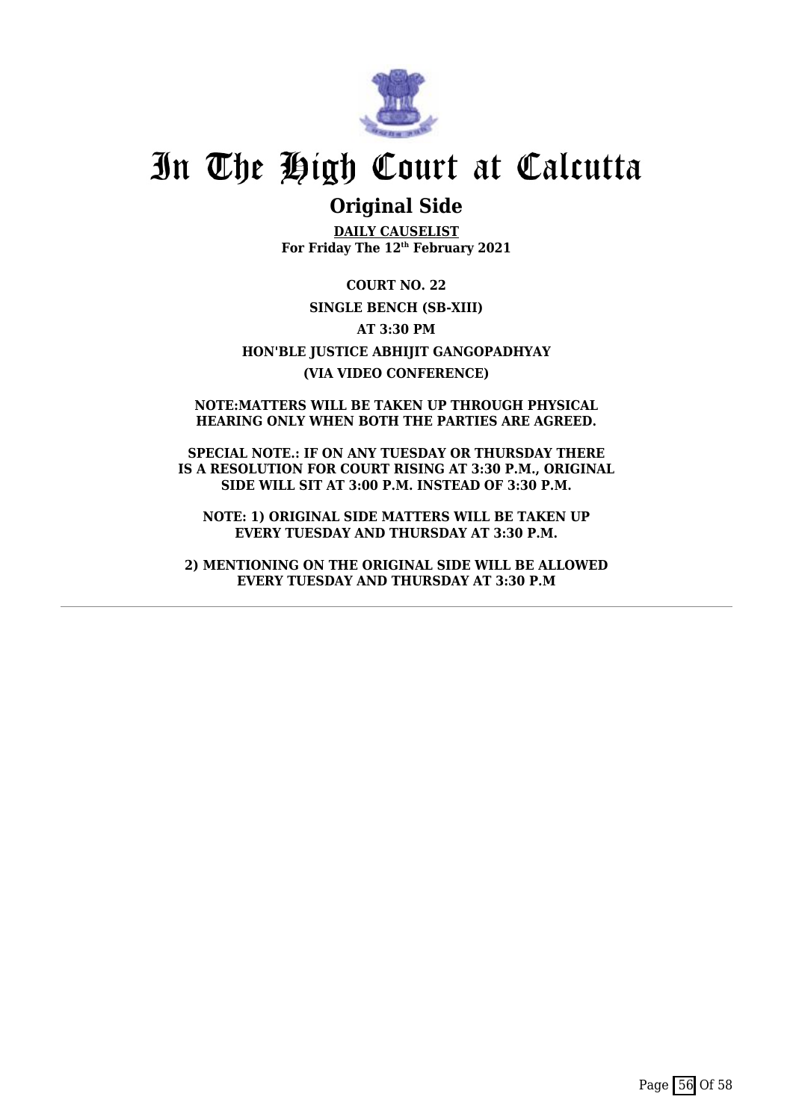

### **Original Side**

**DAILY CAUSELIST For Friday The 12th February 2021**

**COURT NO. 22 SINGLE BENCH (SB-XIII) AT 3:30 PM HON'BLE JUSTICE ABHIJIT GANGOPADHYAY (VIA VIDEO CONFERENCE)**

**NOTE:MATTERS WILL BE TAKEN UP THROUGH PHYSICAL HEARING ONLY WHEN BOTH THE PARTIES ARE AGREED.**

**SPECIAL NOTE.: IF ON ANY TUESDAY OR THURSDAY THERE IS A RESOLUTION FOR COURT RISING AT 3:30 P.M., ORIGINAL SIDE WILL SIT AT 3:00 P.M. INSTEAD OF 3:30 P.M.**

**NOTE: 1) ORIGINAL SIDE MATTERS WILL BE TAKEN UP EVERY TUESDAY AND THURSDAY AT 3:30 P.M.**

**2) MENTIONING ON THE ORIGINAL SIDE WILL BE ALLOWED EVERY TUESDAY AND THURSDAY AT 3:30 P.M**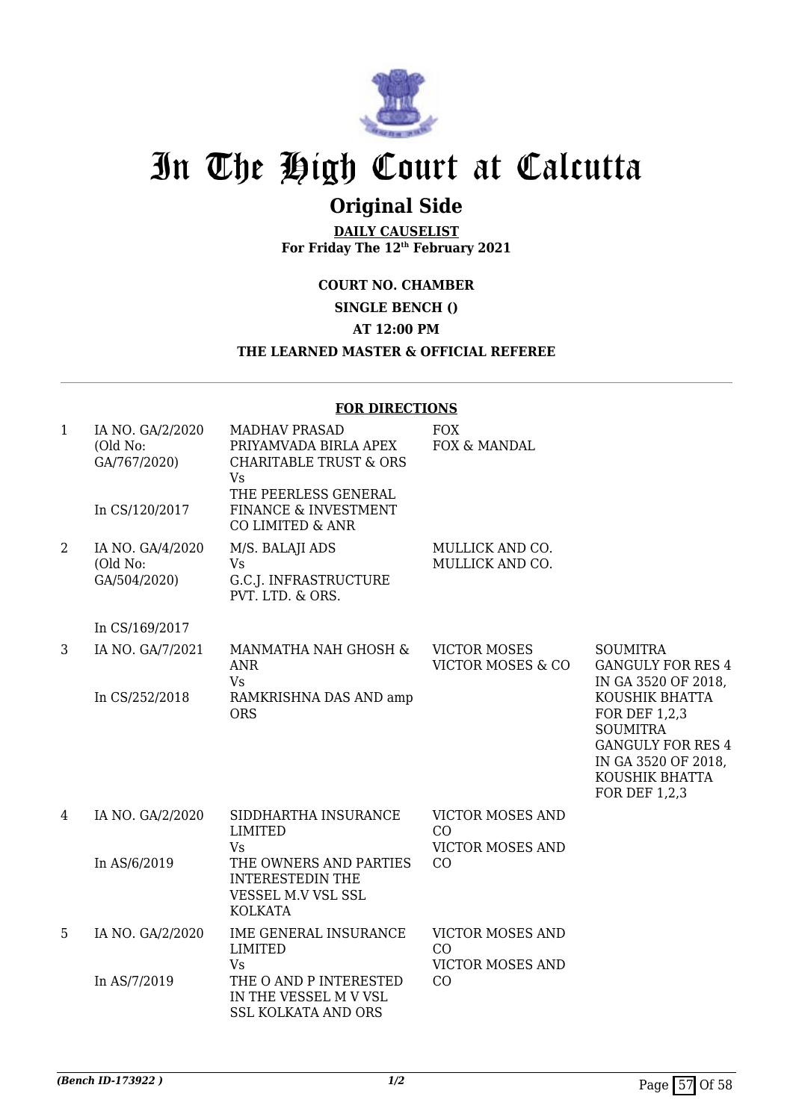

## **Original Side**

**DAILY CAUSELIST For Friday The 12th February 2021**

**COURT NO. CHAMBER**

**SINGLE BENCH ()**

**AT 12:00 PM**

#### **THE LEARNED MASTER & OFFICIAL REFEREE**

#### **FOR DIRECTIONS**

| $\mathbf{1}$ | IA NO. GA/2/2020<br>(Old No:<br>GA/767/2020)<br>In CS/120/2017 | <b>MADHAV PRASAD</b><br>PRIYAMVADA BIRLA APEX<br><b>CHARITABLE TRUST &amp; ORS</b><br><b>Vs</b><br>THE PEERLESS GENERAL<br>FINANCE & INVESTMENT<br>CO LIMITED & ANR | <b>FOX</b><br>FOX & MANDAL                               |                                                                                                                                                 |
|--------------|----------------------------------------------------------------|---------------------------------------------------------------------------------------------------------------------------------------------------------------------|----------------------------------------------------------|-------------------------------------------------------------------------------------------------------------------------------------------------|
| 2            | IA NO. GA/4/2020<br>(Old No:<br>GA/504/2020)                   | M/S. BALAJI ADS<br><b>Vs</b><br>G.C.J. INFRASTRUCTURE<br>PVT. LTD. & ORS.                                                                                           | MULLICK AND CO.<br>MULLICK AND CO.                       |                                                                                                                                                 |
|              | In CS/169/2017                                                 |                                                                                                                                                                     |                                                          |                                                                                                                                                 |
| 3            | IA NO. GA/7/2021                                               | MANMATHA NAH GHOSH &<br><b>ANR</b><br><b>Vs</b>                                                                                                                     | <b>VICTOR MOSES</b><br><b>VICTOR MOSES &amp; CO</b>      | <b>SOUMITRA</b><br><b>GANGULY FOR RES 4</b><br>IN GA 3520 OF 2018,                                                                              |
|              | In CS/252/2018                                                 | RAMKRISHNA DAS AND amp<br><b>ORS</b>                                                                                                                                |                                                          | KOUSHIK BHATTA<br><b>FOR DEF 1,2,3</b><br><b>SOUMITRA</b><br><b>GANGULY FOR RES 4</b><br>IN GA 3520 OF 2018,<br>KOUSHIK BHATTA<br>FOR DEF 1,2,3 |
| 4            | IA NO. GA/2/2020                                               | SIDDHARTHA INSURANCE                                                                                                                                                | <b>VICTOR MOSES AND</b>                                  |                                                                                                                                                 |
|              |                                                                | <b>LIMITED</b><br><b>Vs</b>                                                                                                                                         | CO<br><b>VICTOR MOSES AND</b>                            |                                                                                                                                                 |
|              | In AS/6/2019                                                   | THE OWNERS AND PARTIES<br><b>INTERESTEDIN THE</b><br>VESSEL M.V VSL SSL<br><b>KOLKATA</b>                                                                           | CO                                                       |                                                                                                                                                 |
| 5            | IA NO. GA/2/2020                                               | IME GENERAL INSURANCE<br><b>LIMITED</b><br><b>Vs</b>                                                                                                                | <b>VICTOR MOSES AND</b><br>CO<br><b>VICTOR MOSES AND</b> |                                                                                                                                                 |
|              | In AS/7/2019                                                   | THE O AND P INTERESTED<br>IN THE VESSEL M V VSL<br><b>SSL KOLKATA AND ORS</b>                                                                                       | CO                                                       |                                                                                                                                                 |